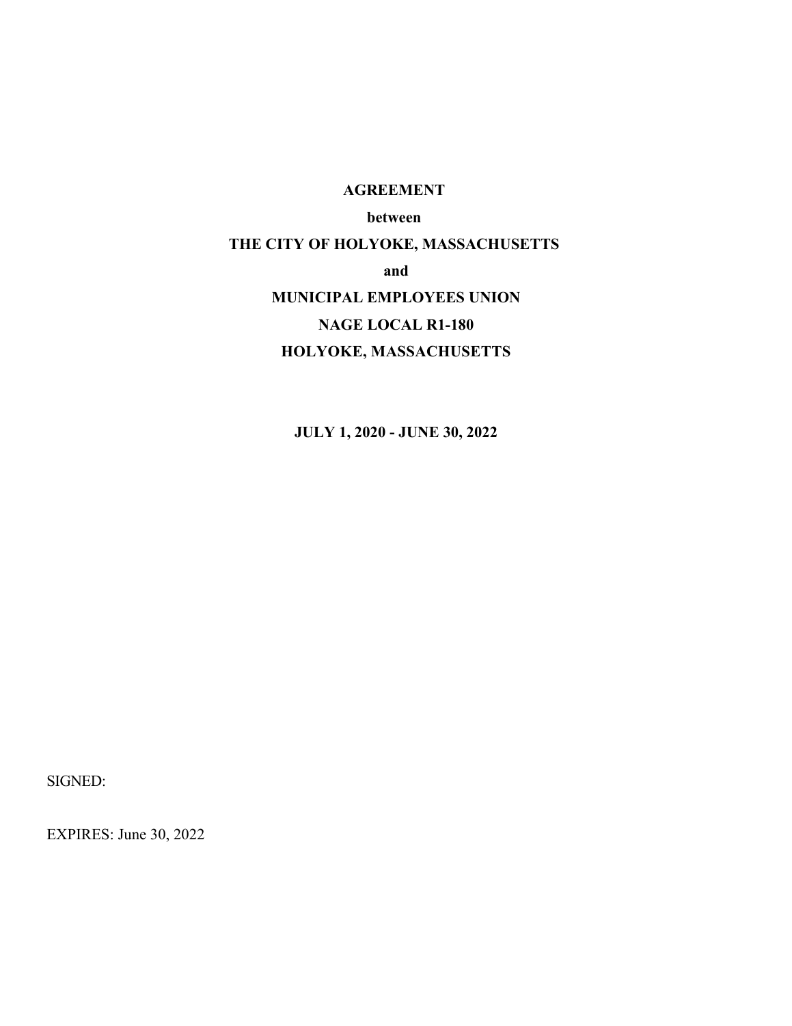#### **AGREEMENT**

#### **between**

# **THE CITY OF HOLYOKE, MASSACHUSETTS**

#### **and**

## **MUNICIPAL EMPLOYEES UNION**

## **NAGE LOCAL R1-180**

## **HOLYOKE, MASSACHUSETTS**

**JULY 1, 2020 - JUNE 30, 2022**

SIGNED:

EXPIRES: June 30, 2022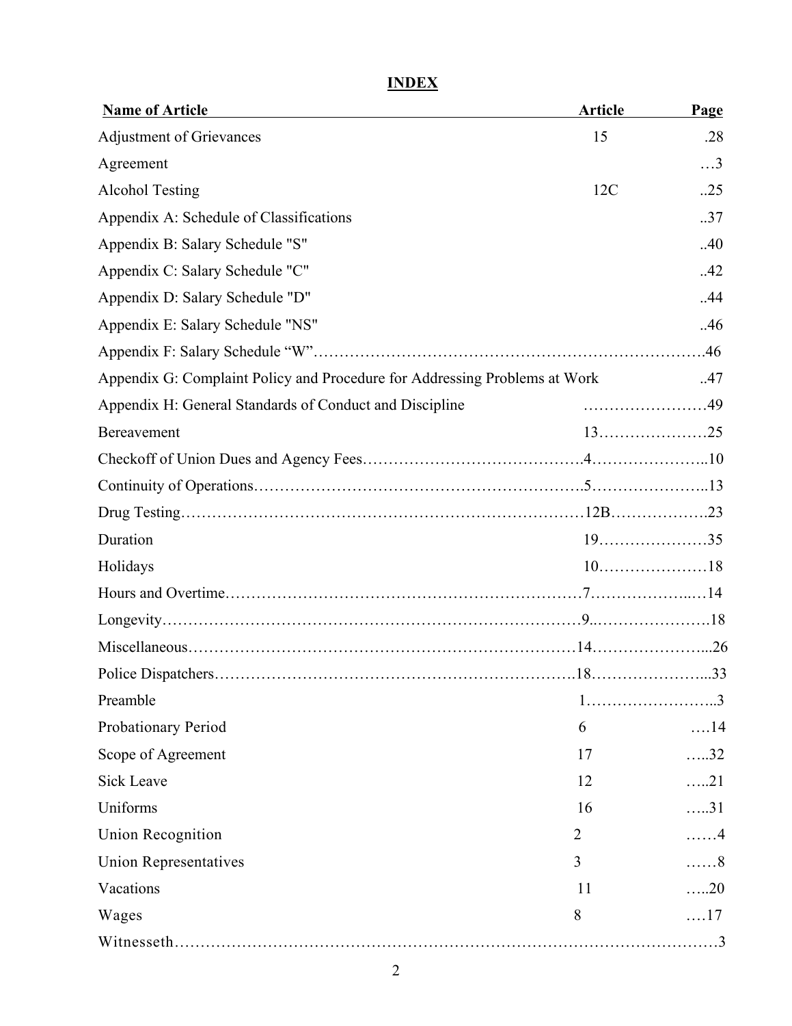# **INDEX**

| <b>Name of Article</b>                                                     | <b>Article</b> | Page         |
|----------------------------------------------------------------------------|----------------|--------------|
| <b>Adjustment of Grievances</b>                                            | 15             | .28          |
| Agreement                                                                  |                | $\ldots$ 3   |
| <b>Alcohol Testing</b>                                                     | 12C            | .25          |
| Appendix A: Schedule of Classifications                                    |                | .37          |
| Appendix B: Salary Schedule "S"                                            |                | .40          |
| Appendix C: Salary Schedule "C"                                            |                | .42          |
| Appendix D: Salary Schedule "D"                                            |                | .44          |
| Appendix E: Salary Schedule "NS"                                           |                | .46          |
|                                                                            |                |              |
| Appendix G: Complaint Policy and Procedure for Addressing Problems at Work |                | .47          |
| Appendix H: General Standards of Conduct and Discipline                    |                |              |
| Bereavement                                                                |                |              |
|                                                                            |                |              |
|                                                                            |                |              |
|                                                                            |                |              |
| Duration                                                                   |                | $19$ 35      |
| Holidays                                                                   |                |              |
|                                                                            |                |              |
|                                                                            |                |              |
|                                                                            |                |              |
|                                                                            |                |              |
| Preamble                                                                   |                |              |
| Probationary Period                                                        | 6              | $\dots$ 14   |
| Scope of Agreement                                                         | 17             | $\ldots$ .32 |
| <b>Sick Leave</b>                                                          | 12             | $\dots 21$   |
| Uniforms                                                                   | 16             | $\dots 31$   |
| <b>Union Recognition</b>                                                   | 2              | . 4          |
| <b>Union Representatives</b>                                               | 3              | . 8          |
| Vacations                                                                  | 11             | $\dots 20$   |
| Wages                                                                      | 8              | $\dots 17$   |
|                                                                            |                |              |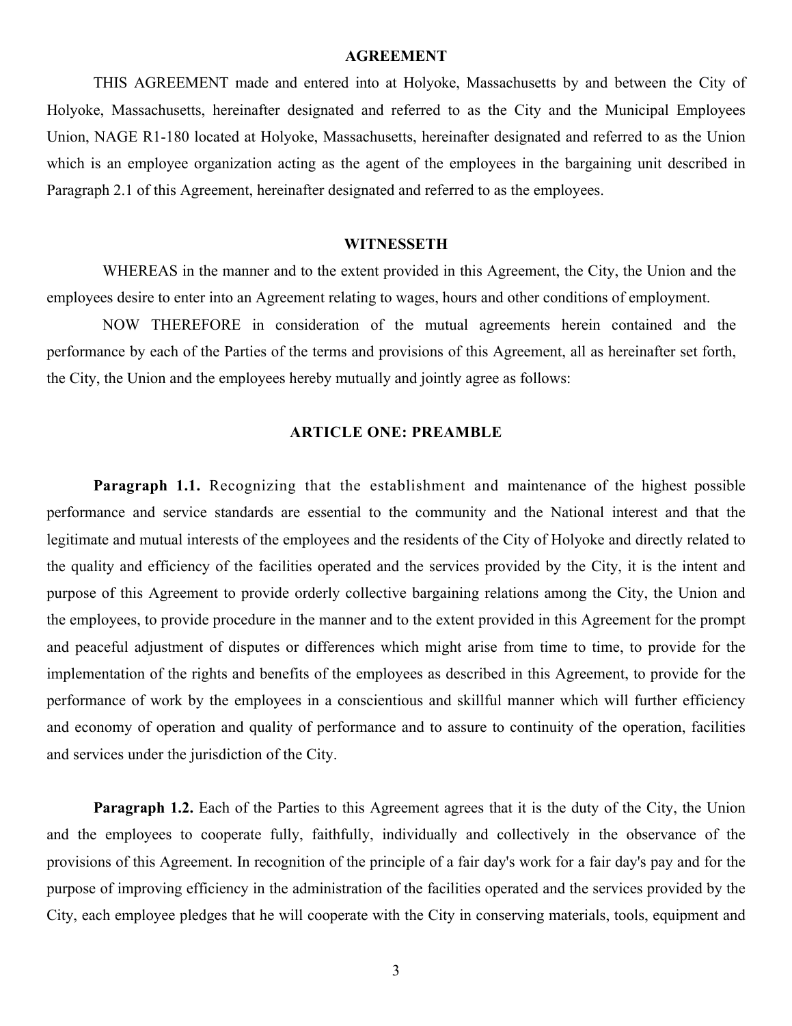#### **AGREEMENT**

THIS AGREEMENT made and entered into at Holyoke, Massachusetts by and between the City of Holyoke, Massachusetts, hereinafter designated and referred to as the City and the Municipal Employees Union, NAGE R1-180 located at Holyoke, Massachusetts, hereinafter designated and referred to as the Union which is an employee organization acting as the agent of the employees in the bargaining unit described in Paragraph 2.1 of this Agreement, hereinafter designated and referred to as the employees.

#### **WITNESSETH**

WHEREAS in the manner and to the extent provided in this Agreement, the City, the Union and the employees desire to enter into an Agreement relating to wages, hours and other conditions of employment.

NOW THEREFORE in consideration of the mutual agreements herein contained and the performance by each of the Parties of the terms and provisions of this Agreement, all as hereinafter set forth, the City, the Union and the employees hereby mutually and jointly agree as follows:

#### **ARTICLE ONE: PREAMBLE**

**Paragraph 1.1.** Recognizing that the establishment and maintenance of the highest possible performance and service standards are essential to the community and the National interest and that the legitimate and mutual interests of the employees and the residents of the City of Holyoke and directly related to the quality and efficiency of the facilities operated and the services provided by the City, it is the intent and purpose of this Agreement to provide orderly collective bargaining relations among the City, the Union and the employees, to provide procedure in the manner and to the extent provided in this Agreement for the prompt and peaceful adjustment of disputes or differences which might arise from time to time, to provide for the implementation of the rights and benefits of the employees as described in this Agreement, to provide for the performance of work by the employees in a conscientious and skillful manner which will further efficiency and economy of operation and quality of performance and to assure to continuity of the operation, facilities and services under the jurisdiction of the City.

**Paragraph 1.2.** Each of the Parties to this Agreement agrees that it is the duty of the City, the Union and the employees to cooperate fully, faithfully, individually and collectively in the observance of the provisions of this Agreement. In recognition of the principle of a fair day's work for a fair day's pay and for the purpose of improving efficiency in the administration of the facilities operated and the services provided by the City, each employee pledges that he will cooperate with the City in conserving materials, tools, equipment and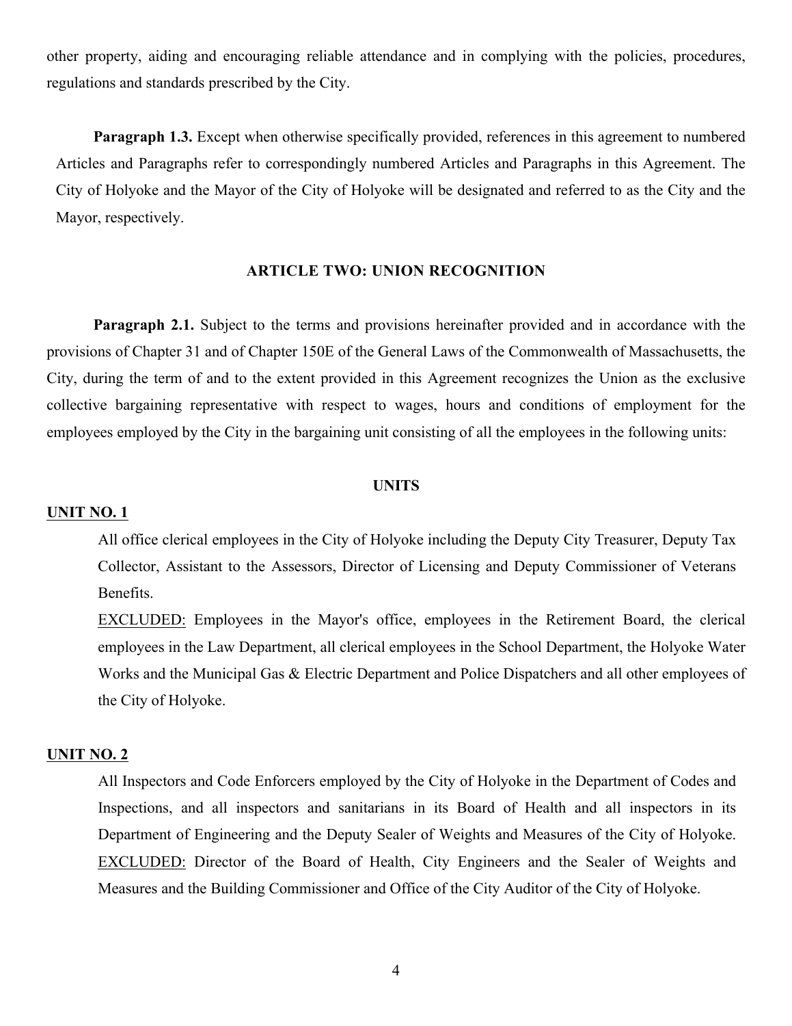other property, aiding and encouraging reliable attendance and in complying with the policies, procedures, regulations and standards prescribed by the City.

**Paragraph 1.3.** Except when otherwise specifically provided, references in this agreement to numbered Articles and Paragraphs refer to correspondingly numbered Articles and Paragraphs in this Agreement. The City of Holyoke and the Mayor of the City of Holyoke will be designated and referred to as the City and the Mayor, respectively.

#### **ARTICLE TWO: UNION RECOGNITION**

**Paragraph 2.1.** Subject to the terms and provisions hereinafter provided and in accordance with the provisions of Chapter 31 and of Chapter 150E of the General Laws of the Commonwealth of Massachusetts, the City, during the term of and to the extent provided in this Agreement recognizes the Union as the exclusive collective bargaining representative with respect to wages, hours and conditions of employment for the employees employed by the City in the bargaining unit consisting of all the employees in the following units:

#### **UNITS**

#### **UNIT NO. 1**

All office clerical employees in the City of Holyoke including the Deputy City Treasurer, Deputy Tax Collector, Assistant to the Assessors, Director of Licensing and Deputy Commissioner of Veterans Benefits.

EXCLUDED: Employees in the Mayor's office, employees in the Retirement Board, the clerical employees in the Law Department, all clerical employees in the School Department, the Holyoke Water Works and the Municipal Gas & Electric Department and Police Dispatchers and all other employees of the City of Holyoke.

#### **UNIT NO. 2**

All Inspectors and Code Enforcers employed by the City of Holyoke in the Department of Codes and Inspections, and all inspectors and sanitarians in its Board of Health and all inspectors in its Department of Engineering and the Deputy Sealer of Weights and Measures of the City of Holyoke. EXCLUDED: Director of the Board of Health, City Engineers and the Sealer of Weights and Measures and the Building Commissioner and Office of the City Auditor of the City of Holyoke.

4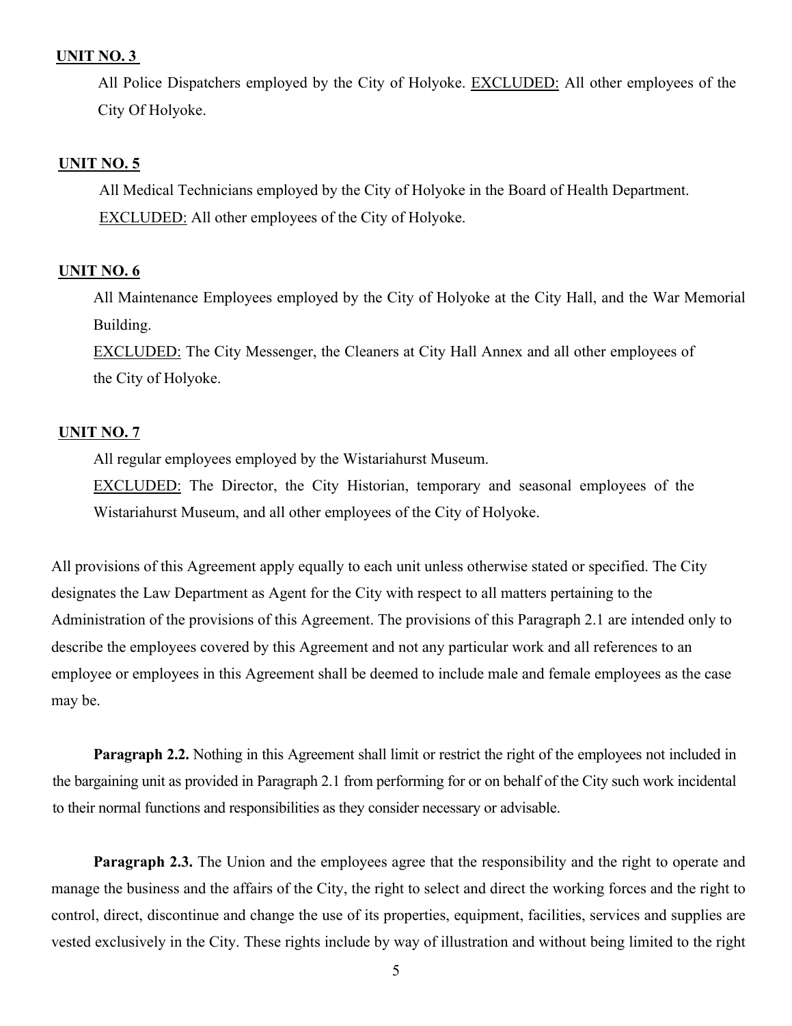#### **UNIT NO. 3**

All Police Dispatchers employed by the City of Holyoke. EXCLUDED: All other employees of the City Of Holyoke.

#### **UNIT NO. 5**

All Medical Technicians employed by the City of Holyoke in the Board of Health Department. EXCLUDED: All other employees of the City of Holyoke.

#### **UNIT NO. 6**

All Maintenance Employees employed by the City of Holyoke at the City Hall, and the War Memorial Building.

EXCLUDED: The City Messenger, the Cleaners at City Hall Annex and all other employees of the City of Holyoke.

#### **UNIT NO. 7**

All regular employees employed by the Wistariahurst Museum.

EXCLUDED: The Director, the City Historian, temporary and seasonal employees of the Wistariahurst Museum, and all other employees of the City of Holyoke.

All provisions of this Agreement apply equally to each unit unless otherwise stated or specified. The City designates the Law Department as Agent for the City with respect to all matters pertaining to the Administration of the provisions of this Agreement. The provisions of this Paragraph 2.1 are intended only to describe the employees covered by this Agreement and not any particular work and all references to an employee or employees in this Agreement shall be deemed to include male and female employees as the case may be.

**Paragraph 2.2.** Nothing in this Agreement shall limit or restrict the right of the employees not included in the bargaining unit as provided in Paragraph 2.1 from performing for or on behalf of the City such work incidental to their normal functions and responsibilities as they consider necessary or advisable.

**Paragraph 2.3.** The Union and the employees agree that the responsibility and the right to operate and manage the business and the affairs of the City, the right to select and direct the working forces and the right to control, direct, discontinue and change the use of its properties, equipment, facilities, services and supplies are vested exclusively in the City. These rights include by way of illustration and without being limited to the right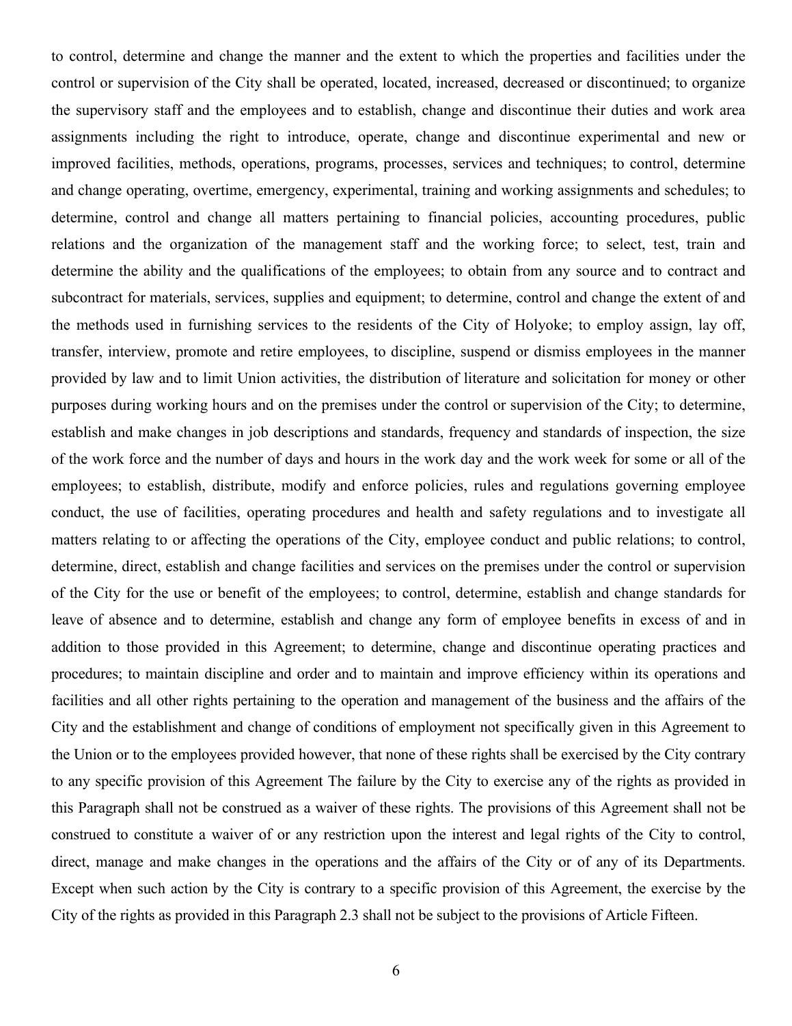to control, determine and change the manner and the extent to which the properties and facilities under the control or supervision of the City shall be operated, located, increased, decreased or discontinued; to organize the supervisory staff and the employees and to establish, change and discontinue their duties and work area assignments including the right to introduce, operate, change and discontinue experimental and new or improved facilities, methods, operations, programs, processes, services and techniques; to control, determine and change operating, overtime, emergency, experimental, training and working assignments and schedules; to determine, control and change all matters pertaining to financial policies, accounting procedures, public relations and the organization of the management staff and the working force; to select, test, train and determine the ability and the qualifications of the employees; to obtain from any source and to contract and subcontract for materials, services, supplies and equipment; to determine, control and change the extent of and the methods used in furnishing services to the residents of the City of Holyoke; to employ assign, lay off, transfer, interview, promote and retire employees, to discipline, suspend or dismiss employees in the manner provided by law and to limit Union activities, the distribution of literature and solicitation for money or other purposes during working hours and on the premises under the control or supervision of the City; to determine, establish and make changes in job descriptions and standards, frequency and standards of inspection, the size of the work force and the number of days and hours in the work day and the work week for some or all of the employees; to establish, distribute, modify and enforce policies, rules and regulations governing employee conduct, the use of facilities, operating procedures and health and safety regulations and to investigate all matters relating to or affecting the operations of the City, employee conduct and public relations; to control, determine, direct, establish and change facilities and services on the premises under the control or supervision of the City for the use or benefit of the employees; to control, determine, establish and change standards for leave of absence and to determine, establish and change any form of employee benefits in excess of and in addition to those provided in this Agreement; to determine, change and discontinue operating practices and procedures; to maintain discipline and order and to maintain and improve efficiency within its operations and facilities and all other rights pertaining to the operation and management of the business and the affairs of the City and the establishment and change of conditions of employment not specifically given in this Agreement to the Union or to the employees provided however, that none of these rights shall be exercised by the City contrary to any specific provision of this Agreement The failure by the City to exercise any of the rights as provided in this Paragraph shall not be construed as a waiver of these rights. The provisions of this Agreement shall not be construed to constitute a waiver of or any restriction upon the interest and legal rights of the City to control, direct, manage and make changes in the operations and the affairs of the City or of any of its Departments. Except when such action by the City is contrary to a specific provision of this Agreement, the exercise by the City of the rights as provided in this Paragraph 2.3 shall not be subject to the provisions of Article Fifteen.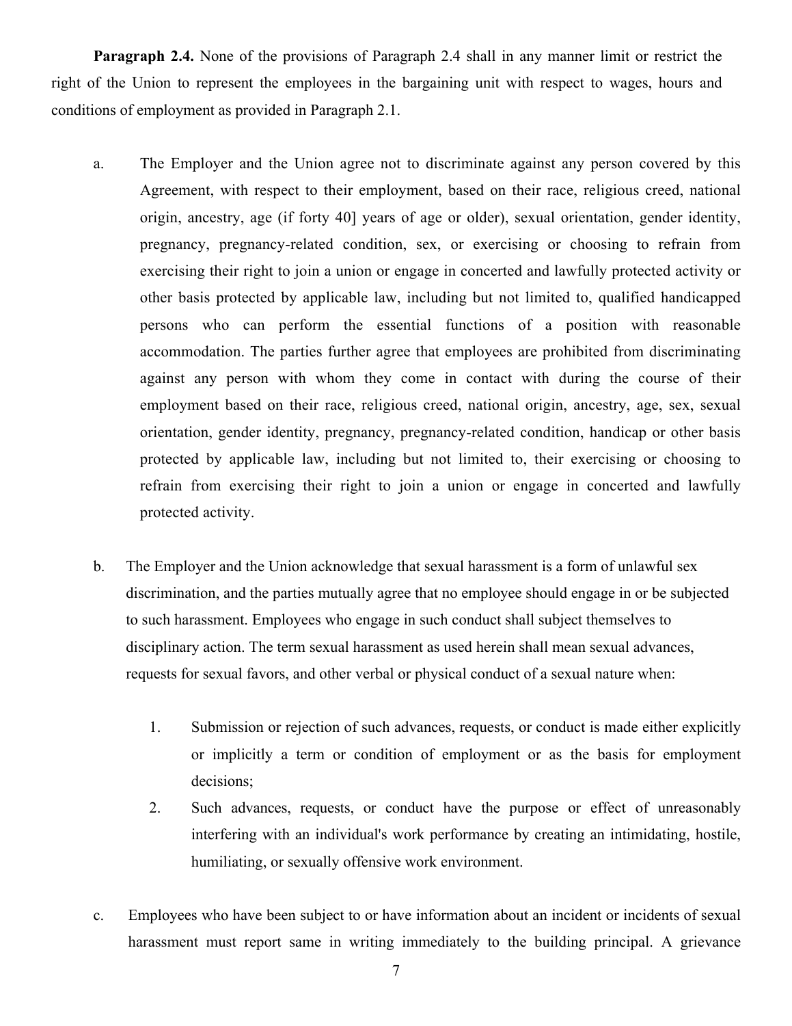**Paragraph 2.4.** None of the provisions of Paragraph 2.4 shall in any manner limit or restrict the right of the Union to represent the employees in the bargaining unit with respect to wages, hours and conditions of employment as provided in Paragraph 2.1.

- a. The Employer and the Union agree not to discriminate against any person covered by this Agreement, with respect to their employment, based on their race, religious creed, national origin, ancestry, age (if forty 40] years of age or older), sexual orientation, gender identity, pregnancy, pregnancy-related condition, sex, or exercising or choosing to refrain from exercising their right to join a union or engage in concerted and lawfully protected activity or other basis protected by applicable law, including but not limited to, qualified handicapped persons who can perform the essential functions of a position with reasonable accommodation. The parties further agree that employees are prohibited from discriminating against any person with whom they come in contact with during the course of their employment based on their race, religious creed, national origin, ancestry, age, sex, sexual orientation, gender identity, pregnancy, pregnancy-related condition, handicap or other basis protected by applicable law, including but not limited to, their exercising or choosing to refrain from exercising their right to join a union or engage in concerted and lawfully protected activity.
- b. The Employer and the Union acknowledge that sexual harassment is a form of unlawful sex discrimination, and the parties mutually agree that no employee should engage in or be subjected to such harassment. Employees who engage in such conduct shall subject themselves to disciplinary action. The term sexual harassment as used herein shall mean sexual advances, requests for sexual favors, and other verbal or physical conduct of a sexual nature when:
	- 1. Submission or rejection of such advances, requests, or conduct is made either explicitly or implicitly a term or condition of employment or as the basis for employment decisions;
	- 2. Such advances, requests, or conduct have the purpose or effect of unreasonably interfering with an individual's work performance by creating an intimidating, hostile, humiliating, or sexually offensive work environment.
- c. Employees who have been subject to or have information about an incident or incidents of sexual harassment must report same in writing immediately to the building principal. A grievance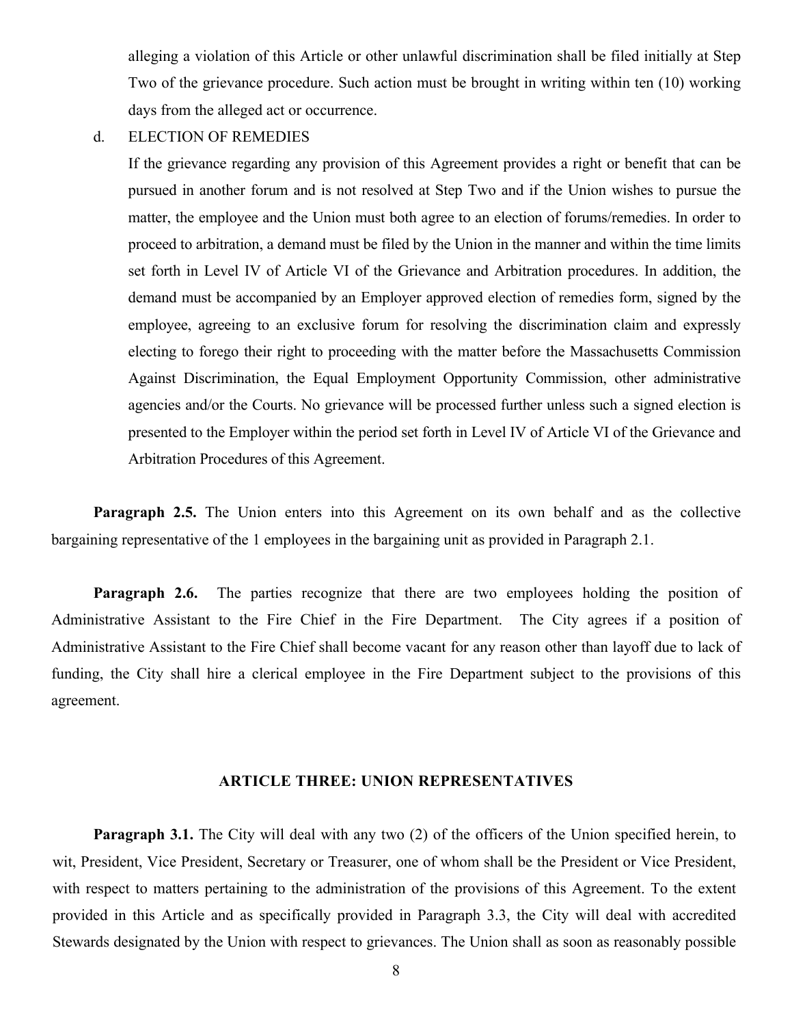alleging a violation of this Article or other unlawful discrimination shall be filed initially at Step Two of the grievance procedure. Such action must be brought in writing within ten (10) working days from the alleged act or occurrence.

d. ELECTION OF REMEDIES

If the grievance regarding any provision of this Agreement provides a right or benefit that can be pursued in another forum and is not resolved at Step Two and if the Union wishes to pursue the matter, the employee and the Union must both agree to an election of forums/remedies. In order to proceed to arbitration, a demand must be filed by the Union in the manner and within the time limits set forth in Level IV of Article VI of the Grievance and Arbitration procedures. In addition, the demand must be accompanied by an Employer approved election of remedies form, signed by the employee, agreeing to an exclusive forum for resolving the discrimination claim and expressly electing to forego their right to proceeding with the matter before the Massachusetts Commission Against Discrimination, the Equal Employment Opportunity Commission, other administrative agencies and/or the Courts. No grievance will be processed further unless such a signed election is presented to the Employer within the period set forth in Level IV of Article VI of the Grievance and Arbitration Procedures of this Agreement.

**Paragraph 2.5.** The Union enters into this Agreement on its own behalf and as the collective bargaining representative of the 1 employees in the bargaining unit as provided in Paragraph 2.1.

**Paragraph 2.6.** The parties recognize that there are two employees holding the position of Administrative Assistant to the Fire Chief in the Fire Department. The City agrees if a position of Administrative Assistant to the Fire Chief shall become vacant for any reason other than layoff due to lack of funding, the City shall hire a clerical employee in the Fire Department subject to the provisions of this agreement.

#### **ARTICLE THREE: UNION REPRESENTATIVES**

**Paragraph 3.1.** The City will deal with any two (2) of the officers of the Union specified herein, to wit, President, Vice President, Secretary or Treasurer, one of whom shall be the President or Vice President, with respect to matters pertaining to the administration of the provisions of this Agreement. To the extent provided in this Article and as specifically provided in Paragraph 3.3, the City will deal with accredited Stewards designated by the Union with respect to grievances. The Union shall as soon as reasonably possible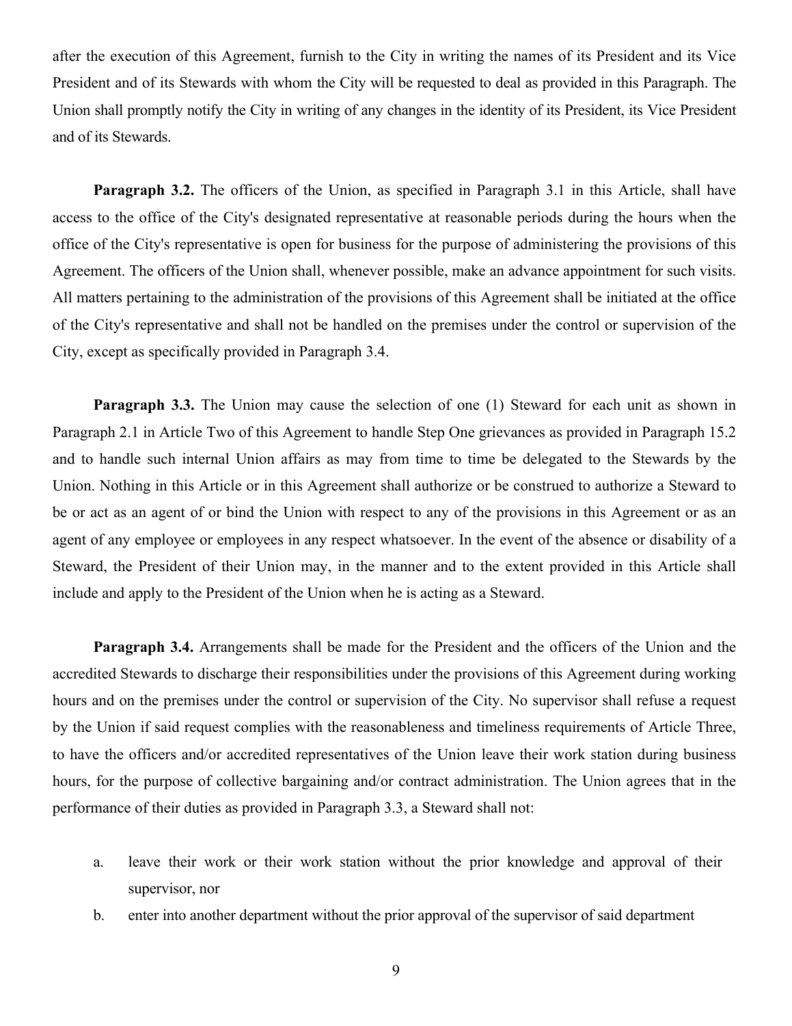after the execution of this Agreement, furnish to the City in writing the names of its President and its Vice President and of its Stewards with whom the City will be requested to deal as provided in this Paragraph. The Union shall promptly notify the City in writing of any changes in the identity of its President, its Vice President and of its Stewards.

**Paragraph 3.2.** The officers of the Union, as specified in Paragraph 3.1 in this Article, shall have access to the office of the City's designated representative at reasonable periods during the hours when the office of the City's representative is open for business for the purpose of administering the provisions of this Agreement. The officers of the Union shall, whenever possible, make an advance appointment for such visits. All matters pertaining to the administration of the provisions of this Agreement shall be initiated at the office of the City's representative and shall not be handled on the premises under the control or supervision of the City, except as specifically provided in Paragraph 3.4.

**Paragraph 3.3.** The Union may cause the selection of one (1) Steward for each unit as shown in Paragraph 2.1 in Article Two of this Agreement to handle Step One grievances as provided in Paragraph 15.2 and to handle such internal Union affairs as may from time to time be delegated to the Stewards by the Union. Nothing in this Article or in this Agreement shall authorize or be construed to authorize a Steward to be or act as an agent of or bind the Union with respect to any of the provisions in this Agreement or as an agent of any employee or employees in any respect whatsoever. In the event of the absence or disability of a Steward, the President of their Union may, in the manner and to the extent provided in this Article shall include and apply to the President of the Union when he is acting as a Steward.

**Paragraph 3.4.** Arrangements shall be made for the President and the officers of the Union and the accredited Stewards to discharge their responsibilities under the provisions of this Agreement during working hours and on the premises under the control or supervision of the City. No supervisor shall refuse a request by the Union if said request complies with the reasonableness and timeliness requirements of Article Three, to have the officers and/or accredited representatives of the Union leave their work station during business hours, for the purpose of collective bargaining and/or contract administration. The Union agrees that in the performance of their duties as provided in Paragraph 3.3, a Steward shall not:

- a. leave their work or their work station without the prior knowledge and approval of their supervisor, nor
- b. enter into another department without the prior approval of the supervisor of said department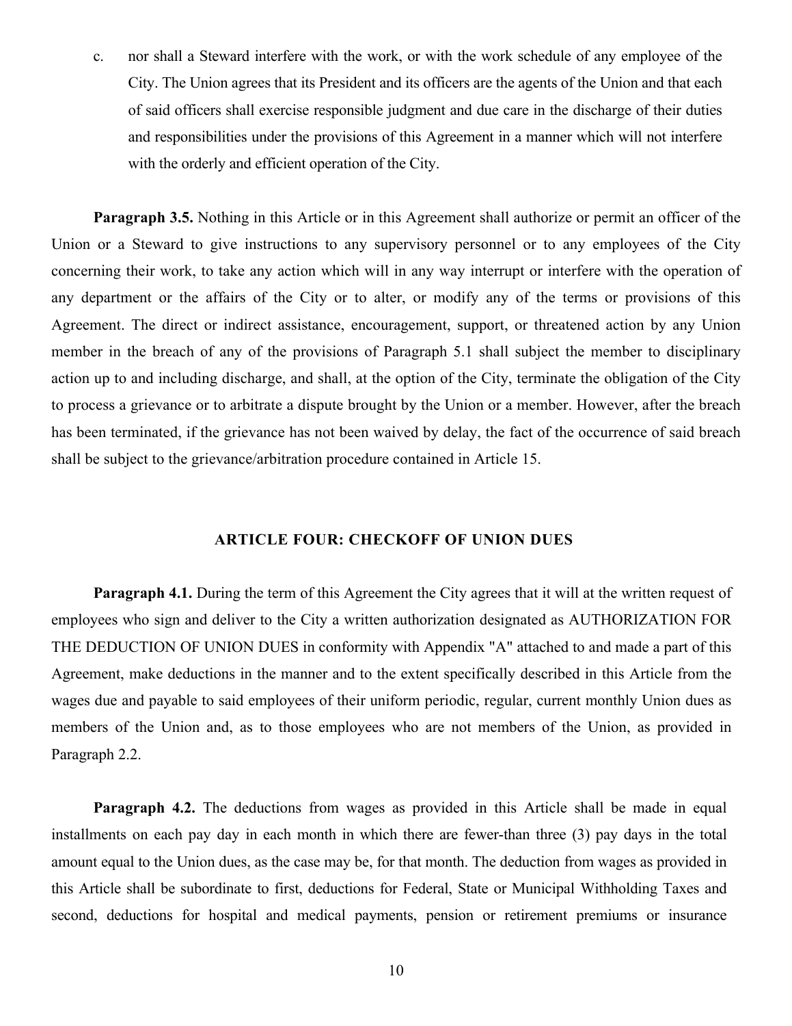c. nor shall a Steward interfere with the work, or with the work schedule of any employee of the City. The Union agrees that its President and its officers are the agents of the Union and that each of said officers shall exercise responsible judgment and due care in the discharge of their duties and responsibilities under the provisions of this Agreement in a manner which will not interfere with the orderly and efficient operation of the City.

**Paragraph 3.5.** Nothing in this Article or in this Agreement shall authorize or permit an officer of the Union or a Steward to give instructions to any supervisory personnel or to any employees of the City concerning their work, to take any action which will in any way interrupt or interfere with the operation of any department or the affairs of the City or to alter, or modify any of the terms or provisions of this Agreement. The direct or indirect assistance, encouragement, support, or threatened action by any Union member in the breach of any of the provisions of Paragraph 5.1 shall subject the member to disciplinary action up to and including discharge, and shall, at the option of the City, terminate the obligation of the City to process a grievance or to arbitrate a dispute brought by the Union or a member. However, after the breach has been terminated, if the grievance has not been waived by delay, the fact of the occurrence of said breach shall be subject to the grievance/arbitration procedure contained in Article 15.

#### **ARTICLE FOUR: CHECKOFF OF UNION DUES**

**Paragraph 4.1.** During the term of this Agreement the City agrees that it will at the written request of employees who sign and deliver to the City a written authorization designated as AUTHORIZATION FOR THE DEDUCTION OF UNION DUES in conformity with Appendix "A" attached to and made a part of this Agreement, make deductions in the manner and to the extent specifically described in this Article from the wages due and payable to said employees of their uniform periodic, regular, current monthly Union dues as members of the Union and, as to those employees who are not members of the Union, as provided in Paragraph 2.2.

**Paragraph 4.2.** The deductions from wages as provided in this Article shall be made in equal installments on each pay day in each month in which there are fewer-than three (3) pay days in the total amount equal to the Union dues, as the case may be, for that month. The deduction from wages as provided in this Article shall be subordinate to first, deductions for Federal, State or Municipal Withholding Taxes and second, deductions for hospital and medical payments, pension or retirement premiums or insurance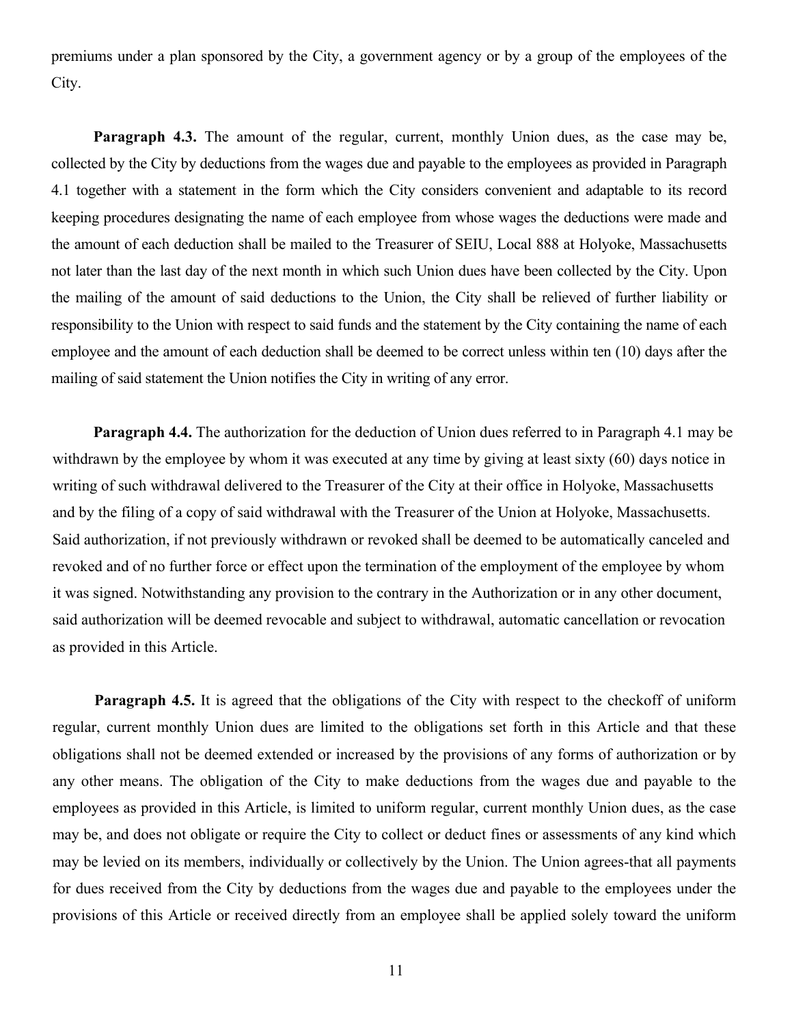premiums under a plan sponsored by the City, a government agency or by a group of the employees of the City.

**Paragraph 4.3.** The amount of the regular, current, monthly Union dues, as the case may be, collected by the City by deductions from the wages due and payable to the employees as provided in Paragraph 4.1 together with a statement in the form which the City considers convenient and adaptable to its record keeping procedures designating the name of each employee from whose wages the deductions were made and the amount of each deduction shall be mailed to the Treasurer of SEIU, Local 888 at Holyoke, Massachusetts not later than the last day of the next month in which such Union dueshave been collected by the City. Upon the mailing of the amount of said deductions to the Union, the City shall be relieved of further liability or responsibility to the Union with respect to said funds and the statement by the City containing the name of each employee and the amount of each deduction shall be deemed to be correct unless within ten (10) days after the mailing of said statement the Union notifies the City in writing of any error.

**Paragraph 4.4.** The authorization for the deduction of Union dues referred to in Paragraph 4.1 may be withdrawn by the employee by whom it was executed at any time by giving at least sixty (60) days notice in writing of such withdrawal delivered to the Treasurer of the City at their office in Holyoke, Massachusetts and by the filing of a copy of said withdrawal with the Treasurer of the Union at Holyoke, Massachusetts. Said authorization, if not previously withdrawn or revoked shall be deemed to be automatically canceled and revoked and of no further force or effect upon the termination of the employment of the employee by whom it was signed. Notwithstanding any provision to the contrary in the Authorization or in any other document, said authorization will be deemed revocable and subject to withdrawal, automatic cancellation or revocation as provided in this Article.

**Paragraph 4.5.** It is agreed that the obligations of the City with respect to the checkoff of uniform regular, current monthly Union dues are limited to the obligations set forth in this Article and that these obligations shall not be deemed extended or increased by the provisions of any forms of authorization or by any other means. The obligation of the City to make deductions from the wages due and payable to the employees as provided in this Article, is limited to uniform regular, current monthly Union dues, as the case may be, and does not obligate or require the City to collect or deduct fines or assessments of any kind which may be levied on its members, individually or collectively by the Union. The Union agrees-that all payments for dues received from the City by deductions from the wages due and payable to the employees under the provisions of this Article or received directly from an employee shall be applied solely toward the uniform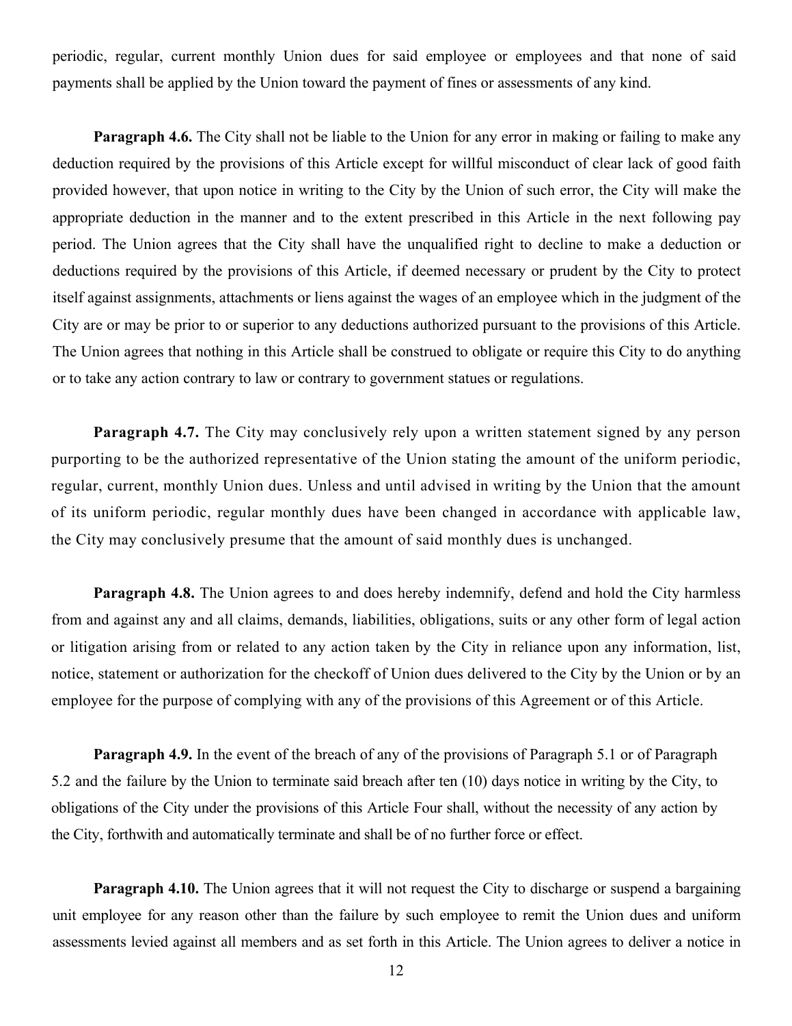periodic, regular, current monthly Union dues for said employee or employees and that none of said payments shall be applied by the Union toward the payment of fines or assessments of any kind.

**Paragraph 4.6.** The City shall not be liable to the Union for any error in making or failing to make any deduction required by the provisions of this Article except for willful misconduct of clear lack of good faith provided however, that upon notice in writing to the City by the Union of such error, the City will make the appropriate deduction in the manner and to the extent prescribed in this Article in the next following pay period. The Union agrees that the City shall have the unqualified right to decline to make a deduction or deductions required by the provisions of this Article, if deemed necessary or prudent by the City to protect itself against assignments, attachments or liens against the wages of an employee which in the judgment of the City are or may be prior to or superior to any deductions authorized pursuant to the provisions of this Article. The Union agrees that nothing in this Article shall be construed to obligate or require this City to do anything or to take any action contrary to law or contrary to government statues or regulations.

**Paragraph 4.7.** The City may conclusively rely upon a written statement signed by any person purporting to be the authorized representative of the Union stating the amount of the uniform periodic, regular, current, monthly Union dues. Unless and until advised in writing by the Union that the amount of its uniform periodic, regular monthly dues have been changed in accordance with applicable law, the City may conclusively presume that the amount of said monthly dues is unchanged.

**Paragraph 4.8.** The Union agrees to and does hereby indemnify, defend and hold the City harmless from and against any and all claims, demands, liabilities, obligations, suits or any other form of legal action or litigation arising from or related to any action taken by the City in reliance upon any information, list, notice, statement or authorization for the checkoff of Union duesdelivered to the City by the Union or by an employee for the purpose of complying with any of the provisions of this Agreement or of this Article.

**Paragraph 4.9.** In the event of the breach of any of the provisions of Paragraph 5.1 or of Paragraph 5.2 and the failure by the Union to terminate said breach after ten (10) days notice in writing by the City, to obligations of the City under the provisions of this Article Four shall, without the necessity of any action by the City, forthwith and automatically terminate and shall be of no further force or effect.

**Paragraph 4.10.** The Union agrees that it will not request the City to discharge or suspend a bargaining unit employee for any reason other than the failure by such employee to remit the Union dues and uniform assessments levied against all members and as set forth in this Article. The Union agrees to deliver a notice in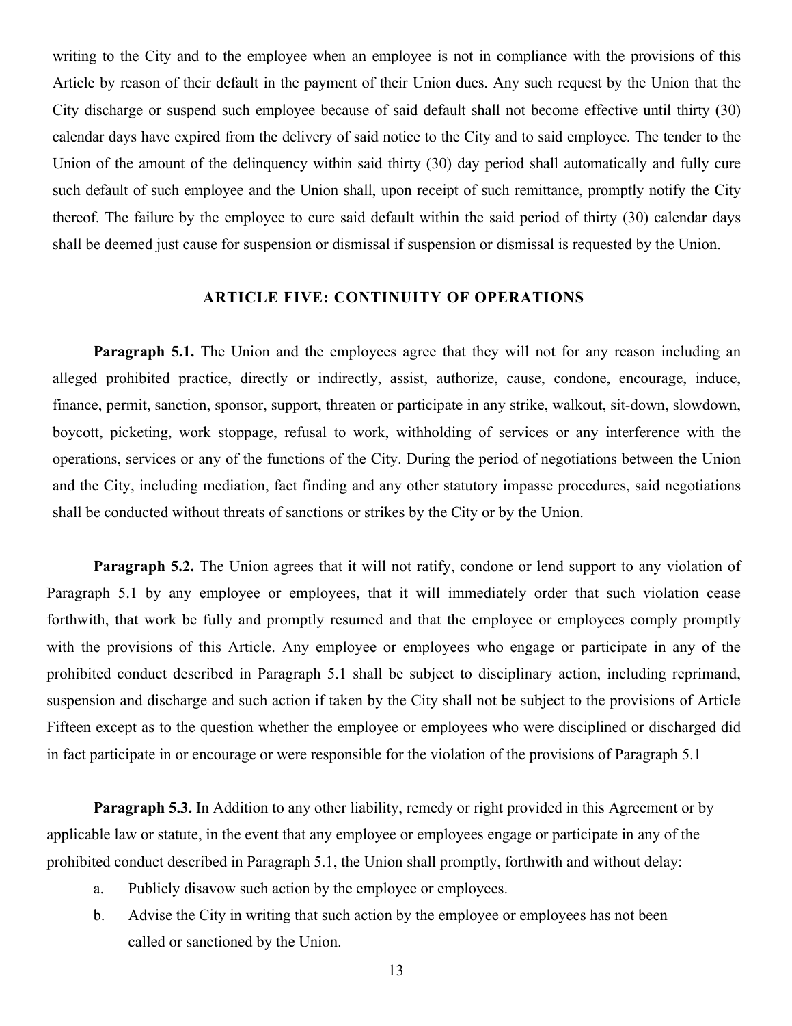writing to the City and to the employee when an employee is not in compliance with the provisions of this Article by reason of their default in the payment of their Union dues. Any such request by the Union that the City discharge or suspend such employee because of said default shall not become effective until thirty (30) calendar days have expired from the delivery of said notice to the City and to said employee. The tender to the Union of the amount of the delinquency within said thirty (30) day period shall automatically and fully cure such default of such employee and the Union shall, upon receipt of such remittance, promptly notify the City thereof. The failure by the employee to cure said default within the said period of thirty (30) calendar days shall be deemed just cause for suspension or dismissal if suspension or dismissal is requested by the Union.

#### **ARTICLE FIVE: CONTINUITY OF OPERATIONS**

**Paragraph 5.1.** The Union and the employees agree that they will not for any reason including an alleged prohibited practice, directly or indirectly, assist, authorize, cause, condone, encourage, induce, finance, permit, sanction, sponsor, support, threaten or participate in any strike, walkout, sit-down, slowdown, boycott, picketing, work stoppage, refusal to work, withholding of services or any interference with the operations, services or any of the functions of the City. During the period of negotiations between the Union and the City, including mediation, fact finding and any other statutory impasse procedures, said negotiations shall be conducted without threats of sanctions or strikes by the City or by the Union.

**Paragraph 5.2.** The Union agrees that it will not ratify, condone or lend support to any violation of Paragraph 5.1 by any employee or employees, that it will immediately order that such violation cease forthwith, that work be fully and promptly resumed and that the employee or employees comply promptly with the provisions of this Article. Any employee or employees who engage or participate in any of the prohibited conduct described in Paragraph 5.1 shall be subject to disciplinary action, including reprimand, suspension and discharge and such action if taken by the City shall not be subject to the provisions of Article Fifteen except as to the question whether the employee or employees who were disciplined or discharged did in fact participate in or encourage or were responsible for the violation of the provisions of Paragraph 5.1

**Paragraph 5.3.** In Addition to any other liability, remedy or right provided in this Agreement or by applicable law or statute, in the event that any employee or employees engage or participate in any of the prohibited conduct described in Paragraph 5.1, the Union shall promptly, forthwith and without delay:

- a. Publicly disavow such action by the employee or employees.
- b. Advise the City in writing that such action by the employee or employees has not been called or sanctioned by the Union.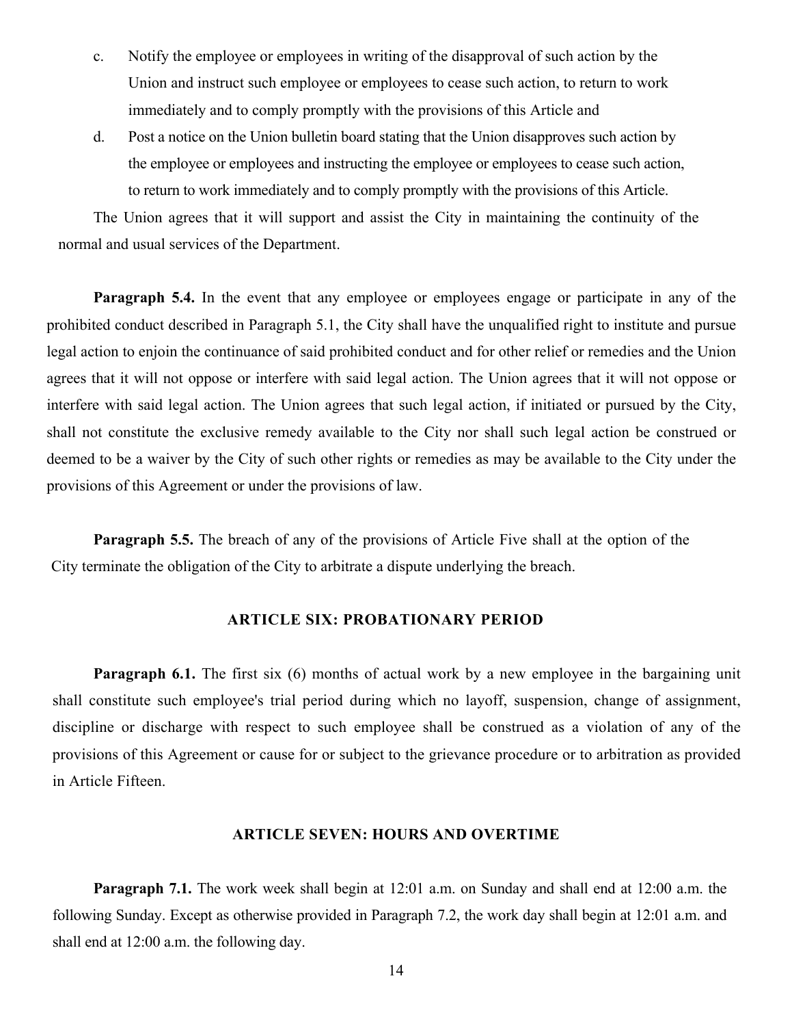- c. Notify the employee or employees in writing of the disapproval of such action by the Union and instruct such employee or employees to cease such action, to return to work immediately and to comply promptly with the provisions of this Article and
- d. Post a notice on the Union bulletin board stating that the Union disapproves such action by the employee or employees and instructing the employee or employees to cease such action, to return to work immediately and to comply promptly with the provisions of this Article.

The Union agrees that it will support and assist the City in maintaining the continuity of the normal and usual services of the Department.

**Paragraph 5.4.** In the event that any employee or employees engage or participate in any of the prohibited conduct described in Paragraph 5.1, the City shall have the unqualified right to institute and pursue legal action to enjoin the continuance of said prohibited conduct and for other relief or remedies and the Union agrees that it will not oppose or interfere with said legal action. The Union agrees that it will not oppose or interfere with said legal action. The Union agrees that such legal action, if initiated or pursued by the City, shall not constitute the exclusive remedy available to the City nor shall such legal action be construed or deemed to be a waiver by the City of such other rights or remedies as may be available to the City under the provisions of this Agreement or under the provisions of law.

**Paragraph 5.5.** The breach of any of the provisions of Article Five shall at the option of the City terminate the obligation of the City to arbitrate a dispute underlying the breach.

#### **ARTICLE SIX: PROBATIONARY PERIOD**

**Paragraph 6.1.** The first six (6) months of actual work by a new employee in the bargaining unit shall constitute such employee's trial period during which no layoff, suspension, change of assignment, discipline or discharge with respect to such employee shall be construed as a violation of any of the provisions of this Agreement or cause for or subject to the grievance procedure or to arbitration as provided in Article Fifteen.

#### **ARTICLE SEVEN: HOURS AND OVERTIME**

**Paragraph 7.1.** The work week shall begin at 12:01 a.m. on Sunday and shall end at 12:00 a.m. the following Sunday. Except as otherwise provided in Paragraph 7.2, the work day shall begin at 12:01 a.m. and shall end at 12:00 a.m. the following day.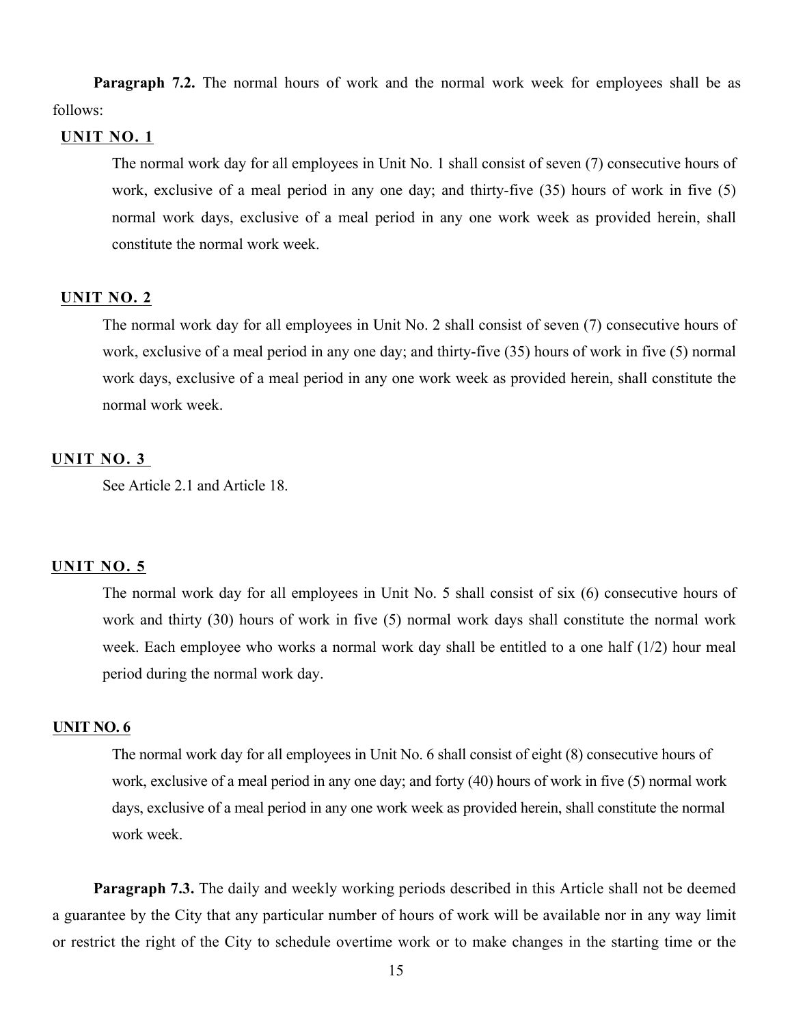**Paragraph 7.2.** The normal hours of work and the normal work week for employees shall be as follows:

#### **UNIT NO. 1**

The normal work day for all employees in Unit No. 1 shall consist of seven (7) consecutive hours of work, exclusive of a meal period in any one day; and thirty-five (35) hours of work in five (5) normal work days, exclusive of a meal period in any one work week as provided herein, shall constitute the normal work week.

#### **UNIT NO. 2**

The normal work day for all employees in Unit No. 2 shall consist of seven (7) consecutive hours of work, exclusive of a meal period in any one day; and thirty-five (35) hours of work in five (5) normal work days, exclusive of a meal period in any one work week as provided herein, shall constitute the normal work week.

#### **UNIT NO. 3**

See Article 2.1 and Article 18.

#### **UNIT NO. 5**

The normal work day for all employees in Unit No. 5 shall consist of six (6) consecutive hours of work and thirty (30) hours of work in five (5) normal work days shall constitute the normal work week. Each employee who works a normal work day shall be entitled to a one half (1/2) hour meal period during the normal work day.

#### **UNIT NO. 6**

The normal work day for all employees in Unit No. 6 shall consist of eight (8) consecutive hours of work, exclusive of a meal period in any one day; and forty (40) hours of work in five (5) normal work days, exclusive of a meal period in any one work week as provided herein, shall constitute the normal work week.

**Paragraph 7.3.** The daily and weekly working periods described in this Article shall not be deemed a guarantee by the City that any particular number of hours of work will be available nor in any way limit or restrict the right of the City to schedule overtime work or to make changes in the starting time or the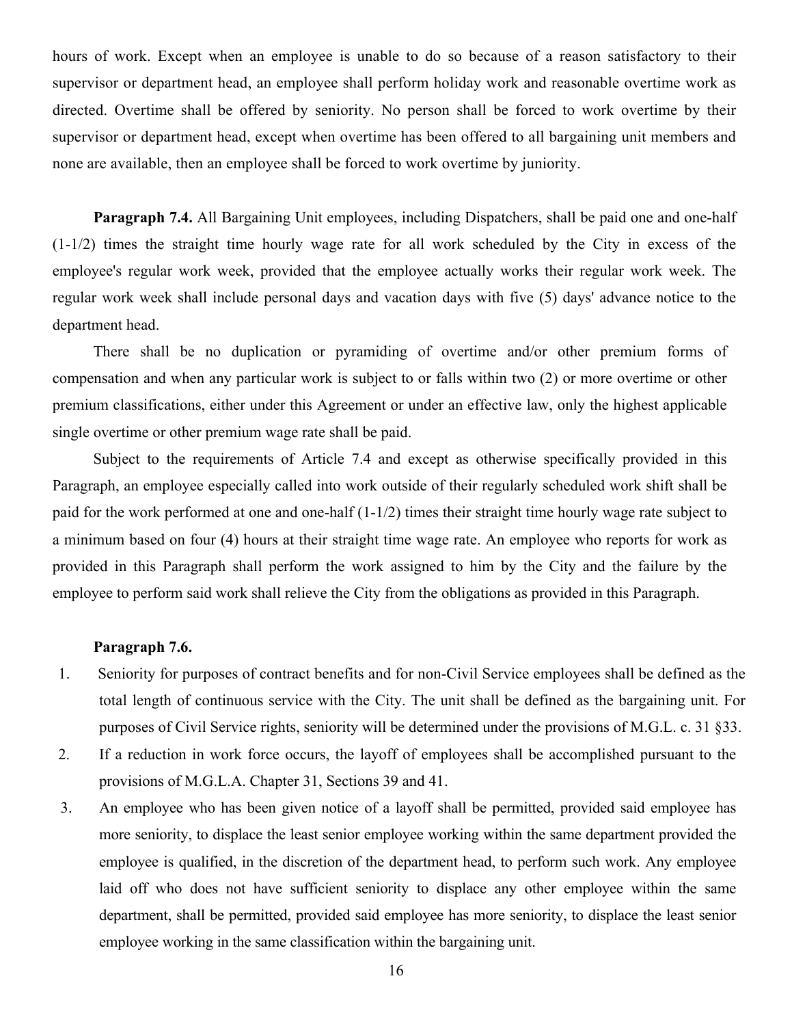hours of work. Except when an employee is unable to do so because of a reason satisfactory to their supervisor or department head, an employee shall perform holiday work and reasonable overtime work as directed. Overtime shall be offered by seniority. No person shall be forced to work overtime by their supervisor or department head, except when overtime has been offered to all bargaining unit members and none are available, then an employee shall be forced to work overtime by juniority.

**Paragraph 7.4.** All Bargaining Unit employees, including Dispatchers, shall be paid one and one-half (1-1/2) times the straight time hourly wage rate for all work scheduled by the City in excess of the employee's regular work week, provided that the employee actually works their regular work week. The regular work week shall include personal days and vacation days with five (5) days' advance notice to the department head.

There shall be no duplication or pyramiding of overtime and/or other premium forms of compensation and when any particular work is subject to or falls within two (2) or more overtime or other premium classifications, either under this Agreement or under an effective law, only the highest applicable single overtime or other premium wage rate shall be paid.

Subject to the requirements of Article 7.4 and except as otherwise specifically provided in this Paragraph, an employee especially called into work outside of their regularly scheduled work shift shall be paid for the work performed at one and one-half (1-1/2) times their straight time hourly wage rate subject to a minimum based on four (4) hours at their straight time wage rate. An employee who reports for work as provided in this Paragraph shall perform the work assigned to him by the City and the failure by the employee to perform said work shall relieve the City from the obligations as provided in this Paragraph.

#### **Paragraph 7.6.**

- 1. Seniority for purposes of contract benefits and for non-Civil Service employees shall be defined as the total length of continuous service with the City. The unit shall be defined as the bargaining unit. For purposes of Civil Service rights, seniority will be determined under the provisions of M.G.L. c. 31 §33.
- 2. If a reduction in work force occurs, the layoff of employees shall be accomplished pursuant to the provisions of M.G.L.A. Chapter 31, Sections 39 and 41.
- 3. An employee who has been given notice of a layoff shall be permitted, provided said employee has more seniority, to displace the least senior employee working within the same department provided the employee is qualified, in the discretion of the department head, to perform such work. Any employee laid off who does not have sufficient seniority to displace any other employee within the same department, shall be permitted, provided said employee has more seniority, to displace the least senior employee working in the same classification within the bargaining unit.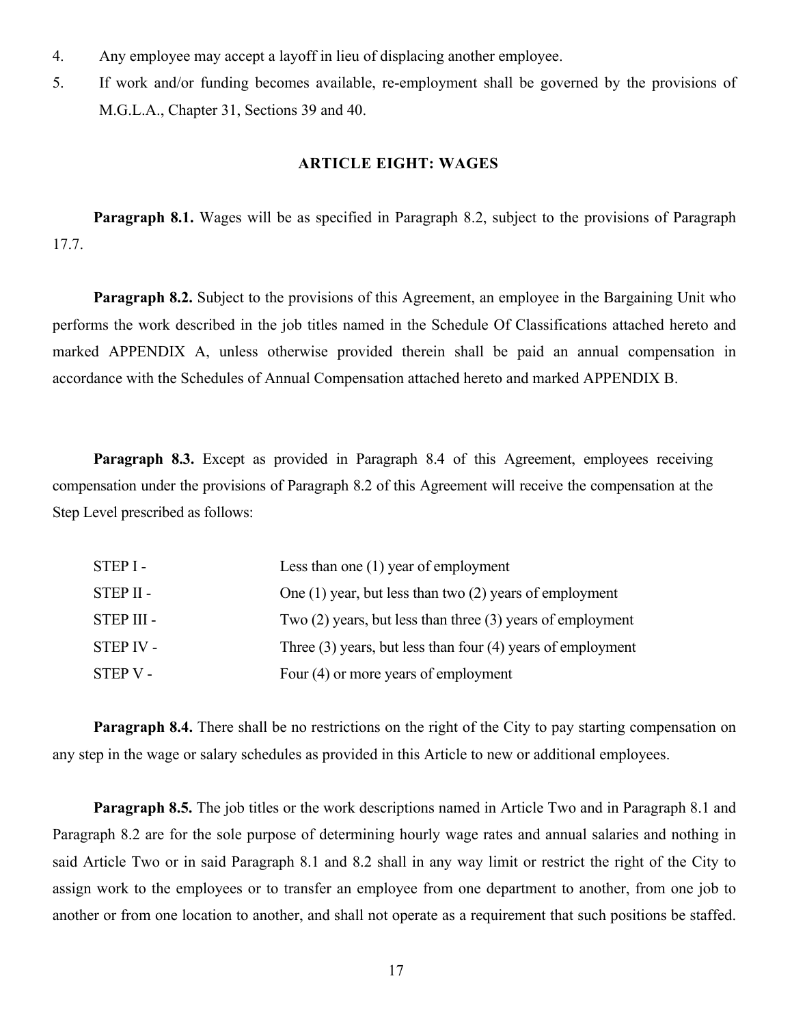- 4. Any employee may accept a layoff in lieu of displacing another employee.
- 5. If work and/or funding becomes available, re-employment shall be governed by the provisions of M.G.L.A., Chapter 31, Sections 39 and 40.

#### **ARTICLE EIGHT: WAGES**

**Paragraph 8.1.** Wages will be as specified in Paragraph 8.2, subject to the provisions of Paragraph 17.7.

**Paragraph 8.2.** Subject to the provisions of this Agreement, an employee in the Bargaining Unit who performs the work described in the job titles named in the Schedule Of Classifications attached hereto and marked APPENDIX A, unless otherwise provided therein shall be paid an annual compensation in accordance with the Schedules of Annual Compensation attached hereto and marked APPENDIX B.

**Paragraph 8.3.** Except as provided in Paragraph 8.4 of this Agreement, employees receiving compensation under the provisions of Paragraph 8.2 of this Agreement will receive the compensation at the Step Level prescribed as follows:

| STEP I-          | Less than one $(1)$ year of employment                          |
|------------------|-----------------------------------------------------------------|
| STEP II -        | One $(1)$ year, but less than two $(2)$ years of employment     |
| STEP III -       | Two $(2)$ years, but less than three $(3)$ years of employment  |
| <b>STEP IV -</b> | Three $(3)$ years, but less than four $(4)$ years of employment |
| STEP V -         | Four (4) or more years of employment                            |

**Paragraph 8.4.** There shall be no restrictions on the right of the City to pay starting compensation on any step in the wage or salary schedules as provided in this Article to new or additional employees.

**Paragraph 8.5.** The job titles or the work descriptions named in Article Two and in Paragraph 8.1 and Paragraph 8.2 are for the sole purpose of determining hourly wage rates and annual salaries and nothing in said Article Two or in said Paragraph 8.1 and 8.2 shall in any way limit or restrict the right of the City to assign work to the employees or to transfer an employee from one department to another, from one job to another or from one location to another, and shall not operate as a requirement that such positions be staffed.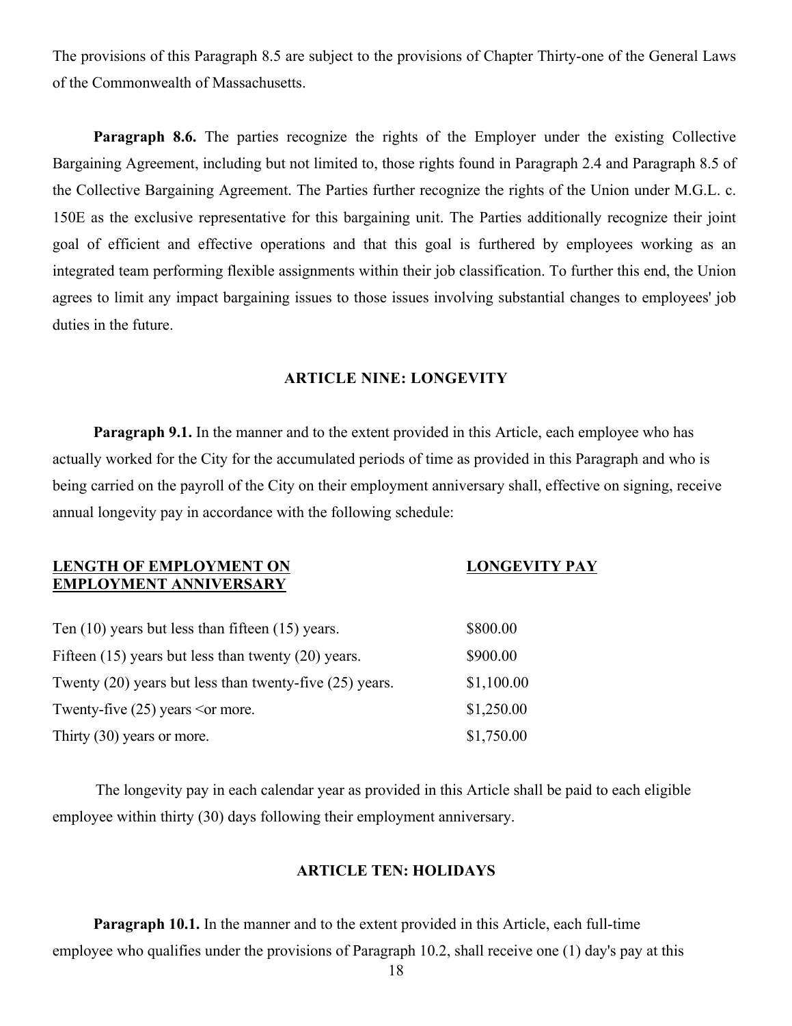The provisions of this Paragraph 8.5 are subject to the provisions of Chapter Thirty-one of the General Laws of the Commonwealth of Massachusetts.

**Paragraph 8.6.** The parties recognize the rights of the Employer under the existing Collective Bargaining Agreement, including but not limited to, those rights found in Paragraph 2.4 and Paragraph 8.5 of the Collective Bargaining Agreement. The Parties further recognize the rights of the Union under M.G.L. c. 150E as the exclusive representative for this bargaining unit. The Parties additionally recognize their joint goal of efficient and effective operations and that this goal is furthered by employees working as an integrated team performing flexible assignments within their job classification. To further this end, the Union agrees to limit any impact bargaining issues to those issues involving substantial changes to employees' job duties in the future.

#### **ARTICLE NINE: LONGEVITY**

**Paragraph 9.1.** In the manner and to the extent provided in this Article, each employee who has actually worked for the City for the accumulated periods of time as provided in this Paragraph and who is being carried on the payroll of the City on their employment anniversary shall, effective on signing, receive annual longevity pay in accordance with the following schedule:

#### **LENGTH OF EMPLOYMENT ON LONGEVITY PAY EMPLOYMENT ANNIVERSARY**

| \$800.00   |
|------------|
| \$900.00   |
| \$1,100.00 |
| \$1,250.00 |
| \$1,750.00 |
|            |

The longevity pay in each calendar year as provided in this Article shall be paid to each eligible employee within thirty (30) days following their employment anniversary.

#### **ARTICLE TEN: HOLIDAYS**

**Paragraph 10.1.** In the manner and to the extent provided in this Article, each full-time employee who qualifies under the provisions of Paragraph 10.2, shall receive one (1) day's pay at this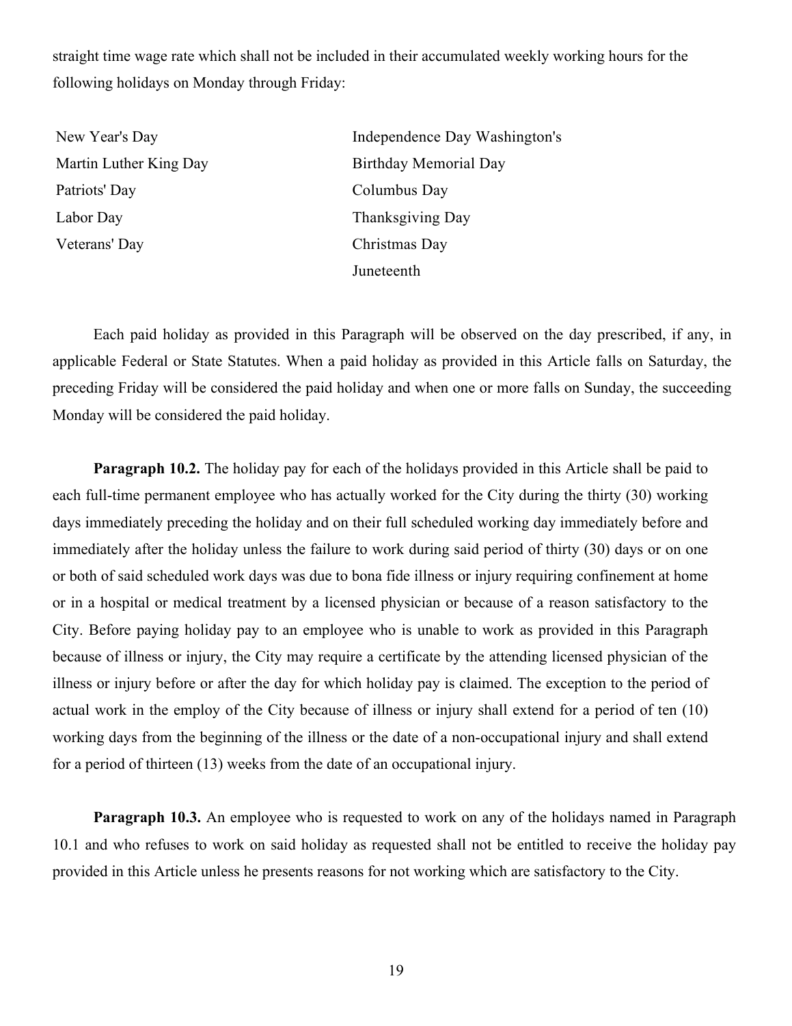straight time wage rate which shall not be included in their accumulated weekly working hours for the following holidays on Monday through Friday:

| New Year's Day         | Independence Day Washington's |
|------------------------|-------------------------------|
| Martin Luther King Day | Birthday Memorial Day         |
| Patriots' Day          | Columbus Day                  |
| Labor Day              | Thanksgiving Day              |
| Veterans' Day          | Christmas Day                 |
|                        | Juneteenth                    |

Each paid holiday as provided in this Paragraph will be observed on the day prescribed, if any, in applicable Federal or State Statutes. When a paid holiday as provided in this Article falls on Saturday, the preceding Friday will be considered the paid holiday and when one or more falls on Sunday, the succeeding Monday will be considered the paid holiday.

**Paragraph 10.2.** The holiday pay for each of the holidays provided in this Article shall be paid to each full-time permanent employee who has actually worked for the City during the thirty (30) working days immediately preceding the holiday and on their full scheduled working day immediately before and immediately after the holiday unless the failure to work during said period of thirty (30) days or on one or both of said scheduled work days was due to bona fide illness or injury requiring confinement at home or in a hospital or medical treatment by a licensed physician or because of a reason satisfactory to the City. Before paying holiday pay to an employee who is unable to work as provided in this Paragraph because of illness or injury, the City may require a certificate by the attending licensed physician of the illness or injury before or after the day for which holiday pay is claimed. The exception to the period of actual work in the employ of the City because of illness or injury shall extend for a period of ten (10) working days from the beginning of the illness or the date of a non-occupational injury and shall extend for a period of thirteen (13) weeks from the date of an occupational injury.

**Paragraph 10.3.** An employee who is requested to work on any of the holidays named in Paragraph 10.1 and who refuses to work on said holiday as requested shall not be entitled to receive the holiday pay provided in this Article unless he presents reasons for not working which are satisfactory to the City.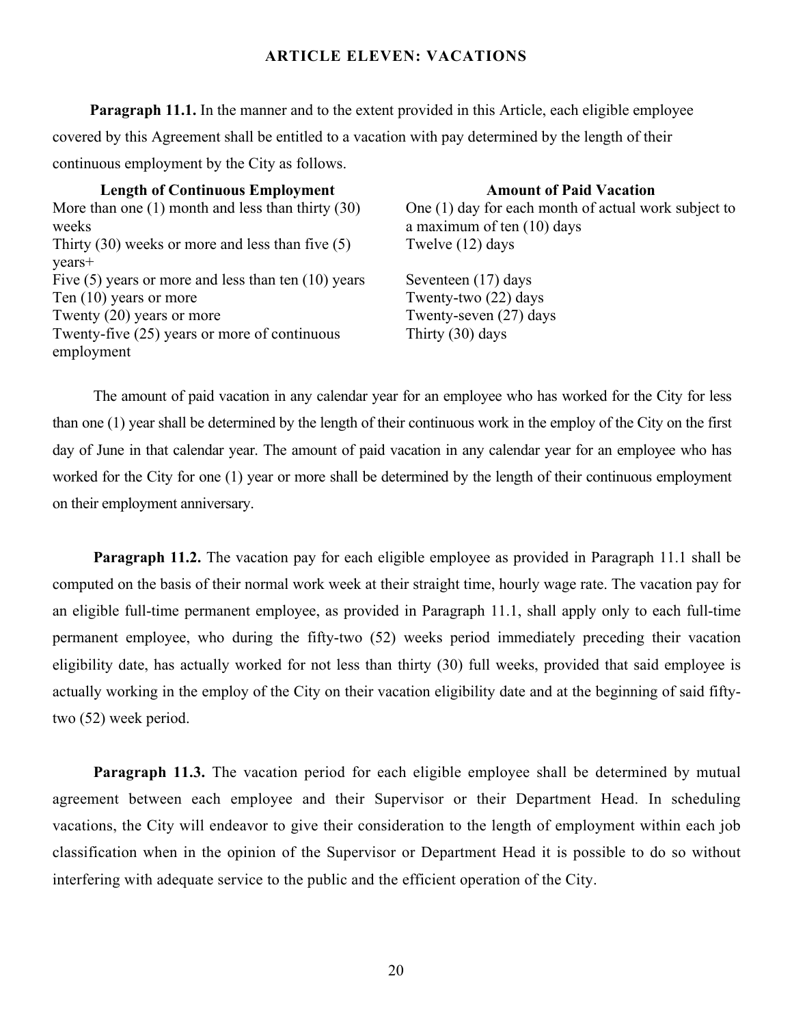#### **ARTICLE ELEVEN: VACATIONS**

**Paragraph 11.1.** In the manner and to the extent provided in this Article, each eligible employee covered by this Agreement shall be entitled to a vacation with pay determined by the length of their continuous employment by the City as follows.

**Length of Continuous Employment Amount of Paid Vacation** More than one (1) month and less than thirty (30) weeks Thirty (30) weeks or more and less than five (5) years+ Five  $(5)$  years or more and less than ten  $(10)$  years Seventeen  $(17)$  days Ten (10) years or more Twenty-two (22) days Twenty (20) years or more Twenty-seven (27) days Twenty-five (25) years or more of continuous employment

One (1) day for each month of actual work subject to a maximum of ten (10) days Twelve (12) days

Thirty (30) days

The amount of paid vacation in any calendar year for an employee who has worked for the City for less than one (1) year shall be determined by the length of their continuous work in the employ of the City on the first day of June in that calendar year. The amount of paid vacation in any calendar year for an employee who has worked for the City for one  $(1)$  year or more shall be determined by the length of their continuous employment on their employment anniversary.

**Paragraph 11.2.** The vacation pay for each eligible employee as provided in Paragraph 11.1 shall be computed on the basis of their normal work week at their straight time, hourly wage rate. The vacation pay for an eligible full-time permanent employee, as provided in Paragraph 11.1, shall apply only to each full-time permanent employee, who during the fifty-two (52) weeks period immediately preceding their vacation eligibility date, has actually worked for not less than thirty (30) full weeks, provided that said employee is actually working in the employ of the City on their vacation eligibility date and at the beginning of said fiftytwo (52) week period.

**Paragraph 11.3.** The vacation period for each eligible employee shall be determined by mutual agreement between each employee and their Supervisor or their Department Head. In scheduling vacations, the City will endeavor to give their consideration to the length of employment within each job classification when in the opinion of the Supervisor or Department Head it is possible to do so without interfering with adequate service to the public and the efficient operation of the City.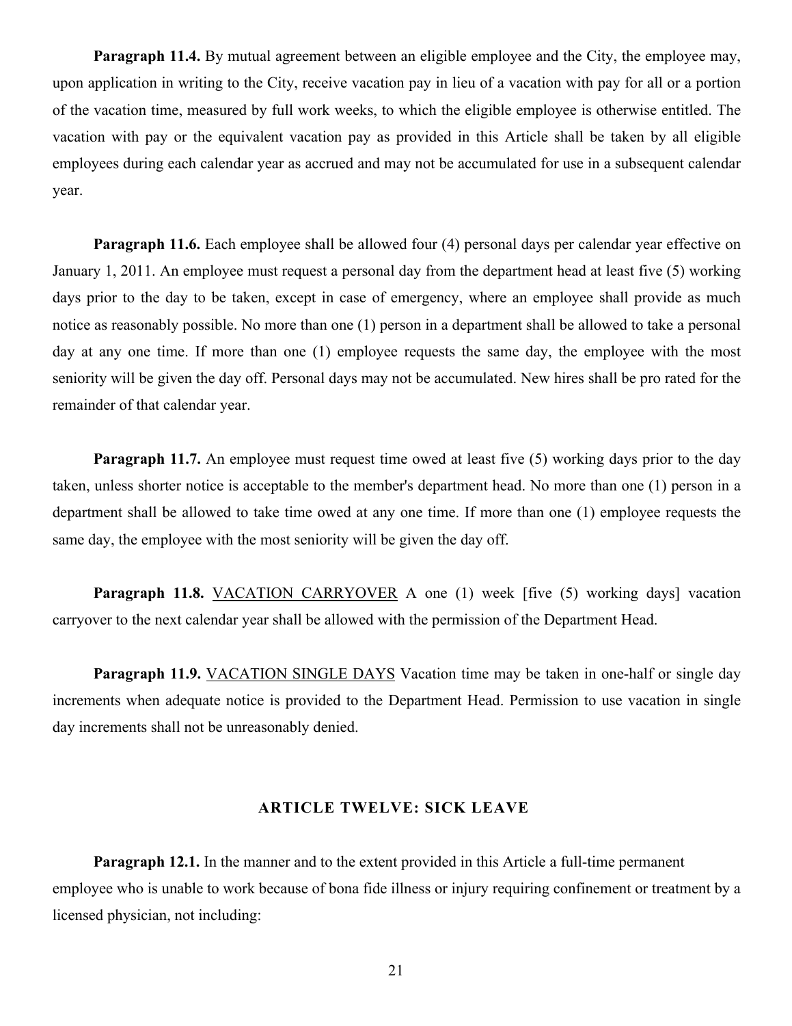**Paragraph 11.4.** By mutual agreement between an eligible employee and the City, the employee may, upon application in writing to the City, receive vacation pay in lieu of a vacation with pay for all or a portion of the vacation time, measured by full work weeks, to which the eligible employee is otherwise entitled. The vacation with pay or the equivalent vacation pay as provided in this Article shall be taken by all eligible employees during each calendar year as accrued and may not be accumulated for use in a subsequent calendar year.

**Paragraph 11.6.** Each employee shall be allowed four (4) personal days per calendar year effective on January 1, 2011. An employee must request a personal day from the department head at least five (5) working days prior to the day to be taken, except in case of emergency, where an employee shall provide as much notice as reasonably possible. No more than one (1) person in a department shall be allowed to take a personal day at any one time. If more than one (1) employee requests the same day, the employee with the most seniority will be given the day off. Personal days may not be accumulated. New hires shall be pro rated for the remainder of that calendar year.

**Paragraph 11.7.** An employee must request time owed at least five (5) working days prior to the day taken, unless shorter notice is acceptable to the member's department head. No more than one (1) person in a department shall be allowed to take time owed at any one time. If more than one (1) employee requests the same day, the employee with the most seniority will be given the day off.

**Paragraph 11.8.** VACATION CARRYOVER A one (1) week [five (5) working days] vacation carryover to the next calendar year shall be allowed with the permission of the Department Head.

**Paragraph 11.9.** VACATION SINGLE DAYS Vacation time may be taken in one-half or single day increments when adequate notice is provided to the Department Head. Permission to use vacation in single day increments shall not be unreasonably denied.

#### **ARTICLE TWELVE: SICK LEAVE**

**Paragraph 12.1.** In the manner and to the extent provided in this Article a full-time permanent employee who is unable to work because of bona fide illness or injury requiring confinement or treatment by a licensed physician, not including: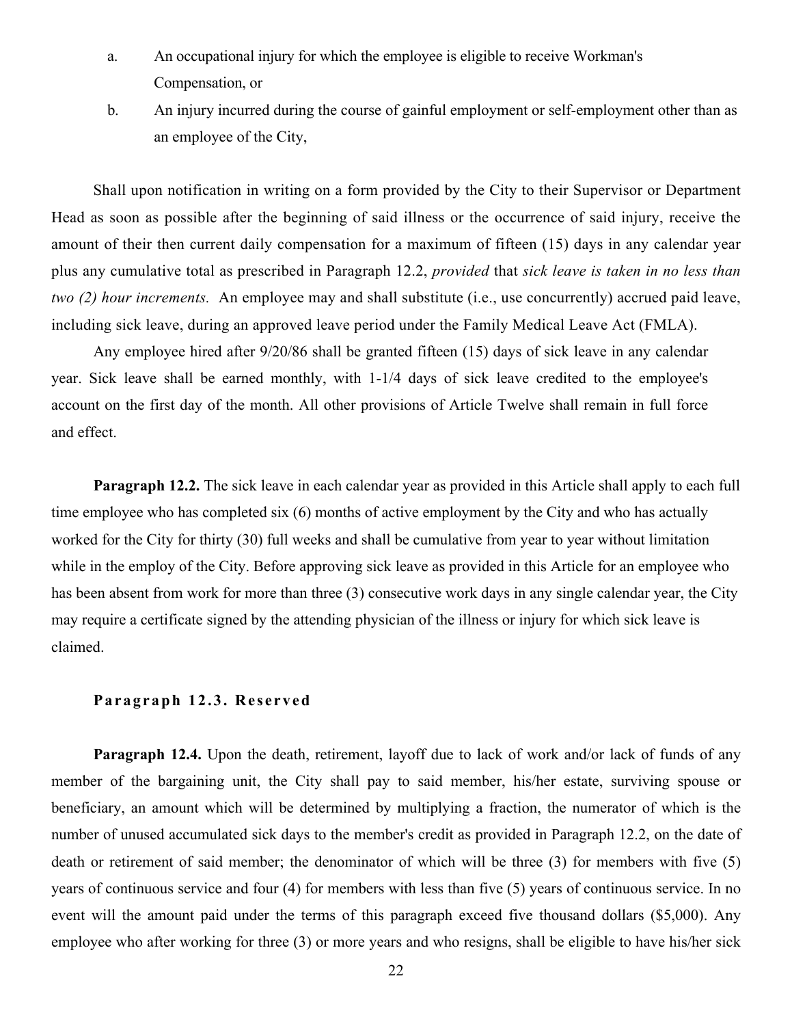- a. An occupational injury for which the employee is eligible to receive Workman's Compensation, or
- b. An injury incurred during the course of gainful employment or self-employment other than as an employee of the City,

Shall upon notification in writing on a form provided by the City to their Supervisor or Department Head as soon as possible after the beginning of said illness or the occurrence of said injury, receive the amount of their then current daily compensation for a maximum of fifteen (15) days in any calendar year plus any cumulative total as prescribed in Paragraph 12.2, *provided* that *sick leave istaken in no less than* two (2) hour increments. An employee may and shall substitute (i.e., use concurrently) accrued paid leave, including sick leave, during an approved leave period under the Family Medical Leave Act (FMLA).

Any employee hired after 9/20/86 shall be granted fifteen (15) days of sick leave in any calendar year. Sick leave shall be earned monthly, with 1-1/4 days of sick leave credited to the employee's account on the first day of the month. All other provisions of Article Twelve shall remain in full force and effect.

**Paragraph 12.2.** The sick leave in each calendar year as provided in this Article shall apply to each full time employee who has completed six (6) months of active employment by the City and who has actually worked for the City for thirty (30) full weeks and shall be cumulative from year to year without limitation while in the employ of the City. Before approving sick leave as provided in this Article for an employee who has been absent from work for more than three (3) consecutive work days in any single calendar year, the City may require a certificate signed by the attending physician of the illness or injury for which sick leave is claimed.

#### **Pa r a g r aph 1 2.3. Re s e r ved**

**Paragraph 12.4.** Upon the death, retirement, layoff due to lack of work and/or lack of funds of any member of the bargaining unit, the City shall pay to said member, his/her estate, surviving spouse or beneficiary, an amount which will be determined by multiplying a fraction, the numerator of which is the number of unused accumulated sick days to the member's credit as provided in Paragraph 12.2, on the date of death or retirement of said member; the denominator of which will be three (3) for members with five (5) years of continuous service and four (4) for members with less than five (5) years of continuous service. In no event will the amount paid under the terms of this paragraph exceed five thousand dollars (\$5,000). Any employee who after working for three (3) or more years and who resigns, shall be eligible to have his/her sick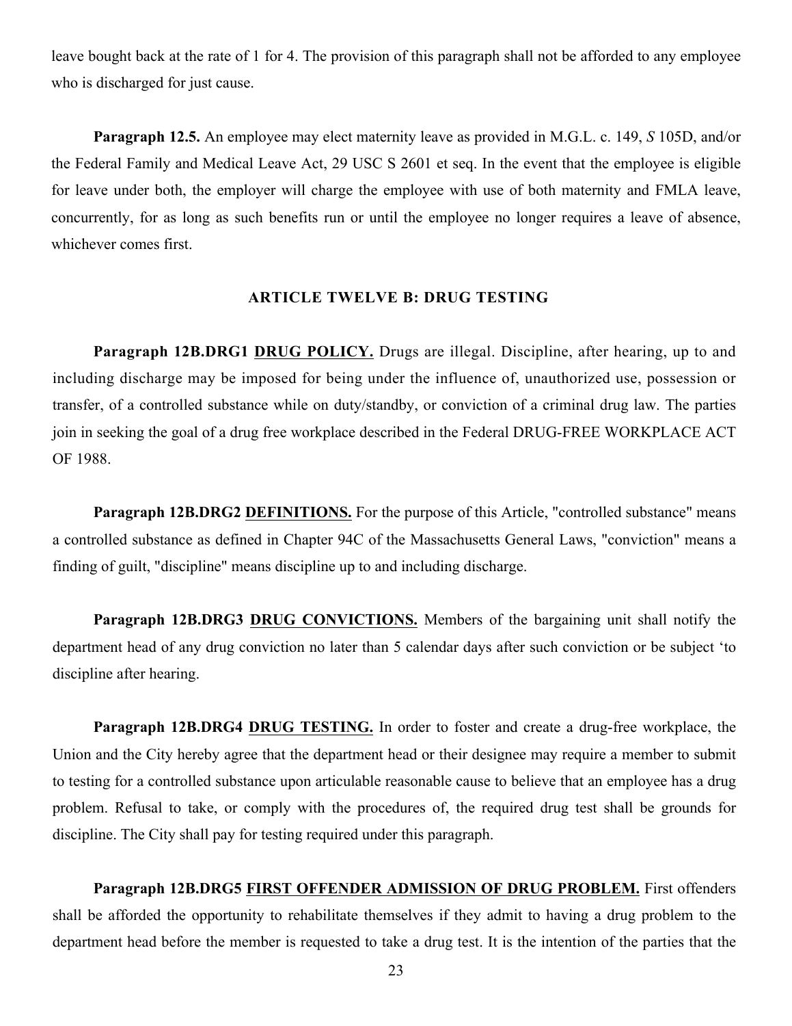leave bought back at the rate of 1 for 4. The provision of this paragraph shall not be afforded to any employee who is discharged for just cause.

**Paragraph 12.5.** An employee may elect maternity leave as provided in M.G.L. c. 149, *S* 105D, and/or the Federal Family and Medical Leave Act, 29 USC S 2601 et seq. In the event that the employee is eligible for leave under both, the employer will charge the employee with use of both maternity and FMLA leave, concurrently, for as long as such benefits run or until the employee no longer requires a leave of absence, whichever comes first.

#### **ARTICLE TWELVE B: DRUG TESTING**

**Paragraph 12B.DRG1 DRUG POLICY.** Drugs are illegal. Discipline, after hearing, up to and including discharge may be imposed for being under the influence of, unauthorized use, possession or transfer, of a controlled substance while on duty/standby, or conviction of a criminal drug law. The parties join in seeking the goal of a drug free workplace described in the Federal DRUG-FREE WORKPLACE ACT OF 1988.

**Paragraph 12B.DRG2 DEFINITIONS.** For the purpose of this Article, "controlled substance" means a controlled substance as defined in Chapter 94C of the Massachusetts General Laws, "conviction" means a finding of guilt, "discipline" means discipline up to and including discharge.

**Paragraph 12B.DRG3 DRUG CONVICTIONS.** Members of the bargaining unit shall notify the department head of any drug conviction no later than 5 calendar days after such conviction or be subject 'to discipline after hearing.

**Paragraph 12B.DRG4 DRUG TESTING.** In order to foster and create a drug-free workplace, the Union and the City hereby agree that the department head or their designee may require a member to submit to testing for a controlled substance upon articulable reasonable cause to believe that an employee has a drug problem. Refusal to take, or comply with the procedures of, the required drug test shall be grounds for discipline. The City shall pay for testing required under this paragraph.

**Paragraph 12B.DRG5 FIRST OFFENDER ADMISSION OF DRUG PROBLEM.** First offenders shall be afforded the opportunity to rehabilitate themselves if they admit to having a drug problem to the department head before the member is requested to take a drug test. It is the intention of the parties that the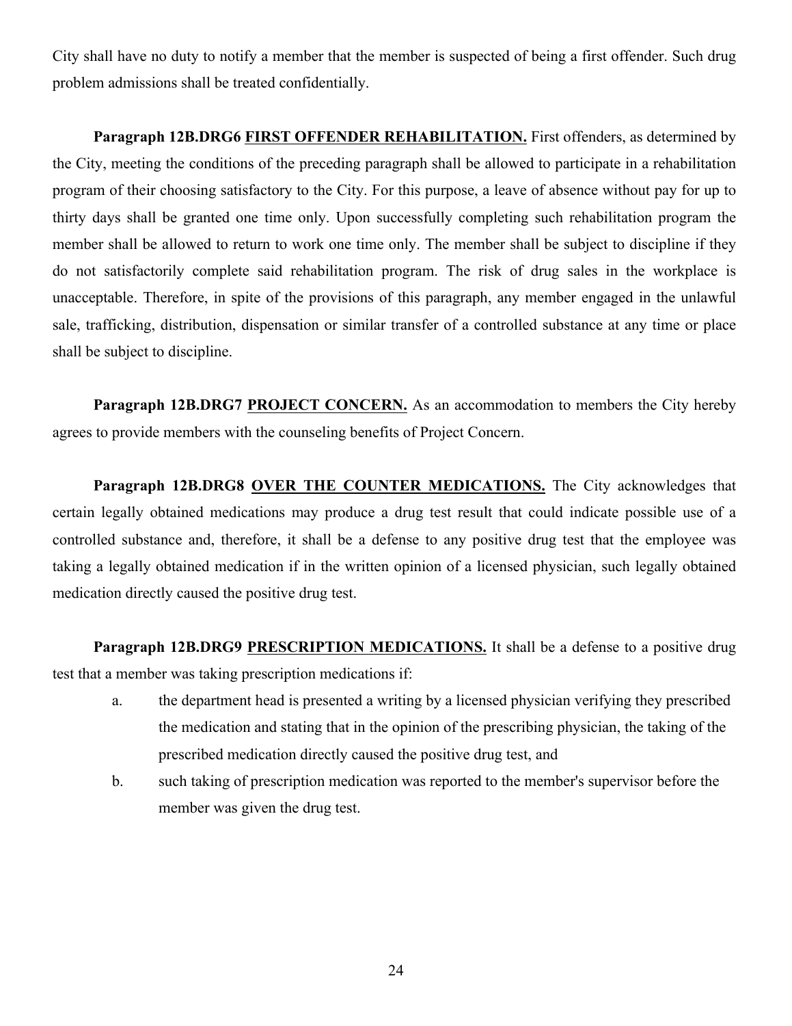City shall have no duty to notify a member that the member is suspected of being a first offender. Such drug problem admissions shall be treated confidentially.

**Paragraph 12B.DRG6 FIRST OFFENDER REHABILITATION.** First offenders, as determined by the City, meeting the conditions of the preceding paragraph shall be allowed to participate in a rehabilitation program of their choosing satisfactory to the City. For this purpose, a leave of absence without pay for up to thirty days shall be granted one time only. Upon successfully completing such rehabilitation program the member shall be allowed to return to work one time only. The member shall be subject to discipline if they do not satisfactorily complete said rehabilitation program. The risk of drug sales in the workplace is unacceptable. Therefore, in spite of the provisions of this paragraph, any member engaged in the unlawful sale, trafficking, distribution, dispensation or similar transfer of a controlled substance at any time or place shall be subject to discipline.

**Paragraph 12B.DRG7 PROJECT CONCERN.** As an accommodation to members the City hereby agrees to provide members with the counseling benefits of Project Concern.

**Paragraph 12B.DRG8 OVER THE COUNTER MEDICATIONS.** The City acknowledges that certain legally obtained medications may produce a drug test result that could indicate possible use of a controlled substance and, therefore, it shall be a defense to any positive drug test that the employee was taking a legally obtained medication if in the written opinion of a licensed physician, such legally obtained medication directly caused the positive drug test.

Paragraph 12B.DRG9 PRESCRIPTION MEDICATIONS. It shall be a defense to a positive drug test that a member was taking prescription medications if:

- a. the department head is presented a writing by a licensed physician verifying they prescribed the medication and stating that in the opinion of the prescribing physician, the taking of the prescribed medication directly caused the positive drug test, and
- b. such taking of prescription medication was reported to the member's supervisor before the member was given the drug test.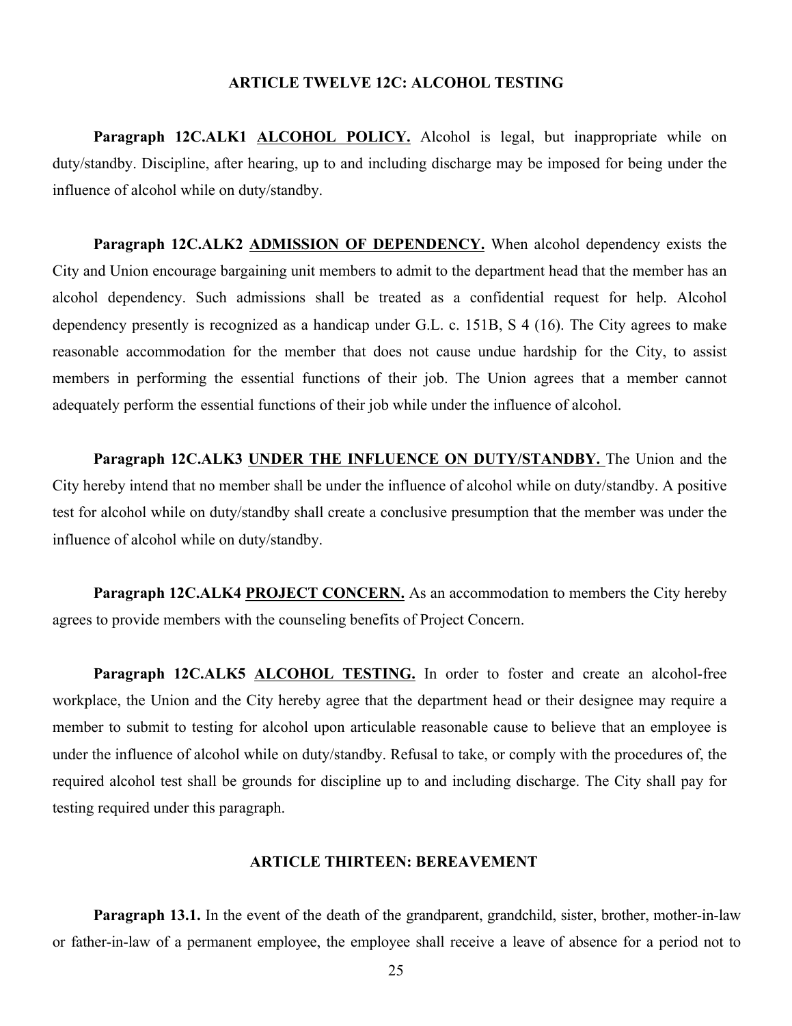#### **ARTICLE TWELVE 12C: ALCOHOL TESTING**

Paragraph 12C.ALK1 **ALCOHOL POLICY**. Alcohol is legal, but inappropriate while on duty/standby. Discipline, after hearing, up to and including discharge may be imposed for being under the influence of alcohol while on duty/standby.

**Paragraph 12C.ALK2 ADMISSION OF DEPENDENCY.** When alcohol dependency exists the City and Union encourage bargaining unit members to admit to the department head that the member has an alcohol dependency. Such admissions shall be treated as a confidential request for help. Alcohol dependency presently is recognized as a handicap under G.L. c. 151B, S 4 (16). The City agrees to make reasonable accommodation for the member that does not cause undue hardship for the City, to assist members in performing the essential functions of their job. The Union agrees that a member cannot adequately perform the essential functions of their job while under the influence of alcohol.

**Paragraph 12C.ALK3 UNDER THE INFLUENCE ON DUTY/STANDBY.** The Union and the City hereby intend that no member shall be under the influence of alcohol while on duty/standby. A positive test for alcohol while on duty/standby shall create a conclusive presumption that the member was under the influence of alcohol while on duty/standby.

**Paragraph 12C.ALK4 PROJECT CONCERN.** As an accommodation to members the City hereby agrees to provide members with the counseling benefits of Project Concern.

**Paragraph 12C.ALK5 ALCOHOL TESTING.** In order to foster and create an alcohol-free workplace, the Union and the City hereby agree that the department head or their designee may require a member to submit to testing for alcohol upon articulable reasonable cause to believe that an employee is under the influence of alcohol while on duty/standby. Refusal to take, or comply with the procedures of, the required alcohol test shall be grounds for discipline up to and including discharge. The City shall pay for testing required under this paragraph.

#### **ARTICLE THIRTEEN: BEREAVEMENT**

**Paragraph 13.1.** In the event of the death of the grandparent, grandchild, sister, brother, mother-in-law or father-in-law of a permanent employee, the employee shall receive a leave of absence for a period not to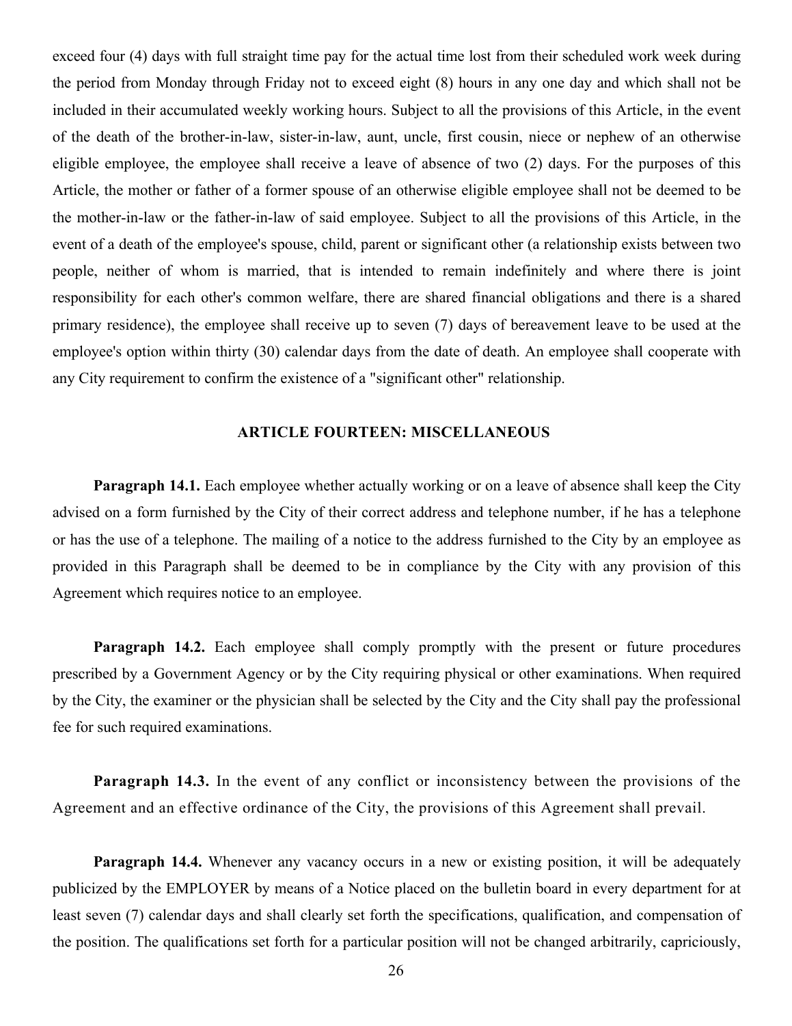exceed four (4) days with full straight time pay for the actual time lost from their scheduled work week during the period from Monday through Friday not to exceed eight (8) hours in any one day and which shall not be included in their accumulated weekly working hours. Subject to all the provisions of this Article, in the event of the death of the brother-in-law, sister-in-law, aunt, uncle, first cousin, niece or nephew of an otherwise eligible employee, the employee shall receive a leave of absence of two (2) days. For the purposes of this Article, the mother or father of a former spouse of an otherwise eligible employee shall not be deemed to be the mother-in-law or the father-in-law of said employee. Subject to all the provisions of this Article, in the event of a death of the employee's spouse, child, parent or significant other (a relationship exists between two people, neither of whom is married, that is intended to remain indefinitely and where there is joint responsibility for each other's common welfare, there are shared financial obligations and there is a shared primary residence), the employee shall receive up to seven (7) days of bereavement leave to be used at the employee's option within thirty (30) calendar days from the date of death. An employee shall cooperate with any City requirement to confirm the existence of a "significant other" relationship.

#### **ARTICLE FOURTEEN: MISCELLANEOUS**

**Paragraph 14.1.** Each employee whether actually working or on a leave of absence shall keep the City advised on a form furnished by the City of their correct address and telephone number, if he has a telephone or has the use of a telephone. The mailing of a notice to the address furnished to the City by an employee as provided in this Paragraph shall be deemed to be in compliance by the City with any provision of this Agreement which requires notice to an employee.

**Paragraph 14.2.** Each employee shall comply promptly with the present or future procedures prescribed by a Government Agency or by the City requiring physical or other examinations. When required by the City, the examiner or the physician shall be selected by the City and the City shall pay the professional fee for such required examinations.

**Paragraph 14.3.** In the event of any conflict or inconsistency between the provisions of the Agreement and an effective ordinance of the City, the provisions of this Agreement shall prevail.

**Paragraph 14.4.** Whenever any vacancy occurs in a new or existing position, it will be adequately publicized by the EMPLOYER by means of a Notice placed on the bulletin board in every department for at least seven (7) calendar days and shall clearly set forth the specifications, qualification, and compensation of the position. The qualifications set forth for a particular position will not be changed arbitrarily, capriciously,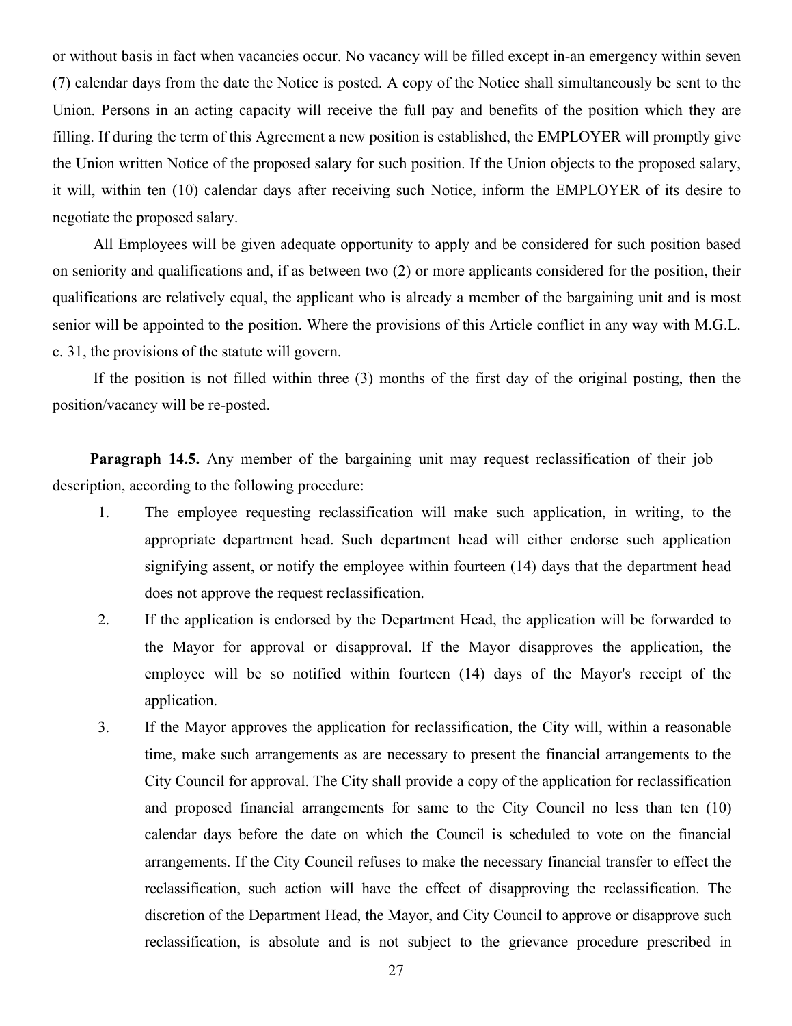or without basis in fact when vacancies occur. No vacancy will be filled except in-an emergency within seven (7) calendar days from the date the Notice is posted. A copy of the Notice shall simultaneously be sent to the Union. Persons in an acting capacity will receive the full pay and benefits of the position which they are filling. If during the term of this Agreement a new position is established, the EMPLOYER will promptly give the Union written Notice of the proposed salary for such position. If the Union objects to the proposed salary, it will, within ten (10) calendar days after receiving such Notice, inform the EMPLOYER of its desire to negotiate the proposed salary.

All Employees will be given adequate opportunity to apply and be considered for such position based on seniority and qualifications and, if as between two (2) or more applicants considered for the position, their qualifications are relatively equal, the applicant who is already a member of the bargaining unit and is most senior will be appointed to the position. Where the provisions of this Article conflict in any way with M.G.L. c. 31, the provisions of the statute will govern.

If the position is not filled within three (3) months of the first day of the original posting, then the position/vacancy will be re-posted.

Paragraph 14.5. Any member of the bargaining unit may request reclassification of their job description, according to the following procedure:

- 1. The employee requesting reclassification will make such application, in writing, to the appropriate department head. Such department head will either endorse such application signifying assent, or notify the employee within fourteen (14) days that the department head does not approve the request reclassification.
- 2. If the application is endorsed by the Department Head, the application will be forwarded to the Mayor for approval or disapproval. If the Mayor disapproves the application, the employee will be so notified within fourteen (14) days of the Mayor's receipt of the application.
- 3. If the Mayor approves the application for reclassification, the City will, within a reasonable time, make such arrangements as are necessary to present the financial arrangements to the City Council for approval. The City shall provide a copy of the application for reclassification and proposed financial arrangements for same to the City Council no less than ten (10) calendar days before the date on which the Council is scheduled to vote on the financial arrangements. If the City Council refuses to make the necessary financial transfer to effect the reclassification, such action will have the effect of disapproving the reclassification. The discretion of the Department Head, the Mayor, and City Council to approve or disapprove such reclassification, is absolute and is not subject to the grievance procedure prescribed in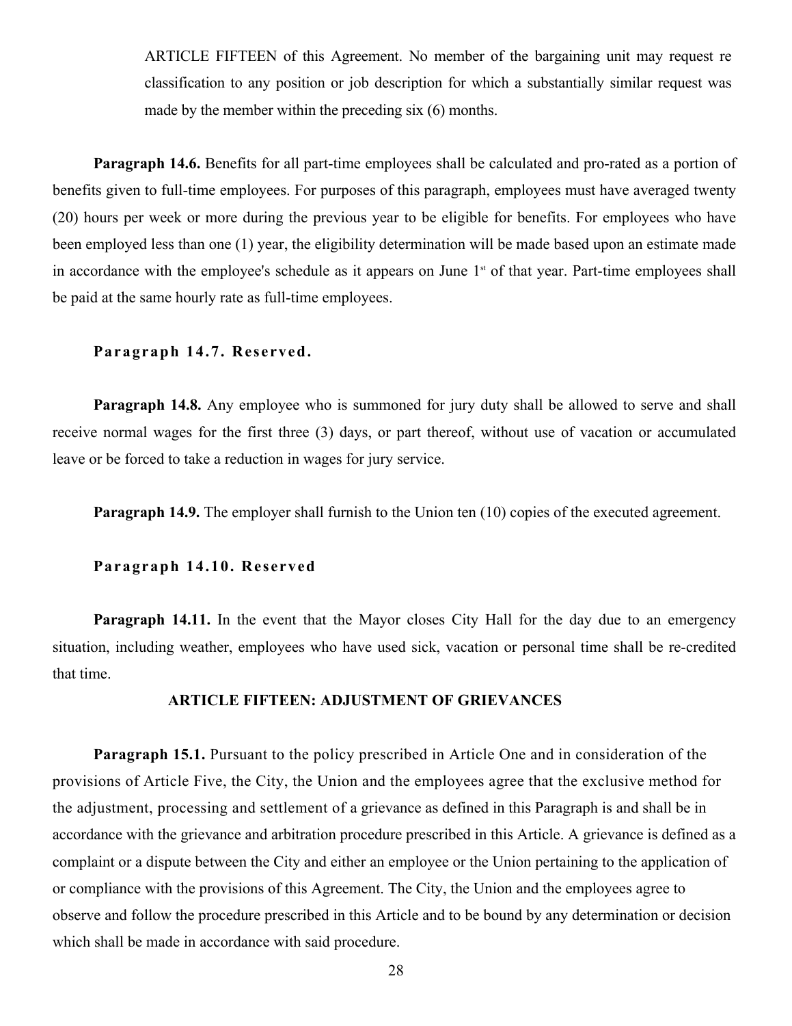ARTICLE FIFTEEN of this Agreement. No member of the bargaining unit may request re classification to any position or job description for which a substantially similar request was made by the member within the preceding six (6) months.

**Paragraph 14.6.** Benefits for all part-time employees shall be calculated and pro-rated as a portion of benefits given to full-time employees. For purposes of this paragraph, employees must have averaged twenty (20) hours per week or more during the previous year to be eligible for benefits. For employees who have been employed less than one (1) year, the eligibility determination will be made based upon an estimate made in accordance with the employee's schedule as it appears on June 1<sup>st</sup> of that year. Part-time employees shall be paid at the same hourly rate as full-time employees.

#### **Paragraph** 14.7. Reserved.

**Paragraph 14.8.** Any employee who is summoned for jury duty shall be allowed to serve and shall receive normal wages for the first three (3) days, or part thereof, without use of vacation or accumulated leave or be forced to take a reduction in wages for jury service.

**Paragraph 14.9.** The employer shall furnish to the Union ten (10) copies of the executed agreement.

#### **Paragraph** 14.10. Reserved

**Paragraph 14.11.** In the event that the Mayor closes City Hall for the day due to an emergency situation, including weather, employees who have used sick, vacation or personal time shall be re-credited that time.

#### **ARTICLE FIFTEEN: ADJUSTMENT OF GRIEVANCES**

**Paragraph 15.1.** Pursuant to the policy prescribed in Article One and in consideration of the provisions of Article Five, the City, the Union and the employees agree that the exclusive method for the adjustment, processing and settlement of a grievance as defined in this Paragraph is and shall be in accordance with the grievance and arbitration procedure prescribed in this Article. A grievance is defined as a complaint or a dispute between the City and either an employee or the Union pertaining to the application of or compliance with the provisions of this Agreement. The City, the Union and the employees agree to observe and follow the procedure prescribed in this Article and to be bound by any determination or decision which shall be made in accordance with said procedure.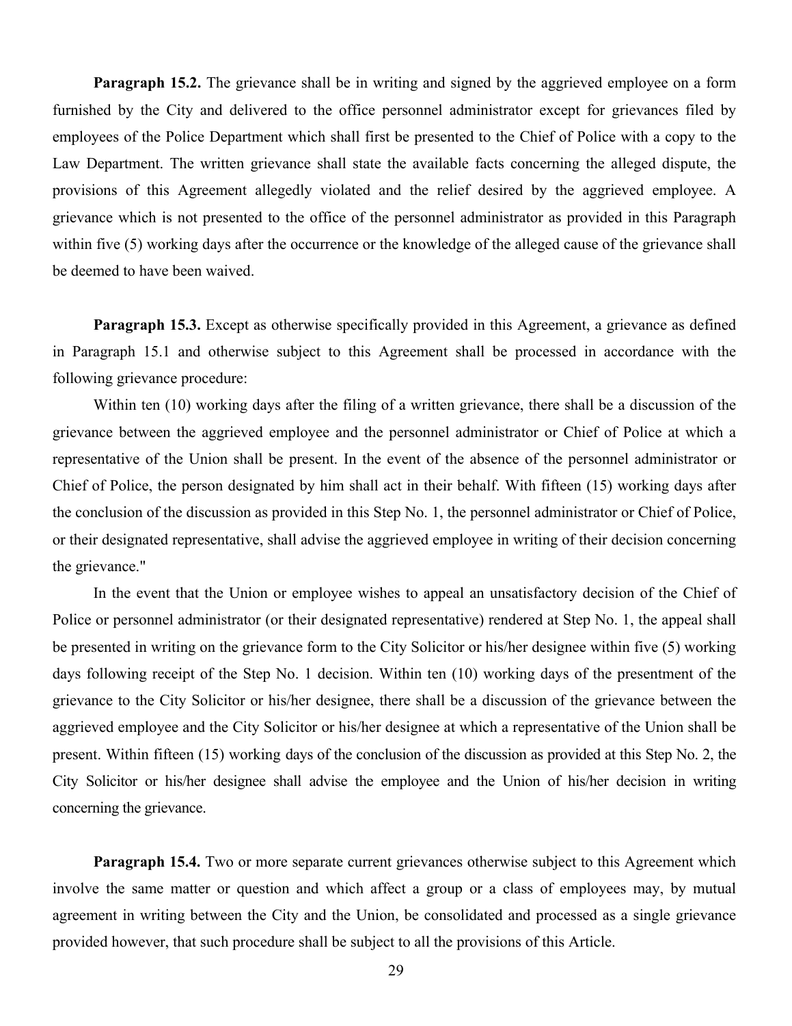**Paragraph 15.2.** The grievance shall be in writing and signed by the aggrieved employee on a form furnished by the City and delivered to the office personnel administrator except for grievances filed by employees of the Police Department which shall first be presented to the Chief of Police with a copy to the Law Department. The written grievance shall state the available facts concerning the alleged dispute, the provisions of this Agreement allegedly violated and the relief desired by the aggrieved employee. A grievance which is not presented to the office of the personnel administrator as provided in this Paragraph within five (5) working days after the occurrence or the knowledge of the alleged cause of the grievance shall be deemed to have been waived.

**Paragraph 15.3.** Except as otherwise specifically provided in this Agreement, a grievance as defined in Paragraph 15.1 and otherwise subject to this Agreement shall be processed in accordance with the following grievance procedure:

Within ten (10) working days after the filing of a written grievance, there shall be a discussion of the grievance between the aggrieved employee and the personnel administrator or Chief of Police at which a representative of the Union shall be present. In the event of the absence of the personnel administrator or Chief of Police, the person designated by him shall act in their behalf. With fifteen (15) working days after the conclusion of the discussion as provided in this Step No. 1, the personnel administrator or Chief of Police, or their designated representative, shall advise the aggrieved employee in writing of their decision concerning the grievance."

In the event that the Union or employee wishes to appeal an unsatisfactory decision of the Chief of Police or personnel administrator (or their designated representative) rendered at Step No. 1, the appeal shall be presented in writing on the grievance form to the City Solicitor or his/her designee within five (5) working days following receipt of the Step No. 1 decision. Within ten (10) working days of the presentment of the grievance to the City Solicitor or his/her designee, there shall be a discussion of the grievance between the aggrieved employee and the City Solicitor or his/her designee at which a representative of the Union shall be present. Within fifteen (15) working days of the conclusion of the discussion as provided at this Step No. 2, the City Solicitor or his/her designee shall advise the employee and the Union of his/her decision in writing concerning the grievance.

**Paragraph 15.4.** Two or more separate current grievances otherwise subject to this Agreement which involve the same matter or question and which affect a group or a class of employees may, by mutual agreement in writing between the City and the Union, be consolidated and processed as a single grievance provided however, that such procedure shall be subject to all the provisions of this Article.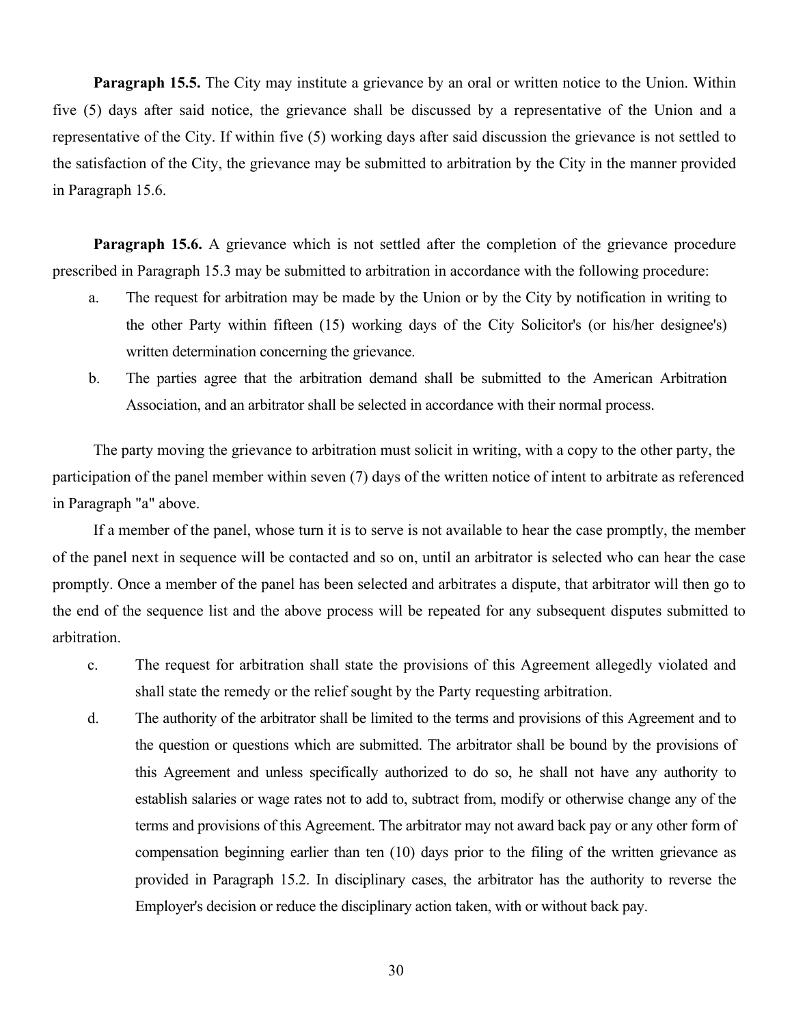**Paragraph 15.5.** The City may institute a grievance by an oral or written notice to the Union. Within five (5) days after said notice, the grievance shall be discussed by a representative of the Union and a representative of the City. If within five (5) working days after said discussion the grievance is not settled to the satisfaction of the City, the grievance may be submitted to arbitration by the City in the manner provided in Paragraph 15.6.

**Paragraph 15.6.** A grievance which is not settled after the completion of the grievance procedure prescribed in Paragraph 15.3 may be submitted to arbitration in accordance with the following procedure:

- a. The request for arbitration may be made by the Union or by the City by notification in writing to the other Party within fifteen (15) working days of the City Solicitor's (or his/her designee's) written determination concerning the grievance.
- b. The parties agree that the arbitration demand shall be submitted to the American Arbitration Association, and an arbitrator shall be selected in accordance with their normal process.

The party moving the grievance to arbitration must solicit in writing, with a copy to the other party, the participation of the panel member within seven (7) days of the written notice of intent to arbitrate as referenced in Paragraph "a" above.

If a member of the panel, whose turn it is to serve is not available to hear the case promptly, the member of the panel next in sequence will be contacted and so on, until an arbitrator is selected who can hear the case promptly. Once a member of the panel has been selected and arbitrates a dispute, that arbitrator will then go to the end of the sequence list and the above process will be repeated for any subsequent disputes submitted to arbitration.

- c. The request for arbitration shall state the provisions of this Agreement allegedly violated and shall state the remedy or the relief sought by the Party requesting arbitration.
- d. The authority of the arbitrator shall be limited to the terms and provisions ofthis Agreement and to the question or questions which are submitted. The arbitrator shall be bound by the provisions of this Agreement and unless specifically authorized to do so, he shall not have any authority to establish salaries or wage rates not to add to, subtract from, modify or otherwise change any of the terms and provisions of this Agreement. The arbitrator may not award back pay or any other form of compensation beginning earlier than ten (10) days prior to the filing of the written grievance as provided in Paragraph 15.2. In disciplinary cases, the arbitrator has the authority to reverse the Employer's decision or reduce the disciplinary action taken, with or without back pay.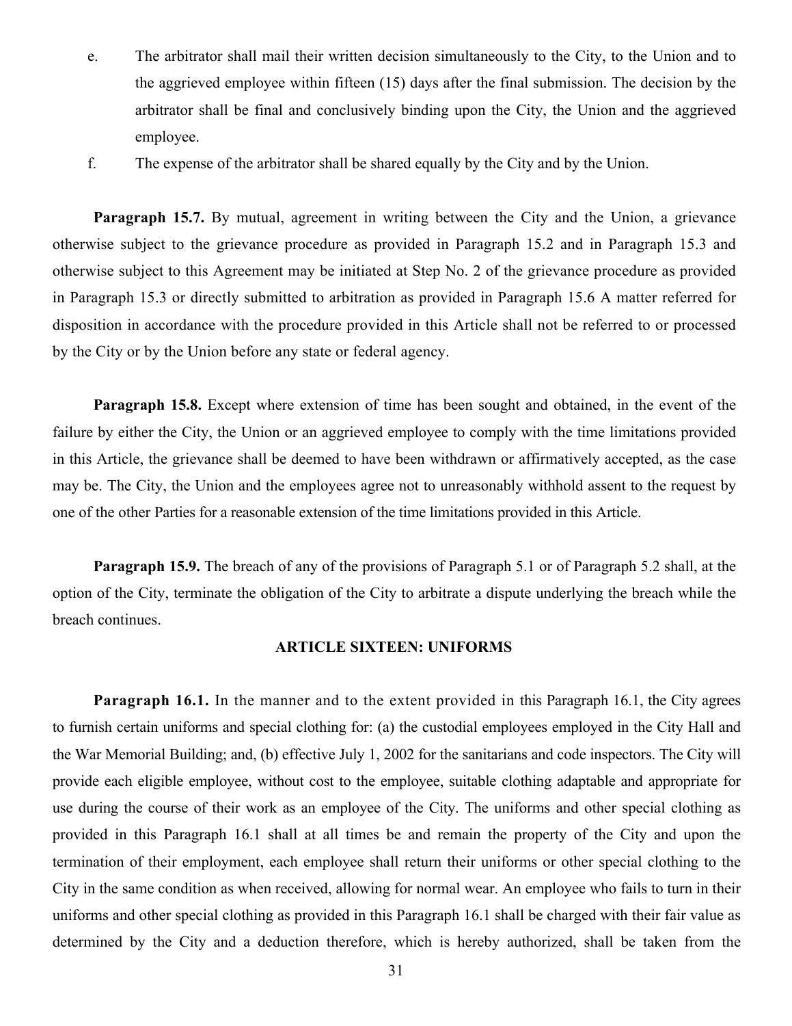- e. The arbitrator shall mail their written decision simultaneously to the City, to the Union and to the aggrieved employee within fifteen (15) days after the final submission. The decision by the arbitrator shall be final and conclusively binding upon the City, the Union and the aggrieved employee.
- f. The expense of the arbitrator shall be shared equally by the City and by the Union.

**Paragraph 15.7.** By mutual, agreement in writing between the City and the Union, a grievance otherwise subject to the grievance procedure as provided in Paragraph 15.2 and in Paragraph 15.3 and otherwise subject to this Agreement may be initiated at Step No. 2 of the grievance procedure as provided in Paragraph 15.3 or directly submitted to arbitration as provided in Paragraph 15.6 A matter referred for disposition in accordance with the procedure provided in this Article shall not be referred to or processed by the City or by the Union before any state or federal agency.

**Paragraph 15.8.** Except where extension of time has been sought and obtained, in the event of the failure by either the City, the Union or an aggrieved employee to comply with the time limitations provided in this Article, the grievance shall be deemed to have been withdrawn or affirmatively accepted, as the case may be. The City, the Union and the employees agree not to unreasonably withhold assent to the request by one of the other Parties for a reasonable extension of the time limitations provided in this Article.

**Paragraph 15.9.** The breach of any of the provisions of Paragraph 5.1 or of Paragraph 5.2 shall, at the option of the City, terminate the obligation of the City to arbitrate a dispute underlying the breach while the breach continues.

#### **ARTICLE SIXTEEN: UNIFORMS**

**Paragraph 16.1.** In the manner and to the extent provided in this Paragraph 16.1, the City agrees to furnish certain uniforms and special clothing for: (a) the custodial employees employed in the City Hall and the War Memorial Building; and, (b) effective July 1, 2002 for the sanitarians and code inspectors. The City will provide each eligible employee, without cost to the employee, suitable clothing adaptable and appropriate for use during the course of their work as an employee of the City. The uniforms and other special clothing as provided in this Paragraph 16.1 shall at all times be and remain the property of the City and upon the termination of their employment, each employee shall return their uniforms or other special clothing to the City in the same condition as when received, allowing for normal wear. An employee who fails to turn in their uniforms and other special clothing as provided in this Paragraph 16.1 shall be charged with their fair value as determined by the City and a deduction therefore, which is hereby authorized, shall be taken from the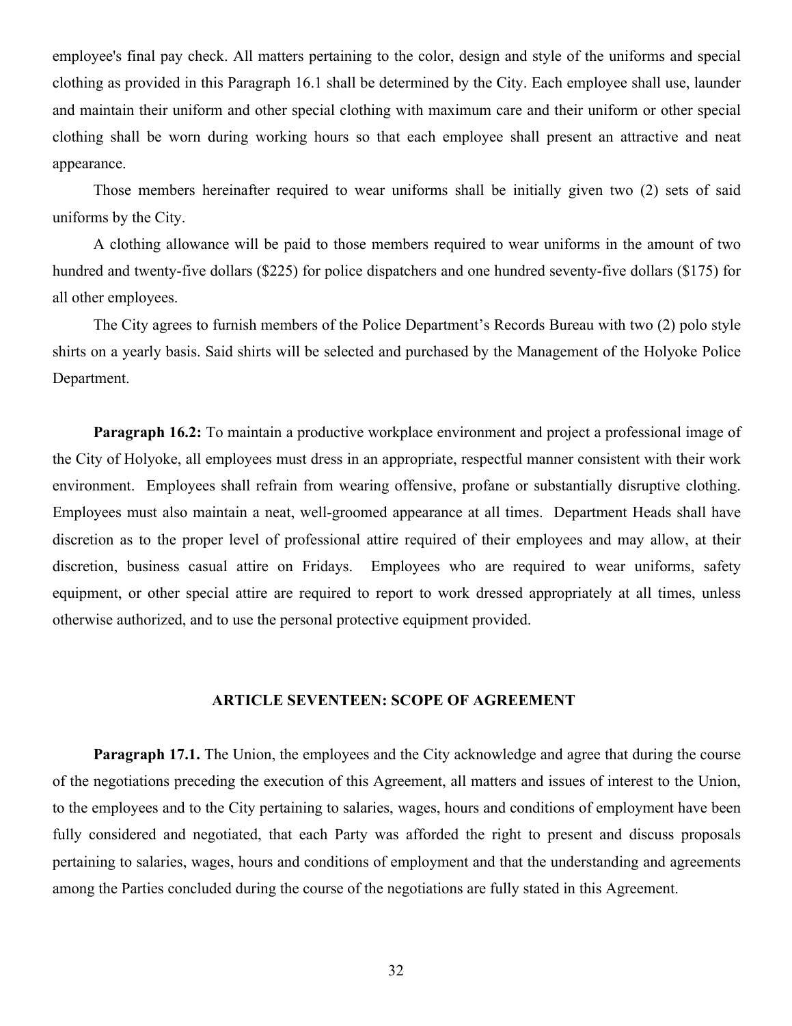employee's final pay check. All matters pertaining to the color, design and style of the uniforms and special clothing as provided in this Paragraph 16.1 shall be determined by the City. Each employee shall use, launder and maintain their uniform and other special clothing with maximum care and their uniform or other special clothing shall be worn during working hours so that each employee shall present an attractive and neat appearance.

Those members hereinafter required to wear uniforms shall be initially given two (2) sets of said uniforms by the City.

A clothing allowance will be paid to those members required to wear uniforms in the amount of two hundred and twenty-five dollars (\$225) for police dispatchers and one hundred seventy-five dollars (\$175) for all other employees.

The City agrees to furnish members of the Police Department's Records Bureau with two (2) polo style shirts on a yearly basis. Said shirts will be selected and purchased by the Management of the Holyoke Police Department.

**Paragraph 16.2:** To maintain a productive workplace environment and project a professional image of the City of Holyoke, all employees must dress in an appropriate, respectful manner consistent with their work environment. Employees shall refrain from wearing offensive, profane or substantially disruptive clothing. Employees must also maintain a neat, well-groomed appearance at all times. Department Heads shall have discretion as to the proper level of professional attire required of their employees and may allow, at their discretion, business casual attire on Fridays. Employees who are required to wear uniforms, safety equipment, or other special attire are required to report to work dressed appropriately at all times, unless otherwise authorized, and to use the personal protective equipment provided.

#### **ARTICLE SEVENTEEN: SCOPE OF AGREEMENT**

**Paragraph 17.1.** The Union, the employees and the City acknowledge and agree that during the course of the negotiations preceding the execution of this Agreement, all matters and issues of interest to the Union, to the employees and to the City pertaining to salaries, wages, hours and conditions of employment have been fully considered and negotiated, that each Party was afforded the right to present and discuss proposals pertaining to salaries, wages, hours and conditions of employment and that the understanding and agreements among the Parties concluded during the course of the negotiations are fully stated in this Agreement.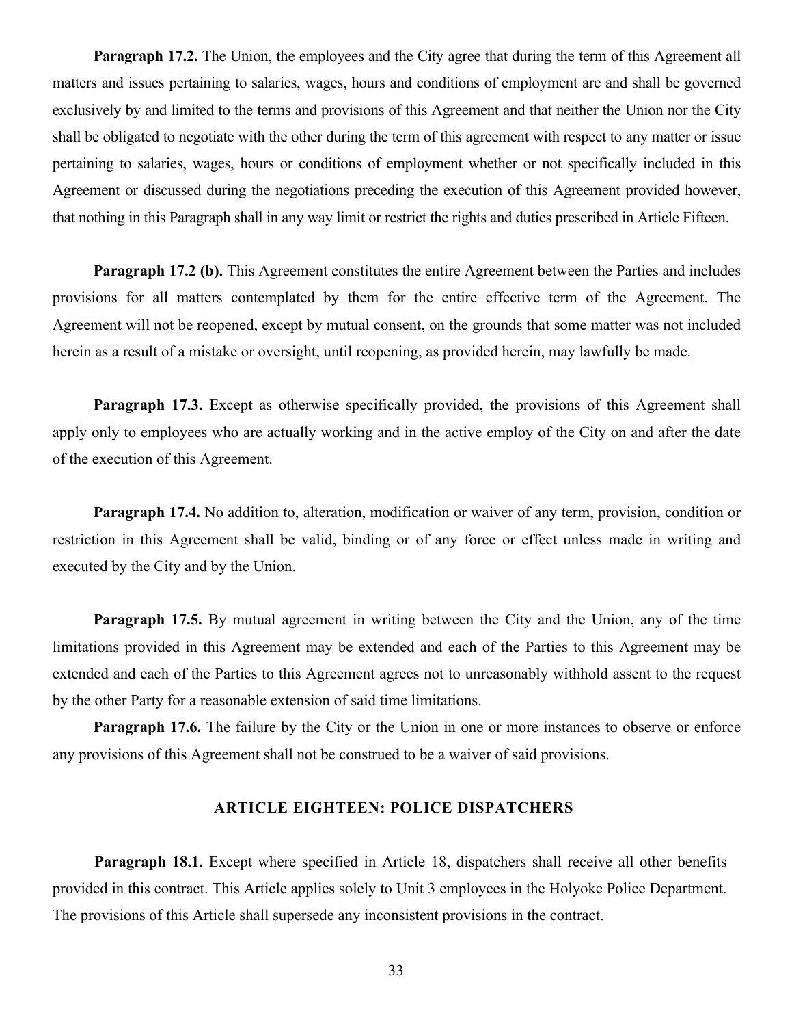**Paragraph 17.2.** The Union, the employees and the City agree that during the term of this Agreement all matters and issues pertaining to salaries, wages, hours and conditions of employment are and shall be governed exclusively by and limited to the terms and provisions of this Agreement and that neither the Union nor the City shall be obligated to negotiate with the other during the term of this agreement with respect to any matter or issue pertaining to salaries, wages, hours or conditions of employment whether or not specifically included in this Agreement or discussed during the negotiations preceding the execution of this Agreement provided however, that nothing in this Paragraph shall in any way limit or restrict the rights and duties prescribed in Article Fifteen.

**Paragraph 17.2 (b).** This Agreement constitutes the entire Agreement between the Parties and includes provisions for all matters contemplated by them for the entire effective term of the Agreement. The Agreement will not be reopened, except by mutual consent, on the grounds that some matter was not included herein as a result of a mistake or oversight, until reopening, as provided herein, may lawfully be made.

**Paragraph 17.3.** Except as otherwise specifically provided, the provisions of this Agreement shall apply only to employees who are actually working and in the active employ of the City on and after the date of the execution of this Agreement.

**Paragraph 17.4.** No addition to, alteration, modification or waiver of any term, provision, condition or restriction in this Agreement shall be valid, binding or of any force or effect unless made in writing and executed by the City and by the Union.

**Paragraph 17.5.** By mutual agreement in writing between the City and the Union, any of the time limitations provided in this Agreement may be extended and each of the Parties to this Agreement may be extended and each of the Parties to this Agreement agrees not to unreasonably withhold assent to the request by the other Party for a reasonable extension of said time limitations.

**Paragraph 17.6.** The failure by the City or the Union in one or more instances to observe or enforce any provisions of this Agreement shall not be construed to be a waiver of said provisions.

#### **ARTICLE EIGHTEEN: POLICE DISPATCHERS**

**Paragraph 18.1.** Except where specified in Article 18, dispatchers shall receive all other benefits provided in this contract. This Article applies solely to Unit 3 employees in the Holyoke Police Department. The provisions of this Article shall supersede any inconsistent provisions in the contract.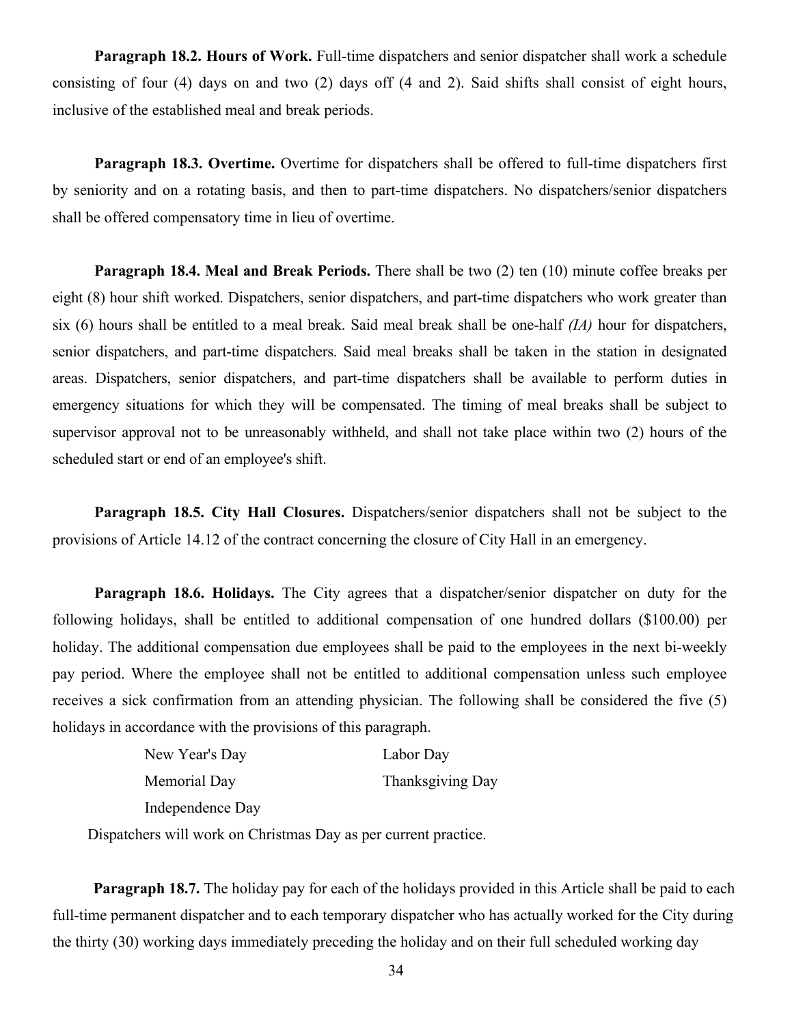Paragraph 18.2. Hours of Work. Full-time dispatchers and senior dispatcher shall work a schedule consisting of four (4) days on and two (2) days off (4 and 2). Said shifts shall consist of eight hours, inclusive of the established meal and break periods.

**Paragraph 18.3. Overtime.** Overtime for dispatchers shall be offered to full-time dispatchers first by seniority and on a rotating basis, and then to part-time dispatchers. No dispatchers/senior dispatchers shall be offered compensatory time in lieu of overtime.

**Paragraph 18.4. Meal and Break Periods.** There shall be two (2) ten (10) minute coffee breaks per eight (8) hour shift worked. Dispatchers, senior dispatchers, and part-time dispatchers who work greater than six (6) hours shall be entitled to a meal break. Said meal break shall be one-half *(IA)* hour for dispatchers, senior dispatchers, and part-time dispatchers. Said meal breaks shall be taken in the station in designated areas. Dispatchers, senior dispatchers, and part-time dispatchers shall be available to perform duties in emergency situations for which they will be compensated. The timing of meal breaks shall be subject to supervisor approval not to be unreasonably withheld, and shall not take place within two (2) hours of the scheduled start or end of an employee's shift.

**Paragraph 18.5. City Hall Closures.** Dispatchers/senior dispatchers shall not be subject to the provisions of Article 14.12 of the contract concerning the closure of City Hall in an emergency.

**Paragraph 18.6. Holidays.** The City agrees that a dispatcher/senior dispatcher on duty for the following holidays, shall be entitled to additional compensation of one hundred dollars (\$100.00) per holiday. The additional compensation due employees shall be paid to the employees in the next bi-weekly pay period. Where the employee shall not be entitled to additional compensation unless such employee receives a sick confirmation from an attending physician. The following shall be considered the five (5) holidays in accordance with the provisions of this paragraph.

| New Year's Day   | Labor Day        |
|------------------|------------------|
| Memorial Day     | Thanksgiving Day |
| Independence Day |                  |

Dispatchers will work on Christmas Day as per current practice.

**Paragraph 18.7.** The holiday pay for each of the holidays provided in this Article shall be paid to each full-time permanent dispatcher and to each temporary dispatcher who has actually worked for the City during the thirty (30) working days immediately preceding the holiday and on their full scheduled working day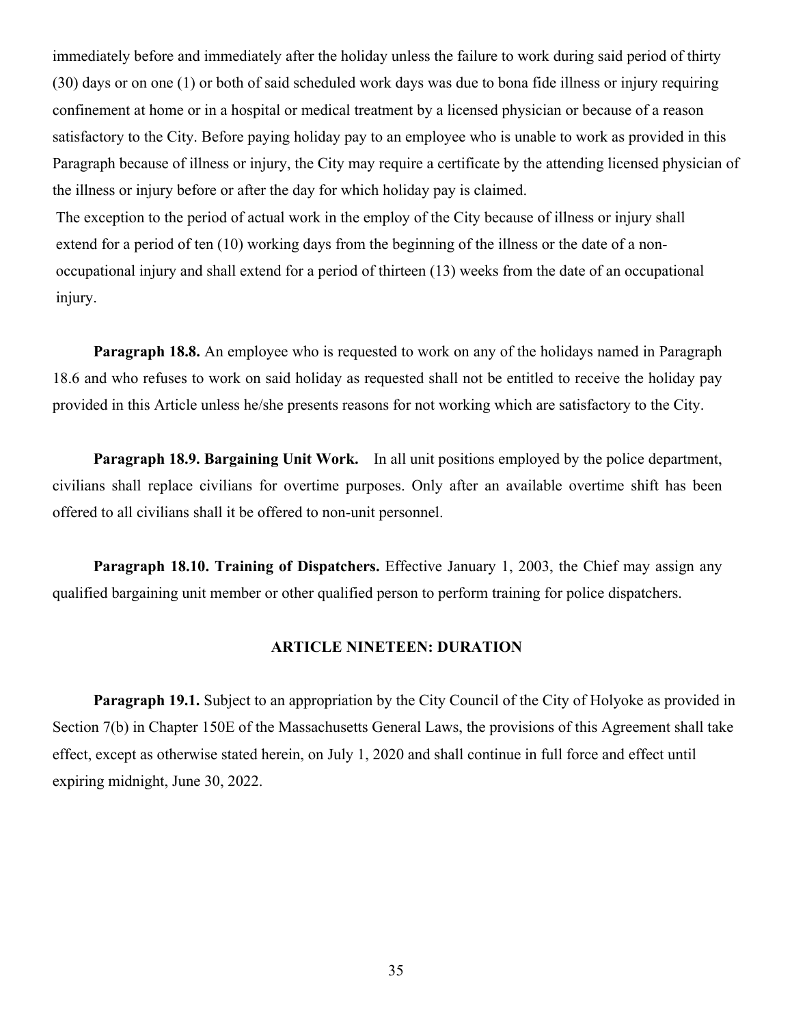immediately before and immediately after the holiday unless the failure to work during said period of thirty (30) days or on one (1) or both of said scheduled work days was due to bona fide illness or injury requiring confinement at home or in a hospital or medical treatment by a licensed physician or because of a reason satisfactory to the City. Before paying holiday pay to an employee who is unable to work as provided in this Paragraph because of illness or injury, the City may require a certificate by the attending licensed physician of the illness or injury before or after the day for which holiday pay is claimed.

The exception to the period of actual work in the employ of the City because of illness or injury shall extend for a period of ten (10) working days from the beginning of the illness or the date of a nonoccupational injury and shall extend for a period of thirteen (13) weeks from the date of an occupational injury.

**Paragraph 18.8.** An employee who is requested to work on any of the holidays named in Paragraph 18.6 and who refuses to work on said holiday as requested shall not be entitled to receive the holiday pay provided in this Article unless he/she presents reasons for not working which are satisfactory to the City.

**Paragraph 18.9. Bargaining Unit Work.** In all unit positions employed by the police department, civilians shall replace civilians for overtime purposes. Only after an available overtime shift has been offered to all civilians shall it be offered to non-unit personnel.

**Paragraph 18.10. Training of Dispatchers.** Effective January 1, 2003, the Chief may assign any qualified bargaining unit member or other qualified person to perform training for police dispatchers.

#### **ARTICLE NINETEEN: DURATION**

**Paragraph 19.1.** Subject to an appropriation by the City Council of the City of Holyoke as provided in Section 7(b) in Chapter 150E of the Massachusetts General Laws, the provisions of this Agreement shall take effect, except as otherwise stated herein, on July 1, 2020 and shall continue in full force and effect until expiring midnight, June 30, 2022.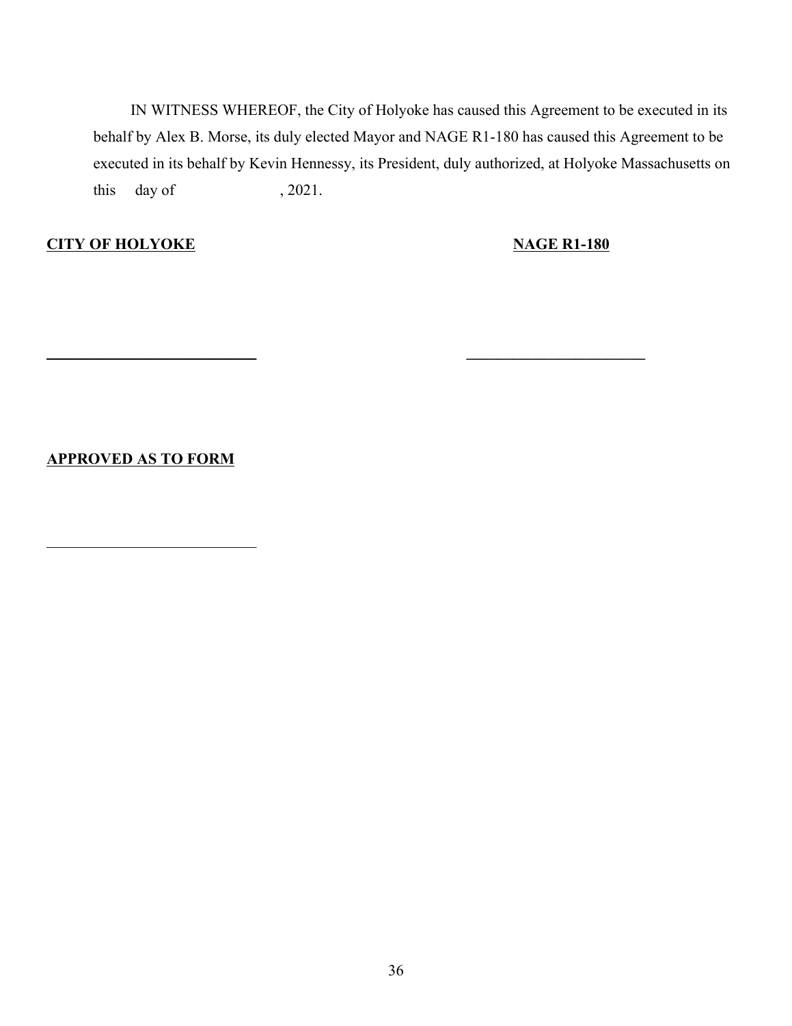IN WITNESS WHEREOF, the City of Holyoke has caused this Agreement to be executed in its behalf by Alex B. Morse, its duly elected Mayor and NAGE R1-180 has caused this Agreement to be executed in its behalf by Kevin Hennessy, its President, duly authorized, at Holyoke Massachusetts on this day of , 2021.

**\_\_\_\_\_\_\_\_\_\_\_\_\_\_\_\_\_\_\_\_\_\_\_\_\_\_\_ \_\_\_\_\_\_\_\_\_\_\_\_\_\_\_\_\_\_\_\_\_\_\_**

## **CITY OF HOLYOKE NAGE R1-180**

**APPROVED AS TO FORM**

 $\mathcal{L}_\text{max}$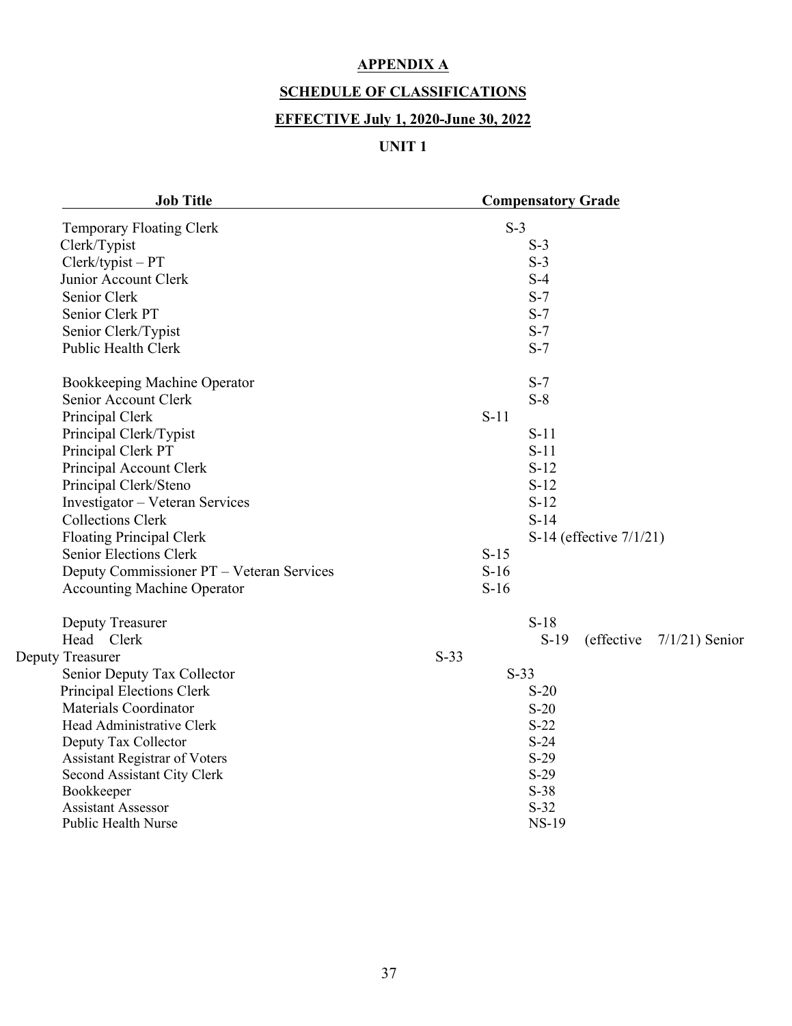## **APPENDIX A**

## **SCHEDULE OF CLASSIFICATIONS**

## **EFFECTIVE July 1, 2020-June 30, 2022**

# **UNIT 1**

| <b>Job Title</b>                          | <b>Compensatory Grade</b>                  |
|-------------------------------------------|--------------------------------------------|
| Temporary Floating Clerk                  | $S-3$                                      |
| Clerk/Typist                              | $S-3$                                      |
| Clerk/typist-PT                           | $S-3$                                      |
| Junior Account Clerk                      | $S-4$                                      |
| Senior Clerk                              | $S-7$                                      |
| Senior Clerk PT                           | $S-7$                                      |
| Senior Clerk/Typist                       | $S-7$                                      |
| <b>Public Health Clerk</b>                | $S-7$                                      |
| Bookkeeping Machine Operator              | $S-7$                                      |
| Senior Account Clerk                      | $S-8$                                      |
| Principal Clerk                           | $S-11$                                     |
| Principal Clerk/Typist                    | $S-11$                                     |
| Principal Clerk PT                        | $S-11$                                     |
| Principal Account Clerk                   | $S-12$                                     |
| Principal Clerk/Steno                     | $S-12$                                     |
| Investigator - Veteran Services           | $S-12$                                     |
| <b>Collections Clerk</b>                  | $S-14$                                     |
| <b>Floating Principal Clerk</b>           | S-14 (effective 7/1/21)                    |
| <b>Senior Elections Clerk</b>             | $S-15$                                     |
| Deputy Commissioner PT - Veteran Services | $S-16$                                     |
| <b>Accounting Machine Operator</b>        | $S-16$                                     |
| Deputy Treasurer                          | $S-18$                                     |
| Head Clerk                                | $S-19$<br>(effective)<br>$7/1/21$ ) Senior |
| Deputy Treasurer                          | $S-33$                                     |
| Senior Deputy Tax Collector               | $S-33$                                     |
| Principal Elections Clerk                 | $S-20$                                     |
| <b>Materials Coordinator</b>              | $S-20$                                     |
| Head Administrative Clerk                 | $S-22$                                     |
| Deputy Tax Collector                      | $S-24$                                     |
| <b>Assistant Registrar of Voters</b>      | $S-29$                                     |
| Second Assistant City Clerk               | $S-29$                                     |
| Bookkeeper                                | $S-38$                                     |
| <b>Assistant Assessor</b>                 | $S-32$                                     |
| <b>Public Health Nurse</b>                | <b>NS-19</b>                               |
|                                           |                                            |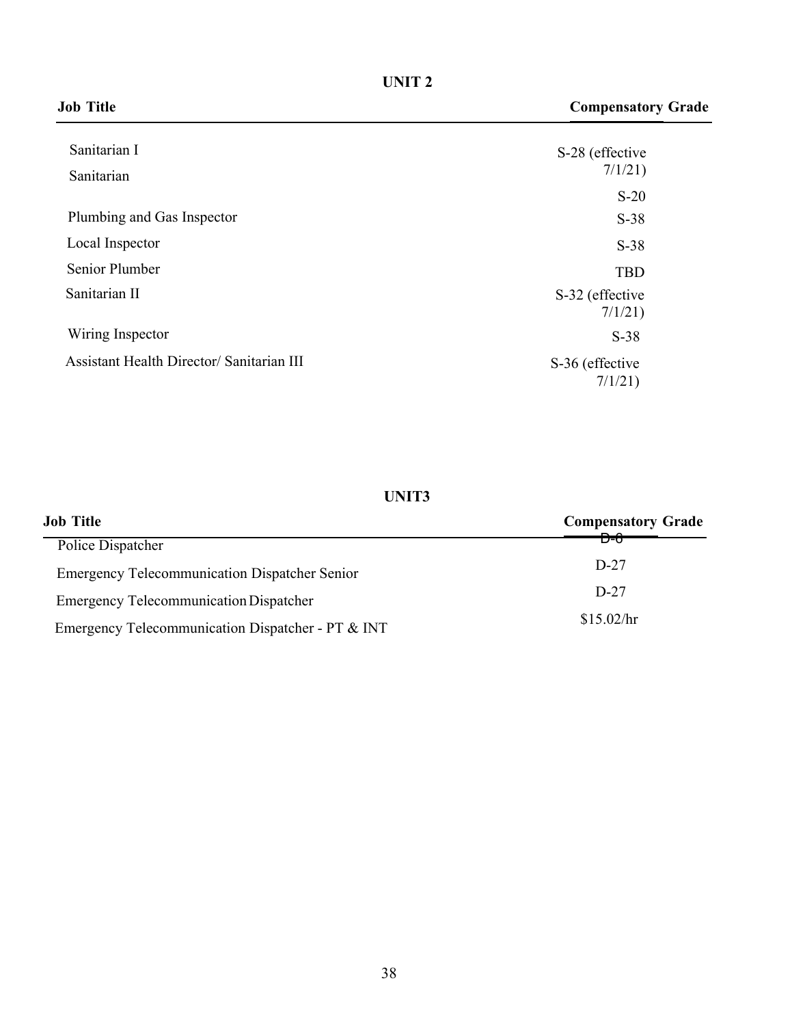**UNIT 2**

|--|

| Sanitarian I                              | S-28 (effective            |
|-------------------------------------------|----------------------------|
| Sanitarian                                | 7/1/21                     |
|                                           | $S-20$                     |
| Plumbing and Gas Inspector                | $S-38$                     |
| Local Inspector                           | $S-38$                     |
| Senior Plumber                            | <b>TBD</b>                 |
| Sanitarian II                             | S-32 (effective<br>7/1/21) |
| Wiring Inspector                          | $S-38$                     |
| Assistant Health Director/ Sanitarian III | S-36 (effective<br>7/1/21) |
|                                           |                            |

## **UNIT3**

| Job Title                                            | <b>Compensatory Grade</b>                                                                                                                                                                                                                                                                                                                                                                                                                                                                                |  |  |
|------------------------------------------------------|----------------------------------------------------------------------------------------------------------------------------------------------------------------------------------------------------------------------------------------------------------------------------------------------------------------------------------------------------------------------------------------------------------------------------------------------------------------------------------------------------------|--|--|
| Police Dispatcher                                    | $\begin{tabular}{c} \multicolumn{1}{c} {\textbf{A}} & \multicolumn{1}{c} {\textbf{A}} \\ \multicolumn{1}{c} {\textbf{A}} & \multicolumn{1}{c} {\textbf{A}} \\ \multicolumn{1}{c} {\textbf{A}} & \multicolumn{1}{c} {\textbf{A}} \\ \multicolumn{1}{c} {\textbf{A}} & \multicolumn{1}{c} {\textbf{A}} \\ \multicolumn{1}{c} {\textbf{A}} & \multicolumn{1}{c} {\textbf{A}} \\ \multicolumn{1}{c} {\textbf{A}} & \multicolumn{1}{c} {\textbf{A}} \\ \multicolumn{1}{c} {\textbf{A}} & \multicolumn$<br>D-0 |  |  |
| <b>Emergency Telecommunication Dispatcher Senior</b> | $D-27$                                                                                                                                                                                                                                                                                                                                                                                                                                                                                                   |  |  |
| <b>Emergency Telecommunication Dispatcher</b>        | $D-27$                                                                                                                                                                                                                                                                                                                                                                                                                                                                                                   |  |  |
| Emergency Telecommunication Dispatcher - PT & INT    | \$15.02/hr                                                                                                                                                                                                                                                                                                                                                                                                                                                                                               |  |  |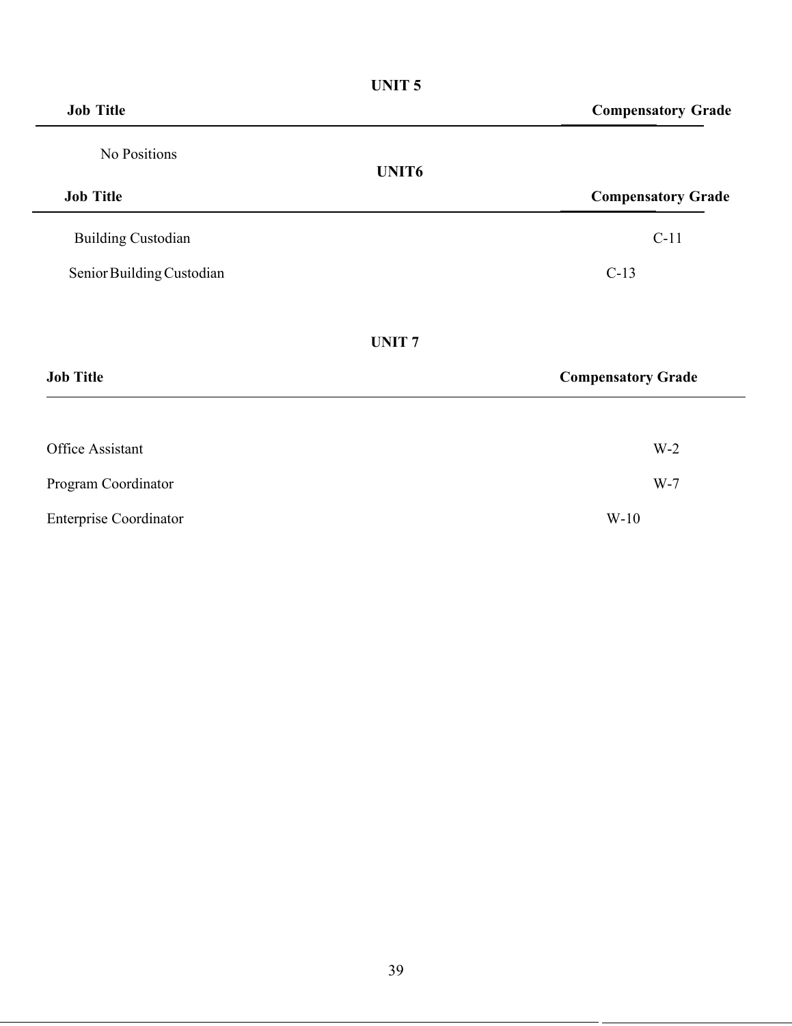|                               | <b>UNIT5</b>                                   |
|-------------------------------|------------------------------------------------|
| <b>Job Title</b>              | <b>Compensatory Grade</b>                      |
| No Positions                  |                                                |
| <b>Job Title</b>              | UNIT <sub>6</sub><br><b>Compensatory Grade</b> |
| <b>Building Custodian</b>     | $C-11$                                         |
| Senior Building Custodian     | $C-13$                                         |
|                               | <b>UNIT7</b>                                   |
| <b>Job Title</b>              | <b>Compensatory Grade</b>                      |
| Office Assistant              | $W-2$                                          |
| Program Coordinator           | $W-7$                                          |
| <b>Enterprise Coordinator</b> | $W-10$                                         |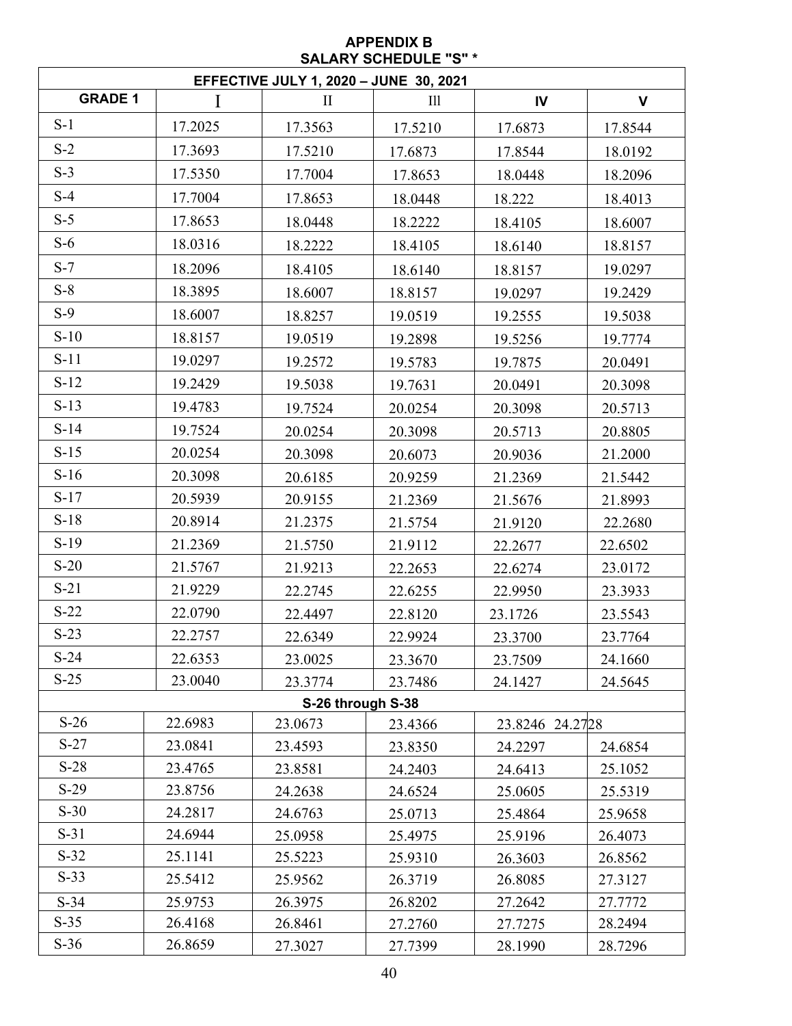#### **APPENDIX B SALARY SCHEDULE "S" \***

| <b>EFFECTIVE JULY 1, 2020 - JUNE 30, 2021</b> |         |          |                   |                 |              |  |
|-----------------------------------------------|---------|----------|-------------------|-----------------|--------------|--|
| <b>GRADE 1</b>                                |         | $\rm II$ | III               | IV              | $\mathsf{V}$ |  |
| $S-1$                                         | 17.2025 | 17.3563  | 17.5210           | 17.6873         | 17.8544      |  |
| $S-2$                                         | 17.3693 | 17.5210  | 17.6873           | 17.8544         | 18.0192      |  |
| $S-3$                                         | 17.5350 | 17.7004  | 17.8653           | 18.0448         | 18.2096      |  |
| $S-4$                                         | 17.7004 | 17.8653  | 18.0448           | 18.222          | 18.4013      |  |
| $S-5$                                         | 17.8653 | 18.0448  | 18.2222           | 18.4105         | 18.6007      |  |
| $S-6$                                         | 18.0316 | 18.2222  | 18.4105           | 18.6140         | 18.8157      |  |
| $S-7$                                         | 18.2096 | 18.4105  | 18.6140           | 18.8157         | 19.0297      |  |
| $S-8$                                         | 18.3895 | 18.6007  | 18.8157           | 19.0297         | 19.2429      |  |
| $S-9$                                         | 18.6007 | 18.8257  | 19.0519           | 19.2555         | 19.5038      |  |
| $S-10$                                        | 18.8157 | 19.0519  | 19.2898           | 19.5256         | 19.7774      |  |
| $S-11$                                        | 19.0297 | 19.2572  | 19.5783           | 19.7875         | 20.0491      |  |
| $S-12$                                        | 19.2429 | 19.5038  | 19.7631           | 20.0491         | 20.3098      |  |
| $S-13$                                        | 19.4783 | 19.7524  | 20.0254           | 20.3098         | 20.5713      |  |
| $S-14$                                        | 19.7524 | 20.0254  | 20.3098           | 20.5713         | 20.8805      |  |
| $S-15$                                        | 20.0254 | 20.3098  | 20.6073           | 20.9036         | 21.2000      |  |
| $S-16$                                        | 20.3098 | 20.6185  | 20.9259           | 21.2369         | 21.5442      |  |
| $S-17$                                        | 20.5939 | 20.9155  | 21.2369           | 21.5676         | 21.8993      |  |
| $S-18$                                        | 20.8914 | 21.2375  | 21.5754           | 21.9120         | 22.2680      |  |
| $S-19$                                        | 21.2369 | 21.5750  | 21.9112           | 22.2677         | 22.6502      |  |
| $S-20$                                        | 21.5767 | 21.9213  | 22.2653           | 22.6274         | 23.0172      |  |
| $S-21$                                        | 21.9229 | 22.2745  | 22.6255           | 22.9950         | 23.3933      |  |
| $S-22$                                        | 22.0790 | 22.4497  | 22.8120           | 23.1726         | 23.5543      |  |
| $S-23$                                        | 22.2757 | 22.6349  | 22.9924           | 23.3700         | 23.7764      |  |
| $S-24$                                        | 22.6353 | 23.0025  | 23.3670           | 23.7509         | 24.1660      |  |
| $S-25$                                        | 23.0040 | 23.3774  | 23.7486           | 24.1427         | 24.5645      |  |
|                                               |         |          | S-26 through S-38 |                 |              |  |
| $S-26$                                        | 22.6983 | 23.0673  | 23.4366           | 23.8246 24.2728 |              |  |
| $S-27$                                        | 23.0841 | 23.4593  | 23.8350           | 24.2297         | 24.6854      |  |
| $S-28$                                        | 23.4765 | 23.8581  | 24.2403           | 24.6413         | 25.1052      |  |
| $S-29$                                        | 23.8756 | 24.2638  | 24.6524           | 25.0605         | 25.5319      |  |
| $S-30$                                        | 24.2817 | 24.6763  | 25.0713           | 25.4864         | 25.9658      |  |
| $S-31$                                        | 24.6944 | 25.0958  | 25.4975           | 25.9196         | 26.4073      |  |
| $S-32$                                        | 25.1141 | 25.5223  | 25.9310           | 26.3603         | 26.8562      |  |
| $S-33$                                        | 25.5412 | 25.9562  | 26.3719           | 26.8085         | 27.3127      |  |
| $S-34$                                        | 25.9753 | 26.3975  | 26.8202           | 27.2642         | 27.7772      |  |
| $S-35$                                        | 26.4168 | 26.8461  | 27.2760           | 27.7275         | 28.2494      |  |
| $S-36$                                        | 26.8659 | 27.3027  | 27.7399           | 28.1990         | 28.7296      |  |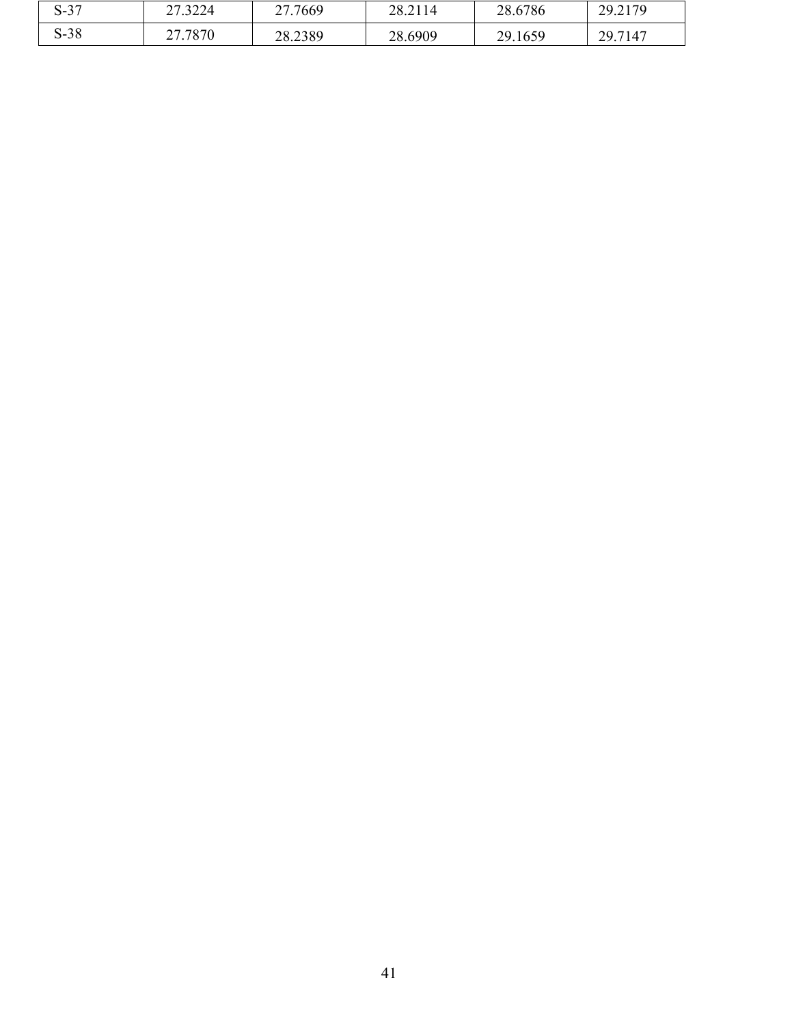| $\sim$<br>$\sim$<br>. C-O | 222<br>$\sim$<br>27.3224 | 27.7669<br>ـ ــ | 202114<br>28.2114 | 28.6786     | 20.2170<br>27.2117      |
|---------------------------|--------------------------|-----------------|-------------------|-------------|-------------------------|
| $S-38$                    | 7070<br>^¬<br>707V       | 28.2389         | 28.6909           | .1659<br>29 | 29.7147<br>$\Delta$ )., |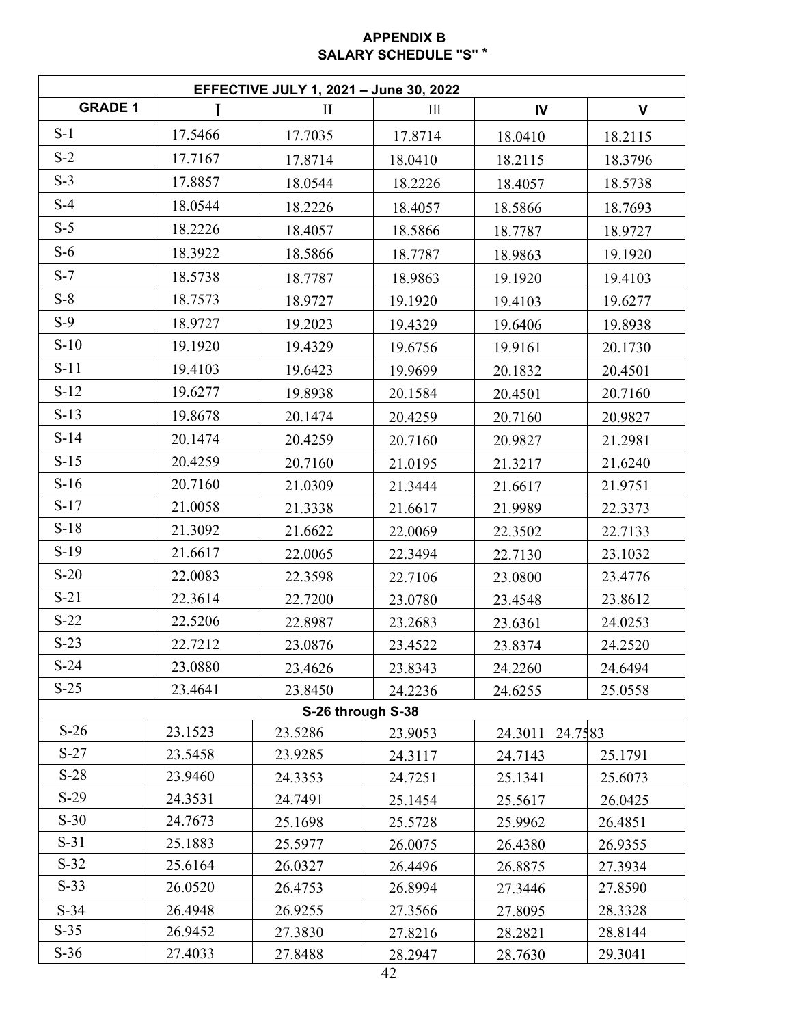### **APPENDIX B SALARY SCHEDULE "S"** \*

| <b>EFFECTIVE JULY 1, 2021 - June 30, 2022</b> |                    |                    |                    |                    |                    |  |  |  |
|-----------------------------------------------|--------------------|--------------------|--------------------|--------------------|--------------------|--|--|--|
| <b>GRADE 1</b>                                | I                  | $\mathbf{I}$       | III                | IV                 | $\mathsf{V}$       |  |  |  |
| $S-1$                                         | 17.5466            | 17.7035            | 17.8714            | 18.0410            | 18.2115            |  |  |  |
| $S-2$                                         | 17.7167            | 17.8714            | 18.0410            | 18.2115            | 18.3796            |  |  |  |
| $S-3$                                         | 17.8857            | 18.0544            | 18.2226            | 18.4057            | 18.5738            |  |  |  |
| $S-4$                                         | 18.0544            | 18.2226            | 18.4057            | 18.5866            | 18.7693            |  |  |  |
| $S-5$                                         | 18.2226            | 18.4057            | 18.5866            | 18.7787            | 18.9727            |  |  |  |
| $S-6$                                         | 18.3922            | 18.5866            | 18.7787            | 18.9863            | 19.1920            |  |  |  |
| $S-7$                                         | 18.5738            | 18.7787            | 18.9863            | 19.1920            | 19.4103            |  |  |  |
| $S-8$                                         | 18.7573            | 18.9727            | 19.1920            | 19.4103            | 19.6277            |  |  |  |
| $S-9$                                         | 18.9727            | 19.2023            | 19.4329            | 19.6406            | 19.8938            |  |  |  |
| $S-10$                                        | 19.1920            | 19.4329            | 19.6756            | 19.9161            | 20.1730            |  |  |  |
| $S-11$                                        | 19.4103            | 19.6423            | 19.9699            | 20.1832            | 20.4501            |  |  |  |
| $S-12$                                        | 19.6277            | 19.8938            | 20.1584            | 20.4501            | 20.7160            |  |  |  |
| $S-13$                                        | 19.8678            | 20.1474            | 20.4259            | 20.7160            | 20.9827            |  |  |  |
| $S-14$                                        | 20.1474            | 20.4259            | 20.7160            | 20.9827            | 21.2981            |  |  |  |
| $S-15$                                        | 20.4259            | 20.7160            | 21.0195            | 21.3217            | 21.6240            |  |  |  |
| $S-16$                                        | 20.7160            | 21.0309            | 21.3444            | 21.6617            | 21.9751            |  |  |  |
| $S-17$                                        | 21.0058            | 21.3338            | 21.6617            | 21.9989            | 22.3373            |  |  |  |
| $S-18$                                        | 21.3092            | 21.6622            | 22.0069            | 22.3502            | 22.7133            |  |  |  |
| $S-19$                                        | 21.6617            | 22.0065            | 22.3494            | 22.7130            | 23.1032            |  |  |  |
| $S-20$                                        | 22.0083            | 22.3598            | 22.7106            | 23.0800            | 23.4776            |  |  |  |
| $S-21$                                        | 22.3614            | 22.7200            | 23.0780            | 23.4548            | 23.8612            |  |  |  |
| $S-22$                                        | 22.5206            | 22.8987            | 23.2683            | 23.6361            | 24.0253            |  |  |  |
| $S-23$                                        | 22.7212            | 23.0876            | 23.4522            | 23.8374            | 24.2520            |  |  |  |
| $S-24$                                        | 23.0880            | 23.4626            | 23.8343            | 24.2260            | 24.6494            |  |  |  |
| $S-25$                                        | 23.4641            | 23.8450            | 24.2236            | 24.6255            | 25.0558            |  |  |  |
|                                               |                    |                    | S-26 through S-38  |                    |                    |  |  |  |
| $S-26$                                        | 23.1523            | 23.5286            | 23.9053            | 24.3011 24.7583    |                    |  |  |  |
| $S-27$                                        | 23.5458            | 23.9285            | 24.3117            | 24.7143            | 25.1791            |  |  |  |
| $S-28$                                        | 23.9460            | 24.3353            | 24.7251            | 25.1341            | 25.6073            |  |  |  |
| $S-29$                                        | 24.3531            | 24.7491            | 25.1454            | 25.5617            | 26.0425            |  |  |  |
| $S-30$                                        | 24.7673            | 25.1698            | 25.5728            | 25.9962            | 26.4851            |  |  |  |
| $S-31$                                        | 25.1883            | 25.5977            | 26.0075            | 26.4380            | 26.9355            |  |  |  |
| $S-32$<br>$S-33$                              | 25.6164            | 26.0327            | 26.4496            | 26.8875            | 27.3934            |  |  |  |
|                                               | 26.0520            | 26.4753            | 26.8994            | 27.3446            | 27.8590            |  |  |  |
| $S-34$<br>$S-35$                              | 26.4948<br>26.9452 | 26.9255<br>27.3830 | 27.3566            | 27.8095            | 28.3328<br>28.8144 |  |  |  |
| $S-36$                                        | 27.4033            | 27.8488            | 27.8216<br>28.2947 | 28.2821<br>28.7630 | 29.3041            |  |  |  |
|                                               |                    |                    |                    |                    |                    |  |  |  |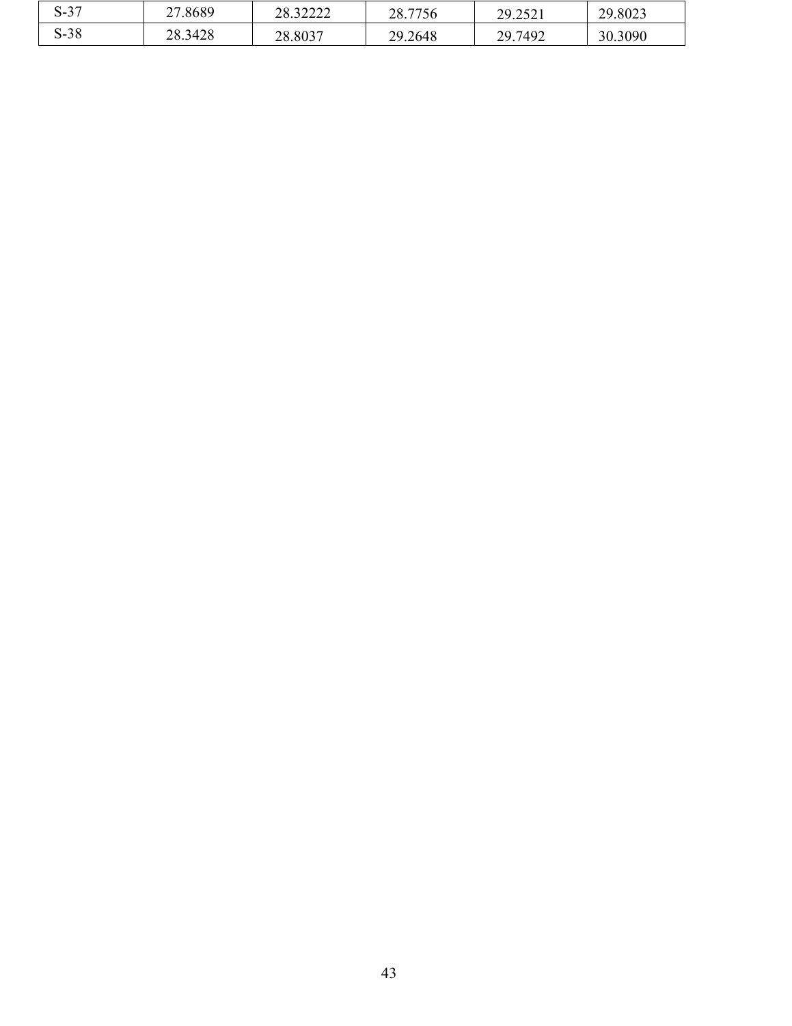| $\sim$<br>$\sim$<br>، כ-פ | .8689<br>n <i>n</i><br>ا ت | 2222<br>າດ<br>40.J4444 | no<br>7750<br>120<br>۵.۱ که             | $\bigcap$<br>20<br>.2321 | 29.8023 |
|---------------------------|----------------------------|------------------------|-----------------------------------------|--------------------------|---------|
| 20<br>$\sim$<br>5-38      | 28.3428                    | 28.8037                | .2648<br>70<br>$\overline{\phantom{a}}$ | 297492                   | 30.3090 |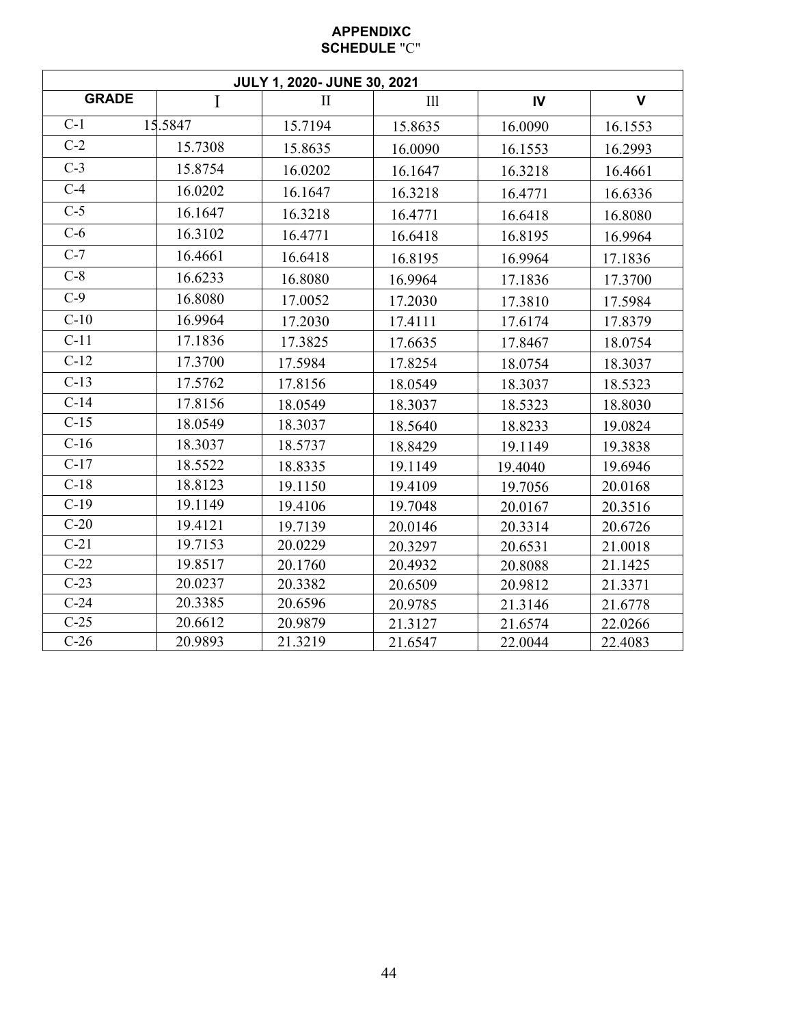### **APPENDIXC SCHEDULE** "C"

|              |              | JULY 1, 2020- JUNE 30, 2021 |         |         |              |
|--------------|--------------|-----------------------------|---------|---------|--------------|
| <b>GRADE</b> | $\mathbf{I}$ | $\mathbf{I}$                | III     | IV      | $\mathbf{V}$ |
| $C-1$        | 15.5847      | 15.7194                     | 15.8635 | 16.0090 | 16.1553      |
| $C-2$        | 15.7308      | 15.8635                     | 16.0090 | 16.1553 | 16.2993      |
| $C-3$        | 15.8754      | 16.0202                     | 16.1647 | 16.3218 | 16.4661      |
| $C-4$        | 16.0202      | 16.1647                     | 16.3218 | 16.4771 | 16.6336      |
| $C-5$        | 16.1647      | 16.3218                     | 16.4771 | 16.6418 | 16.8080      |
| $C-6$        | 16.3102      | 16.4771                     | 16.6418 | 16.8195 | 16.9964      |
| $C-7$        | 16.4661      | 16.6418                     | 16.8195 | 16.9964 | 17.1836      |
| $C-8$        | 16.6233      | 16.8080                     | 16.9964 | 17.1836 | 17.3700      |
| $C-9$        | 16.8080      | 17.0052                     | 17.2030 | 17.3810 | 17.5984      |
| $C-10$       | 16.9964      | 17.2030                     | 17.4111 | 17.6174 | 17.8379      |
| $C-11$       | 17.1836      | 17.3825                     | 17.6635 | 17.8467 | 18.0754      |
| $C-12$       | 17.3700      | 17.5984                     | 17.8254 | 18.0754 | 18.3037      |
| $C-13$       | 17.5762      | 17.8156                     | 18.0549 | 18.3037 | 18.5323      |
| $C-14$       | 17.8156      | 18.0549                     | 18.3037 | 18.5323 | 18.8030      |
| $C-15$       | 18.0549      | 18.3037                     | 18.5640 | 18.8233 | 19.0824      |
| $C-16$       | 18.3037      | 18.5737                     | 18.8429 | 19.1149 | 19.3838      |
| $C-17$       | 18.5522      | 18.8335                     | 19.1149 | 19.4040 | 19.6946      |
| $C-18$       | 18.8123      | 19.1150                     | 19.4109 | 19.7056 | 20.0168      |
| $C-19$       | 19.1149      | 19.4106                     | 19.7048 | 20.0167 | 20.3516      |
| $C-20$       | 19.4121      | 19.7139                     | 20.0146 | 20.3314 | 20.6726      |
| $C-21$       | 19.7153      | 20.0229                     | 20.3297 | 20.6531 | 21.0018      |
| $C-22$       | 19.8517      | 20.1760                     | 20.4932 | 20.8088 | 21.1425      |
| $C-23$       | 20.0237      | 20.3382                     | 20.6509 | 20.9812 | 21.3371      |
| $C-24$       | 20.3385      | 20.6596                     | 20.9785 | 21.3146 | 21.6778      |
| $C-25$       | 20.6612      | 20.9879                     | 21.3127 | 21.6574 | 22.0266      |
| $C-26$       | 20.9893      | 21.3219                     | 21.6547 | 22.0044 | 22.4083      |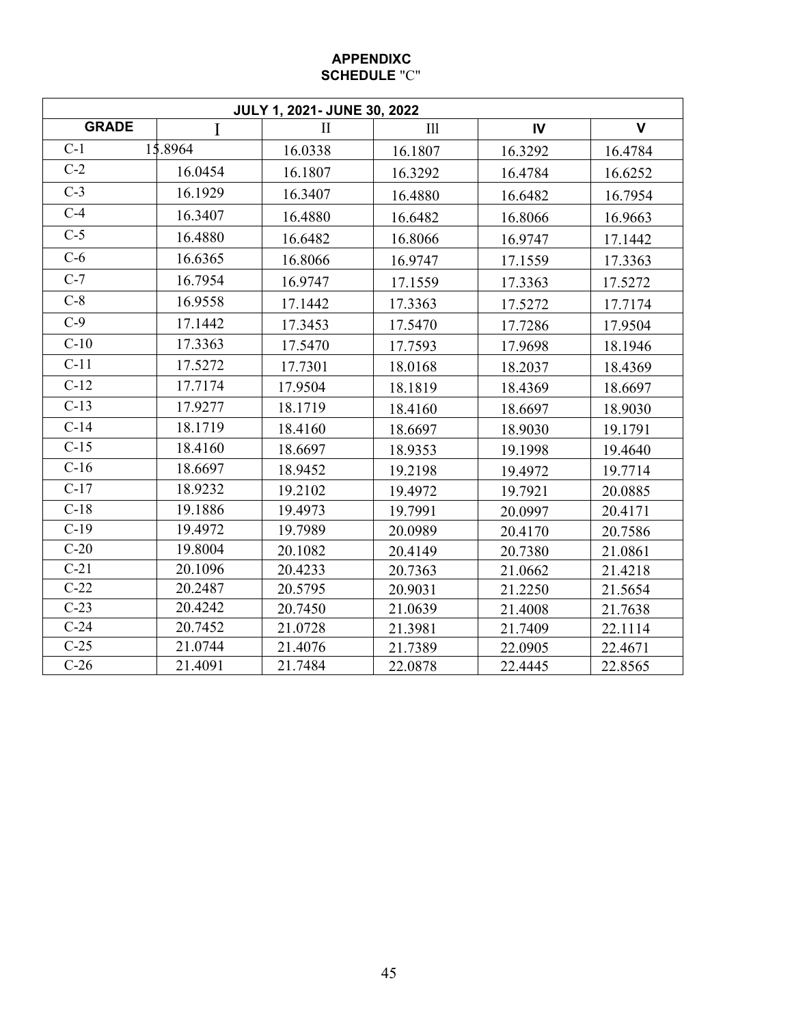#### **APPENDIXC SCHEDULE** "C"

|              |              | JULY 1, 2021- JUNE 30, 2022 |         |         |              |
|--------------|--------------|-----------------------------|---------|---------|--------------|
| <b>GRADE</b> | $\mathbf{I}$ | $\mathbf{I}$                | III     | IV      | $\mathbf{V}$ |
| $C-1$        | 15.8964      | 16.0338                     | 16.1807 | 16.3292 | 16.4784      |
| $C-2$        | 16.0454      | 16.1807                     | 16.3292 | 16.4784 | 16.6252      |
| $C-3$        | 16.1929      | 16.3407                     | 16.4880 | 16.6482 | 16.7954      |
| $C-4$        | 16.3407      | 16.4880                     | 16.6482 | 16.8066 | 16.9663      |
| $C-5$        | 16.4880      | 16.6482                     | 16.8066 | 16.9747 | 17.1442      |
| $C-6$        | 16.6365      | 16.8066                     | 16.9747 | 17.1559 | 17.3363      |
| $C-7$        | 16.7954      | 16.9747                     | 17.1559 | 17.3363 | 17.5272      |
| $C-8$        | 16.9558      | 17.1442                     | 17.3363 | 17.5272 | 17.7174      |
| $C-9$        | 17.1442      | 17.3453                     | 17.5470 | 17.7286 | 17.9504      |
| $C-10$       | 17.3363      | 17.5470                     | 17.7593 | 17.9698 | 18.1946      |
| $C-11$       | 17.5272      | 17.7301                     | 18.0168 | 18.2037 | 18.4369      |
| $C-12$       | 17.7174      | 17.9504                     | 18.1819 | 18.4369 | 18.6697      |
| $C-13$       | 17.9277      | 18.1719                     | 18.4160 | 18.6697 | 18.9030      |
| $C-14$       | 18.1719      | 18.4160                     | 18.6697 | 18.9030 | 19.1791      |
| $C-15$       | 18.4160      | 18.6697                     | 18.9353 | 19.1998 | 19.4640      |
| $C-16$       | 18.6697      | 18.9452                     | 19.2198 | 19.4972 | 19.7714      |
| $C-17$       | 18.9232      | 19.2102                     | 19.4972 | 19.7921 | 20.0885      |
| $C-18$       | 19.1886      | 19.4973                     | 19.7991 | 20.0997 | 20.4171      |
| $C-19$       | 19.4972      | 19.7989                     | 20.0989 | 20.4170 | 20.7586      |
| $C-20$       | 19.8004      | 20.1082                     | 20.4149 | 20.7380 | 21.0861      |
| $C-21$       | 20.1096      | 20.4233                     | 20.7363 | 21.0662 | 21.4218      |
| $C-22$       | 20.2487      | 20.5795                     | 20.9031 | 21.2250 | 21.5654      |
| $C-23$       | 20.4242      | 20.7450                     | 21.0639 | 21.4008 | 21.7638      |
| $C-24$       | 20.7452      | 21.0728                     | 21.3981 | 21.7409 | 22.1114      |
| $C-25$       | 21.0744      | 21.4076                     | 21.7389 | 22.0905 | 22.4671      |
| $C-26$       | 21.4091      | 21.7484                     | 22.0878 | 22.4445 | 22.8565      |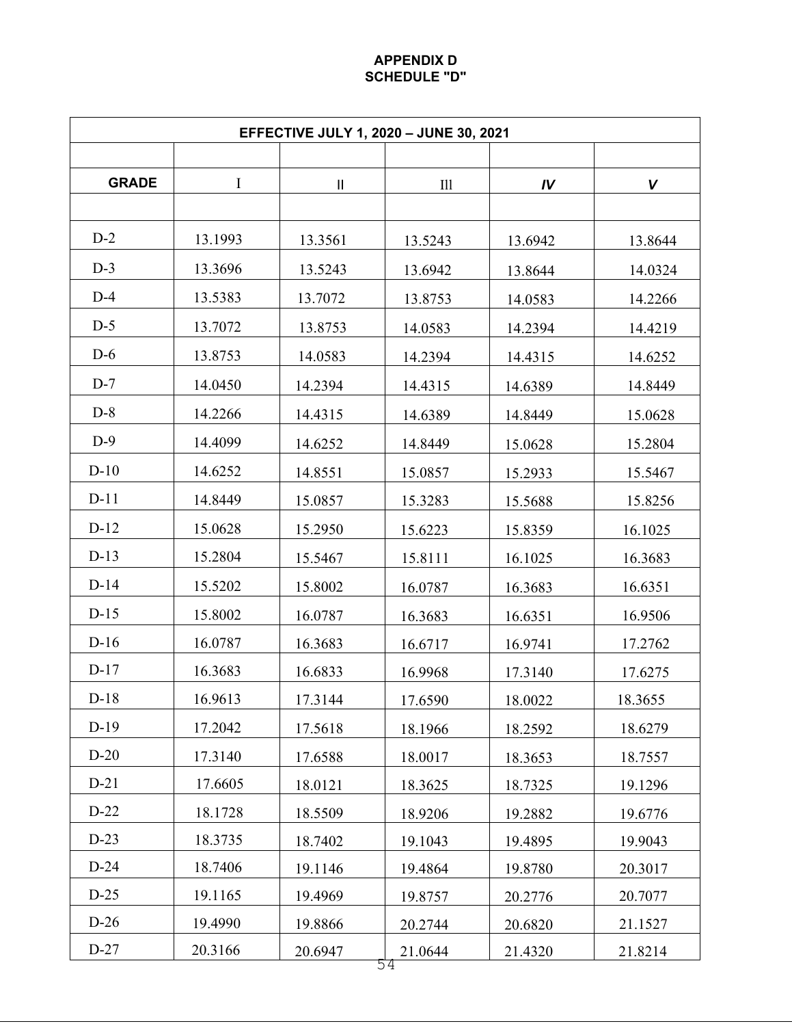#### **APPENDIX D SCHEDULE "D"**

| <b>EFFECTIVE JULY 1, 2020 - JUNE 30, 2021</b> |             |                            |               |         |         |  |  |
|-----------------------------------------------|-------------|----------------------------|---------------|---------|---------|--|--|
|                                               |             |                            |               |         |         |  |  |
| <b>GRADE</b>                                  | $\mathbf I$ | $\ensuremath{\mathsf{II}}$ | $\rm{III}$    | IV      | V       |  |  |
| $D-2$                                         | 13.1993     | 13.3561                    | 13.5243       | 13.6942 | 13.8644 |  |  |
| $D-3$                                         | 13.3696     | 13.5243                    | 13.6942       | 13.8644 | 14.0324 |  |  |
| $D-4$                                         | 13.5383     | 13.7072                    | 13.8753       | 14.0583 | 14.2266 |  |  |
| $D-5$                                         | 13.7072     | 13.8753                    | 14.0583       | 14.2394 | 14.4219 |  |  |
| $D-6$                                         | 13.8753     | 14.0583                    | 14.2394       | 14.4315 | 14.6252 |  |  |
| $D-7$                                         | 14.0450     | 14.2394                    | 14.4315       | 14.6389 | 14.8449 |  |  |
| $D-8$                                         | 14.2266     | 14.4315                    | 14.6389       | 14.8449 | 15.0628 |  |  |
| $D-9$                                         | 14.4099     | 14.6252                    | 14.8449       | 15.0628 | 15.2804 |  |  |
| $D-10$                                        | 14.6252     | 14.8551                    | 15.0857       | 15.2933 | 15.5467 |  |  |
| $D-11$                                        | 14.8449     | 15.0857                    | 15.3283       | 15.5688 | 15.8256 |  |  |
| $D-12$                                        | 15.0628     | 15.2950                    | 15.6223       | 15.8359 | 16.1025 |  |  |
| $D-13$                                        | 15.2804     | 15.5467                    | 15.8111       | 16.1025 | 16.3683 |  |  |
| $D-14$                                        | 15.5202     | 15.8002                    | 16.0787       | 16.3683 | 16.6351 |  |  |
| $D-15$                                        | 15.8002     | 16.0787                    | 16.3683       | 16.6351 | 16.9506 |  |  |
| $D-16$                                        | 16.0787     | 16.3683                    | 16.6717       | 16.9741 | 17.2762 |  |  |
| $D-17$                                        | 16.3683     | 16.6833                    | 16.9968       | 17.3140 | 17.6275 |  |  |
| $D-18$                                        | 16.9613     | 17.3144                    | 17.6590       | 18.0022 | 18.3655 |  |  |
| $D-19$                                        | 17.2042     | 17.5618                    | 18.1966       | 18.2592 | 18.6279 |  |  |
| $D-20$                                        | 17.3140     | 17.6588                    | 18.0017       | 18.3653 | 18.7557 |  |  |
| $D-21$                                        | 17.6605     | 18.0121                    | 18.3625       | 18.7325 | 19.1296 |  |  |
| $D-22$                                        | 18.1728     | 18.5509                    | 18.9206       | 19.2882 | 19.6776 |  |  |
| $D-23$                                        | 18.3735     | 18.7402                    | 19.1043       | 19.4895 | 19.9043 |  |  |
| $D-24$                                        | 18.7406     | 19.1146                    | 19.4864       | 19.8780 | 20.3017 |  |  |
| $D-25$                                        | 19.1165     | 19.4969                    | 19.8757       | 20.2776 | 20.7077 |  |  |
| $D-26$                                        | 19.4990     | 19.8866                    | 20.2744       | 20.6820 | 21.1527 |  |  |
| $D-27$                                        | 20.3166     | 20.6947                    | 21.0644<br>54 | 21.4320 | 21.8214 |  |  |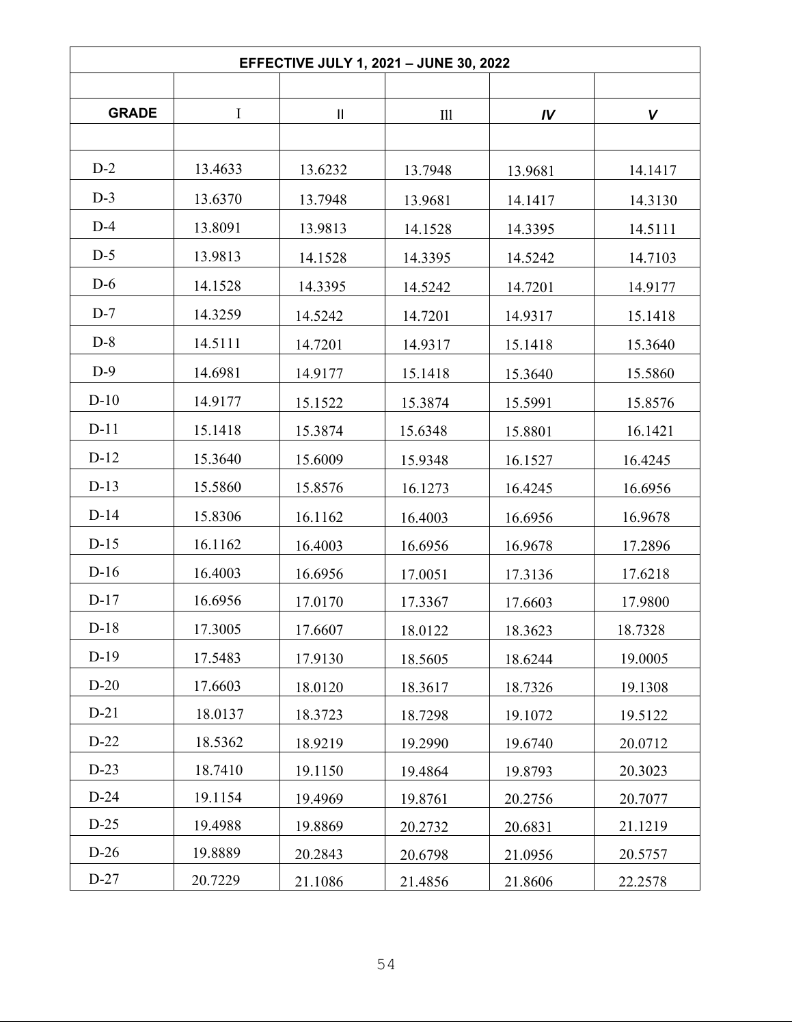|              |          | EFFECTIVE JULY 1, 2021 - JUNE 30, 2022 |         |         |         |
|--------------|----------|----------------------------------------|---------|---------|---------|
|              |          |                                        |         |         |         |
| <b>GRADE</b> | $\bf{I}$ | $\mathbf{II}$                          | III     | IV      | V       |
| $D-2$        | 13.4633  | 13.6232                                | 13.7948 | 13.9681 | 14.1417 |
| $D-3$        | 13.6370  | 13.7948                                | 13.9681 | 14.1417 | 14.3130 |
| $D-4$        | 13.8091  | 13.9813                                | 14.1528 | 14.3395 | 14.5111 |
| $D-5$        | 13.9813  |                                        |         |         |         |
| $D-6$        | 14.1528  | 14.1528                                | 14.3395 | 14.5242 | 14.7103 |
| $D-7$        |          | 14.3395                                | 14.5242 | 14.7201 | 14.9177 |
|              | 14.3259  | 14.5242                                | 14.7201 | 14.9317 | 15.1418 |
| $D-8$        | 14.5111  | 14.7201                                | 14.9317 | 15.1418 | 15.3640 |
| $D-9$        | 14.6981  | 14.9177                                | 15.1418 | 15.3640 | 15.5860 |
| $D-10$       | 14.9177  | 15.1522                                | 15.3874 | 15.5991 | 15.8576 |
| $D-11$       | 15.1418  | 15.3874                                | 15.6348 | 15.8801 | 16.1421 |
| $D-12$       | 15.3640  | 15.6009                                | 15.9348 | 16.1527 | 16.4245 |
| $D-13$       | 15.5860  | 15.8576                                | 16.1273 | 16.4245 | 16.6956 |
| $D-14$       | 15.8306  | 16.1162                                | 16.4003 | 16.6956 | 16.9678 |
| $D-15$       | 16.1162  | 16.4003                                | 16.6956 | 16.9678 | 17.2896 |
| $D-16$       | 16.4003  | 16.6956                                | 17.0051 | 17.3136 | 17.6218 |
| $D-17$       | 16.6956  | 17.0170                                | 17.3367 | 17.6603 | 17.9800 |
| $D-18$       | 17.3005  | 17.6607                                | 18.0122 | 18.3623 | 18.7328 |
| $D-19$       | 17.5483  | 17.9130                                | 18.5605 | 18.6244 | 19.0005 |
| $D-20$       | 17.6603  | 18.0120                                | 18.3617 | 18.7326 | 19.1308 |
| $D-21$       | 18.0137  | 18.3723                                | 18.7298 | 19.1072 | 19.5122 |
| $D-22$       | 18.5362  | 18.9219                                | 19.2990 | 19.6740 | 20.0712 |
| $D-23$       | 18.7410  | 19.1150                                | 19.4864 | 19.8793 | 20.3023 |
| $D-24$       | 19.1154  | 19.4969                                | 19.8761 | 20.2756 | 20.7077 |
| $D-25$       | 19.4988  | 19.8869                                | 20.2732 | 20.6831 | 21.1219 |
| $D-26$       | 19.8889  | 20.2843                                | 20.6798 | 21.0956 | 20.5757 |
| $D-27$       | 20.7229  | 21.1086                                | 21.4856 | 21.8606 | 22.2578 |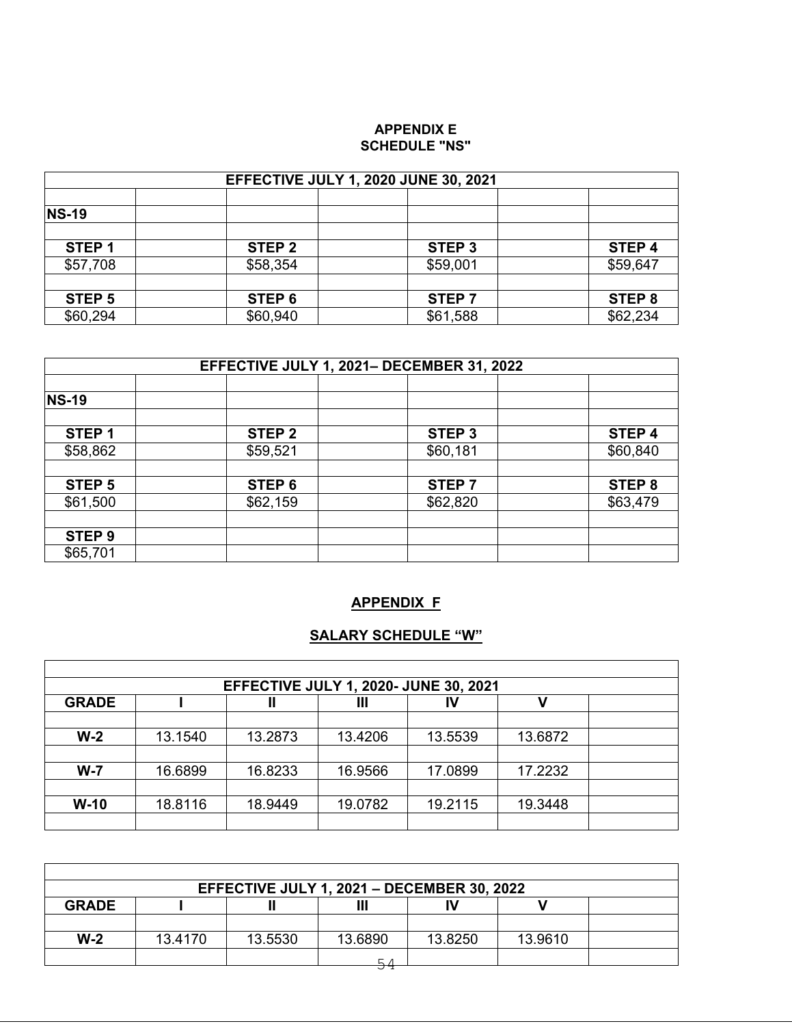#### **APPENDIX E SCHEDULE "NS"**

| <b>EFFECTIVE JULY 1, 2020 JUNE 30, 2021</b> |                   |                   |          |  |  |  |
|---------------------------------------------|-------------------|-------------------|----------|--|--|--|
| <b>NS-19</b>                                |                   |                   |          |  |  |  |
|                                             |                   |                   |          |  |  |  |
| STEP <sub>1</sub>                           | STEP <sub>2</sub> | STEP <sub>3</sub> | STEP 4   |  |  |  |
| \$57,708                                    | \$58,354          | \$59,001          | \$59,647 |  |  |  |
| STEP <sub>5</sub>                           | STEP 6            | STEP <sub>7</sub> | STEP 8   |  |  |  |
| \$60,294                                    | \$60,940          | \$61,588          | \$62,234 |  |  |  |

| EFFECTIVE JULY 1, 2021- DECEMBER 31, 2022 |                   |                   |          |  |  |  |
|-------------------------------------------|-------------------|-------------------|----------|--|--|--|
| <b>NS-19</b>                              |                   |                   |          |  |  |  |
| STEP <sub>1</sub>                         | STEP <sub>2</sub> | STEP <sub>3</sub> | STEP 4   |  |  |  |
| \$58,862                                  | \$59,521          | \$60,181          | \$60,840 |  |  |  |
| STEP <sub>5</sub>                         | STEP 6            | STEP 7            | STEP 8   |  |  |  |
| \$61,500                                  | \$62,159          | \$62,820          | \$63,479 |  |  |  |
| STEP <sub>9</sub>                         |                   |                   |          |  |  |  |
| \$65,701                                  |                   |                   |          |  |  |  |

### **APPENDIX F**

## **SALARY SCHEDULE "W"**

| <b>EFFECTIVE JULY 1, 2020- JUNE 30, 2021</b> |         |         |         |         |         |  |  |
|----------------------------------------------|---------|---------|---------|---------|---------|--|--|
| <b>GRADE</b>                                 |         | Ш       | Ш       | IV      | ν       |  |  |
|                                              |         |         |         |         |         |  |  |
| $W-2$                                        | 13.1540 | 13.2873 | 13.4206 | 13.5539 | 13.6872 |  |  |
|                                              |         |         |         |         |         |  |  |
| $W - 7$                                      | 16.6899 | 16.8233 | 16.9566 | 17.0899 | 17.2232 |  |  |
|                                              |         |         |         |         |         |  |  |
| $W-10$                                       | 18.8116 | 18.9449 | 19.0782 | 19.2115 | 19.3448 |  |  |
|                                              |         |         |         |         |         |  |  |

| EFFECTIVE JULY 1, 2021 - DECEMBER 30, 2022 |         |         |         |         |         |  |  |
|--------------------------------------------|---------|---------|---------|---------|---------|--|--|
| <b>GRADE</b>                               |         |         | Ш       | ľV      |         |  |  |
|                                            |         |         |         |         |         |  |  |
| $W-2$                                      | 13.4170 | 13.5530 | 13.6890 | 13.8250 | 13.9610 |  |  |
|                                            |         |         | 54      |         |         |  |  |
|                                            |         |         |         |         |         |  |  |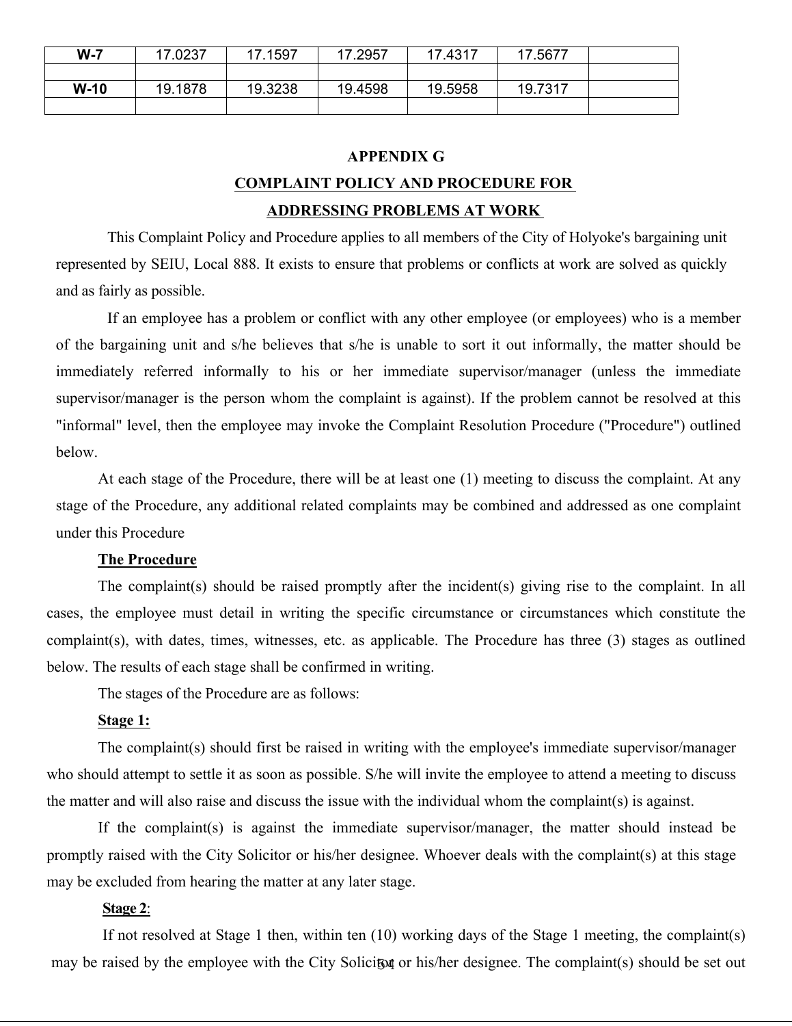| $W-7$  | .0237   | 7.1597  | .2957   | 17.4317 | 7.5677  |  |
|--------|---------|---------|---------|---------|---------|--|
|        |         |         |         |         |         |  |
| $W-10$ | 19.1878 | 19.3238 | 19.4598 | 19.5958 | 19.7317 |  |
|        |         |         |         |         |         |  |

#### **APPENDIX G**

# **COMPLAINT POLICY AND PROCEDURE FOR ADDRESSING PROBLEMS AT WORK**

This Complaint Policy and Procedure applies to all members of the City of Holyoke's bargaining unit represented by SEIU, Local 888. It exists to ensure that problems or conflicts at work are solved as quickly and as fairly as possible.<br>If an employee has a problem or conflict with any other employee (or employees) who is a member

of the bargaining unit and s/he believes that s/he is unable to sort it out informally, the matter should be immediately referred informally to his or her immediate supervisor/manager (unless the immediate supervisor/manager is the person whom the complaint is against). If the problem cannot be resolved at this "informal" level, then the employee may invoke the Complaint Resolution Procedure ("Procedure") outlined below.

At each stage of the Procedure, there will be at least one (1) meeting to discuss the complaint. At any stage of the Procedure, any additional related complaints may be combined and addressed as one complaint under this Procedure

#### **The Procedure**

The complaint(s) should be raised promptly after the incident(s) giving rise to the complaint. In all cases, the employee must detail in writing the specific circumstance or circumstances which constitute the complaint(s), with dates, times, witnesses, etc. as applicable. The Procedure has three (3) stages as outlined below. The results of each stage shall be confirmed in writing.

The stages of the Procedure are as follows:

#### **Stage 1:**

The complaint(s) should first be raised in writing with the employee's immediate supervisor/manager who should attempt to settle it as soon as possible. S/he will invite the employee to attend a meeting to discuss the matter and will also raise and discuss the issue with the individual whom the complaint(s) is against.

If the complaint(s) is against the immediate supervisor/manager, the matter should instead be promptly raised with the City Solicitor or his/her designee. Whoever deals with the complaint(s) at this stage may be excluded from hearing the matter at any later stage.

#### **Stage 2**:

may be raised by the employee with the City Solicitor or his/her designee. The complaint(s) should be set out If not resolved at Stage 1 then, within ten (10) working days of the Stage 1 meeting, the complaint(s)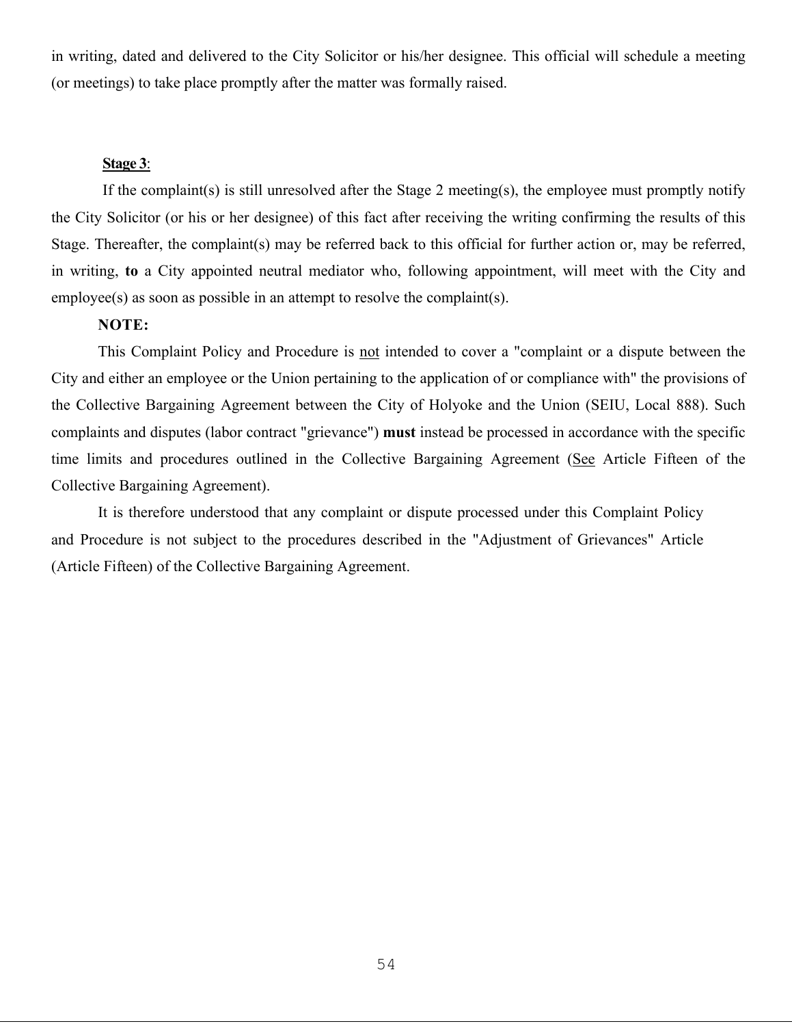in writing, dated and delivered to the City Solicitor or his/her designee. This official will schedule a meeting (or meetings) to take place promptly after the matter was formally raised.

#### **Stage 3**:

If the complaint(s) is still unresolved after the Stage 2 meeting(s), the employee must promptly notify the City Solicitor (or his or her designee) of this fact after receiving the writing confirming the results of this Stage. Thereafter, the complaint(s) may be referred back to this official for further action or, may be referred, in writing, **to** a City appointed neutral mediator who, following appointment, will meet with the City and employee(s) as soon as possible in an attempt to resolve the complaint(s).

#### **NOTE:**

This Complaint Policy and Procedure is not intended to cover a "complaint or a dispute between the City and either an employee or the Union pertaining to the application of or compliance with" the provisions of the Collective Bargaining Agreement between the City of Holyoke and the Union (SEIU, Local 888). Such complaints and disputes (labor contract "grievance") **must** instead be processed in accordance with the specific time limits and procedures outlined in the Collective Bargaining Agreement (See Article Fifteen of the Collective Bargaining Agreement).

It is therefore understood that any complaint or dispute processed under this Complaint Policy and Procedure is not subject to the procedures described in the "Adjustment of Grievances" Article (Article Fifteen) of the Collective Bargaining Agreement.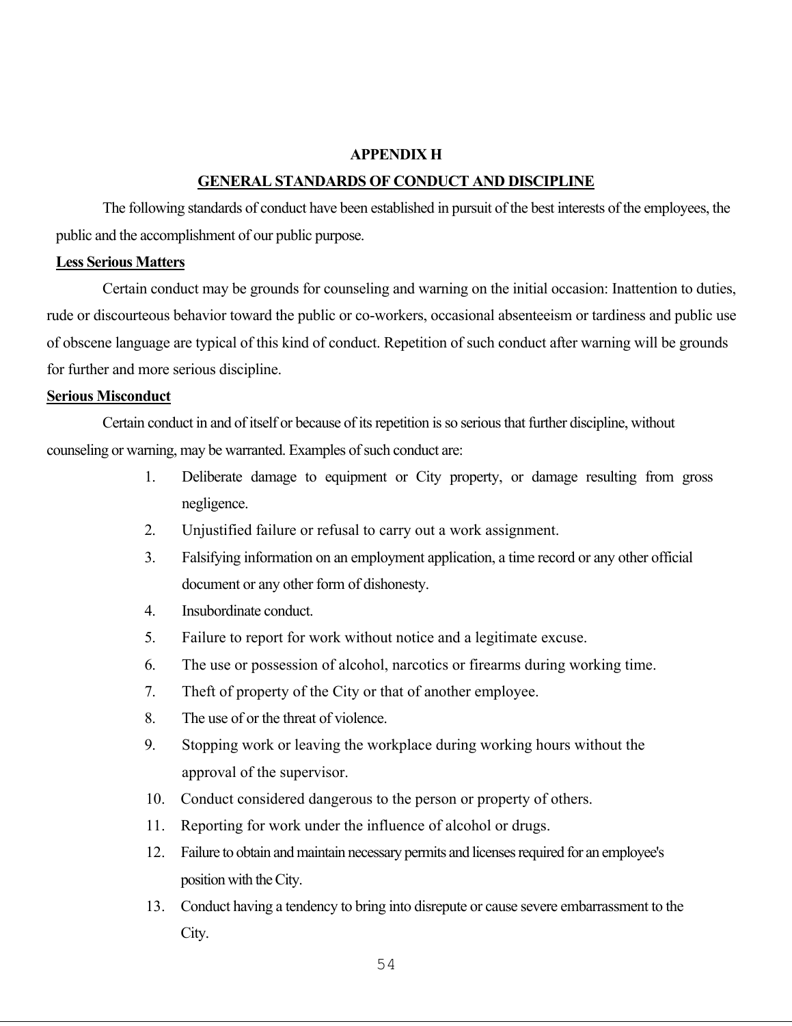#### **APPENDIX H**

#### **GENERAL STANDARDS OF CONDUCT AND DISCIPLINE**

The following standards of conduct have been established in pursuit of the best interests of the employees, the public and the accomplishment of our public purpose.

#### **Less Serious Matters**

Certain conduct may be grounds for counseling and warning on the initial occasion: Inattention to duties, rude or discourteous behavior toward the public or co-workers, occasional absenteeism or tardiness and public use of obscene language are typical of this kind of conduct. Repetition of such conduct after warning will be grounds for further and more serious discipline.

#### **Serious Misconduct**

Certain conduct in and of itself or because of its repetition is so serious that further discipline, without counseling or warning, may be warranted. Examples of such conduct are:

- 1. Deliberate damage to equipment or City property, or damage resulting from gross negligence.
- 2. Unjustified failure or refusal to carry out a work assignment.
- 3. Falsifying information on an employment application, a time record or any other official document or any other form of dishonesty.
- 4. Insubordinate conduct.
- 5. Failure to report for work without notice and a legitimate excuse.
- 6. The use or possession of alcohol, narcotics or firearms during working time.
- 7. Theft of property of the City or that of another employee.
- 8. The use of or the threat of violence.
- 9. Stopping work or leaving the workplace during working hours without the approval of the supervisor.
- 10. Conduct considered dangerous to the person or property of others.
- 11. Reporting for work under the influence of alcohol or drugs.
- 12. Failure to obtain and maintain necessary permits and licenses required for an employee's position with theCity.
- 13. Conduct having a tendency to bring into disrepute or cause severe embarrassment to the City.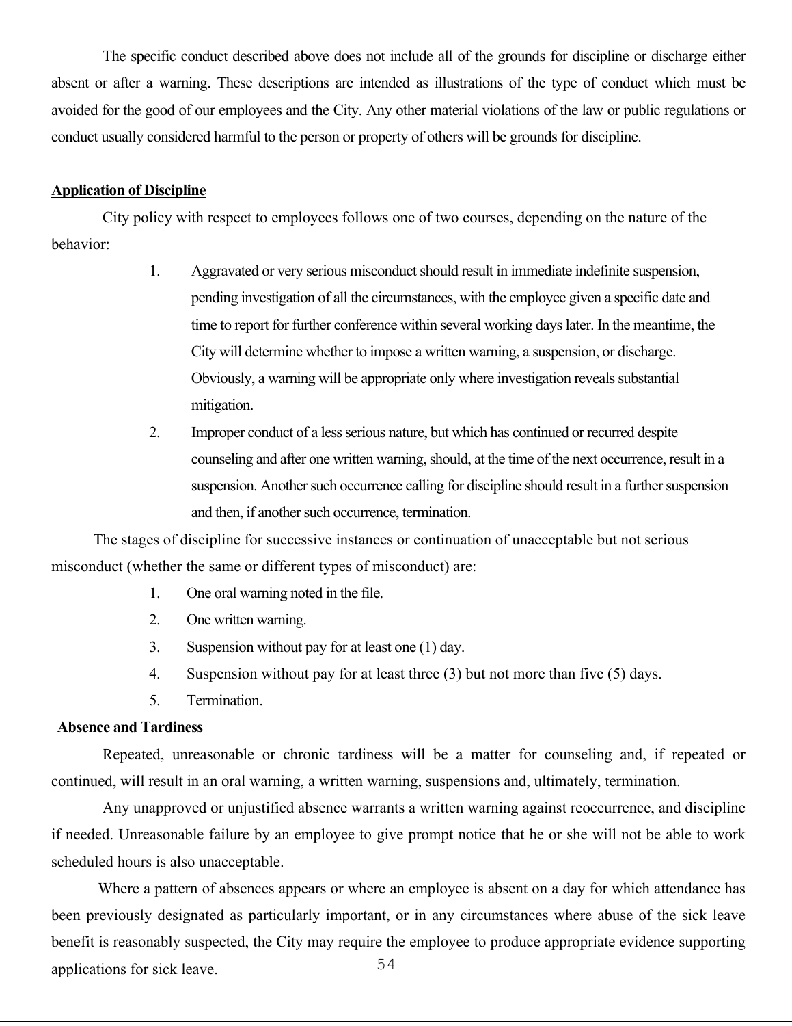The specific conduct described above does not include all of the grounds for discipline or discharge either absent or after a warning. These descriptions are intended as illustrations of the type of conduct which must be avoided for the good of our employees and the City. Any other material violations of the law or public regulations or conduct usually considered harmful to the person or property of others will be grounds for discipline.

#### **Application of Discipline**

City policy with respect to employees follows one of two courses, depending on the nature of the behavior:

- 1. Aggravated or very serious misconduct should result in immediate indefinite suspension, pending investigation of all the circumstances, with the employee given a specific date and time to report for further conference within several working dayslater. In the meantime, the City will determine whether to impose a written warning, a suspension, or discharge. Obviously, a warning will be appropriate only where investigation reveals substantial mitigation.
- 2. Improper conduct of a less serious nature, but which has continued or recurred despite counseling and after one written warning, should, at the time of the next occurrence, result in a suspension. Another such occurrence calling for discipline should result in a further suspension and then, if another such occurrence, termination.

The stages of discipline for successive instances or continuation of unacceptable but not serious misconduct (whether the same or different types of misconduct) are:

- 1. One oral warning noted in the file.
- 2. One written warning.
- 3. Suspension without pay for at least one (1) day.
- 4. Suspension without pay for at least three (3) but not more than five (5) days.
- 5. Termination.

#### **Absence and Tardiness**

Repeated, unreasonable or chronic tardiness will be a matter for counseling and, if repeated or continued, will result in an oral warning, a written warning, suspensions and, ultimately, termination.

Any unapproved or unjustified absence warrants a written warning against reoccurrence, and discipline if needed. Unreasonable failure by an employee to give prompt notice that he or she will not be able to work scheduled hours is also unacceptable.

54 Where a pattern of absences appears or where an employee is absent on a day for which attendance has been previously designated as particularly important, or in any circumstances where abuse of the sick leave benefit is reasonably suspected, the City may require the employee to produce appropriate evidence supporting applications for sick leave.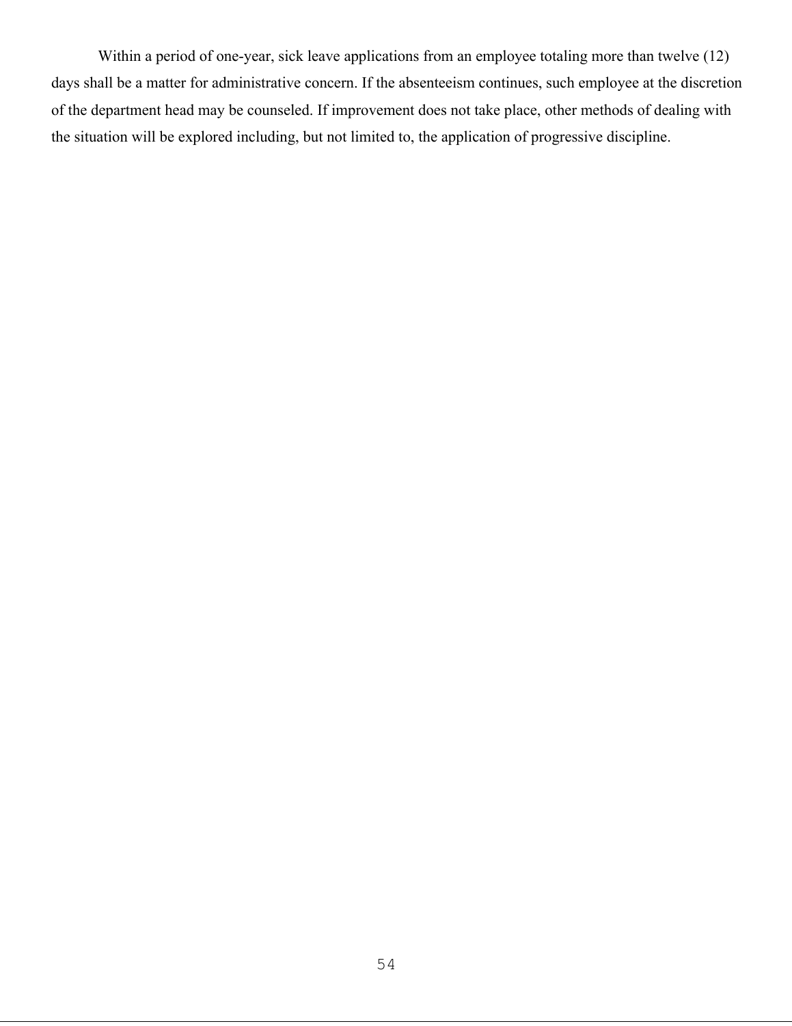Within a period of one-year, sick leave applications from an employee totaling more than twelve (12) days shall be a matter for administrative concern. If the absenteeism continues, such employee at the discretion of the department head may be counseled. If improvement does not take place, other methods of dealing with the situation will be explored including, but not limited to, the application of progressive discipline.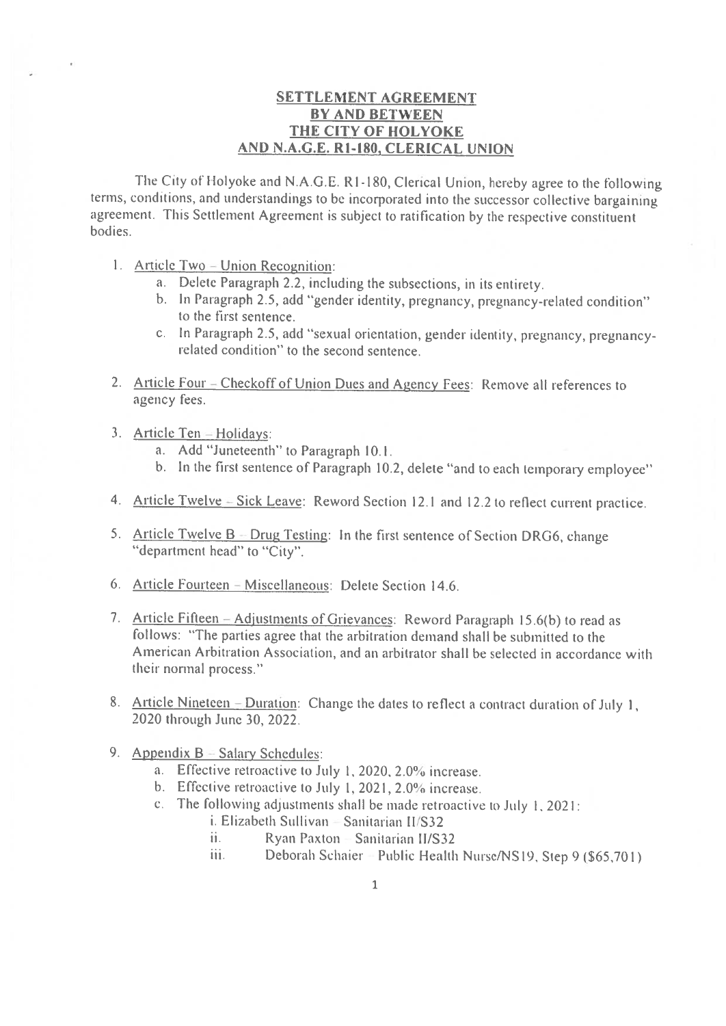### **SETTLEMENT AGREEMENT BY AND BETWEEN** THE CITY OF HOLYOKE AND N.A.G.E. R1-180, CLERICAL UNION

The City of Holyoke and N.A.G.E. R1-180, Clerical Union, hereby agree to the following terms, conditions, and understandings to be incorporated into the successor collective bargaining agreement. This Settlement Agreement is subject to ratification by the respective constituent bodies.

- 1. Article Two Union Recognition:
	- a. Delete Paragraph 2.2, including the subsections, in its entirety.
	- b. In Paragraph 2.5, add "gender identity, pregnancy, pregnancy-related condition" to the first sentence.
	- c. In Paragraph 2.5, add "sexual orientation, gender identity, pregnancy, pregnancyrelated condition" to the second sentence.
- 2. Article Four Checkoff of Union Dues and Agency Fees: Remove all references to agency fees.
- 3. Article Ten-Holidays:
	- a. Add "Juneteenth" to Paragraph 10.1.
	- b. In the first sentence of Paragraph 10.2, delete "and to each temporary employee"
- 4. Article Twelve Sick Leave: Reword Section 12.1 and 12.2 to reflect current practice.
- 5. Article Twelve B Drug Testing: In the first sentence of Section DRG6, change "department head" to "City".
- 6. Article Fourteen = Miscellaneous: Delete Section 14.6.
- 7. Article Fifteen Adjustments of Grievances: Reword Paragraph 15.6(b) to read as follows: "The parties agree that the arbitration demand shall be submitted to the American Arbitration Association, and an arbitrator shall be selected in accordance with their normal process."
- 8. Article Nineteen Duration: Change the dates to reflect a contract duration of July 1. 2020 through June 30, 2022.
- 9. Appendix  $B =$  Salary Schedules:
	- a. Effective retroactive to July 1, 2020, 2.0% increase.
	- b. Effective retroactive to July 1, 2021, 2.0% increase.
	- c. The following adjustments shall be made retroactive to July  $1, 2021$ :
		- i. Elizabeth Sullivan  $-$  Sanitarian II/S32
		- ii. Ryan Paxton - Sanitarian II/S32
		- Deborah Schaier = Public Health Nurse/NS19, Step 9 (\$65,701) iii.